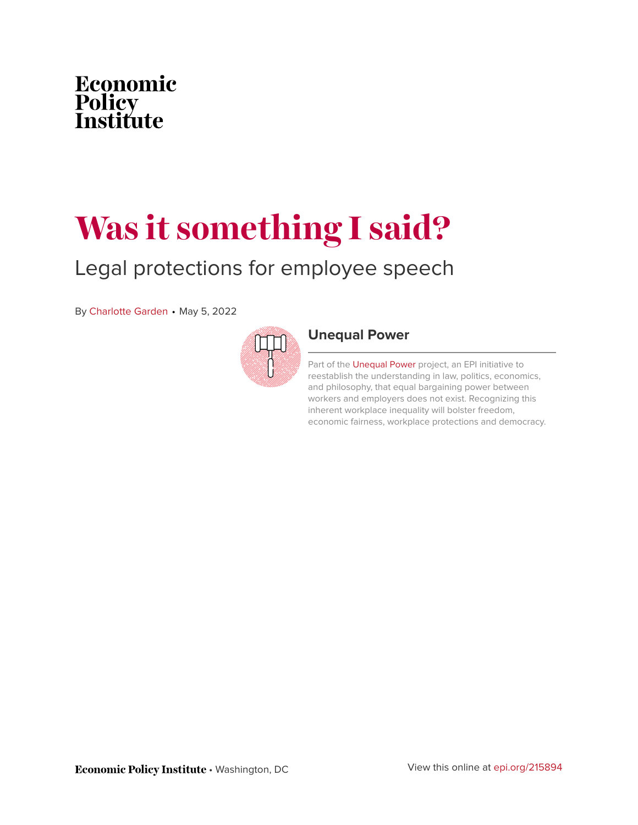

# **Was it something I said?**

### Legal protections for employee speech

By [Charlotte Garden](https://www.epi.org/people/charlotte-garden/) • May 5, 2022



#### **[Unequal Power](https://www.epi.org/unequalpower/)**

Part of the [Unequal Power](https://www.epi.org/unequalpower/) project, an EPI initiative to reestablish the understanding in law, politics, economics, and philosophy, that equal bargaining power between workers and employers does not exist. Recognizing this inherent workplace inequality will bolster freedom, economic fairness, workplace protections and democracy.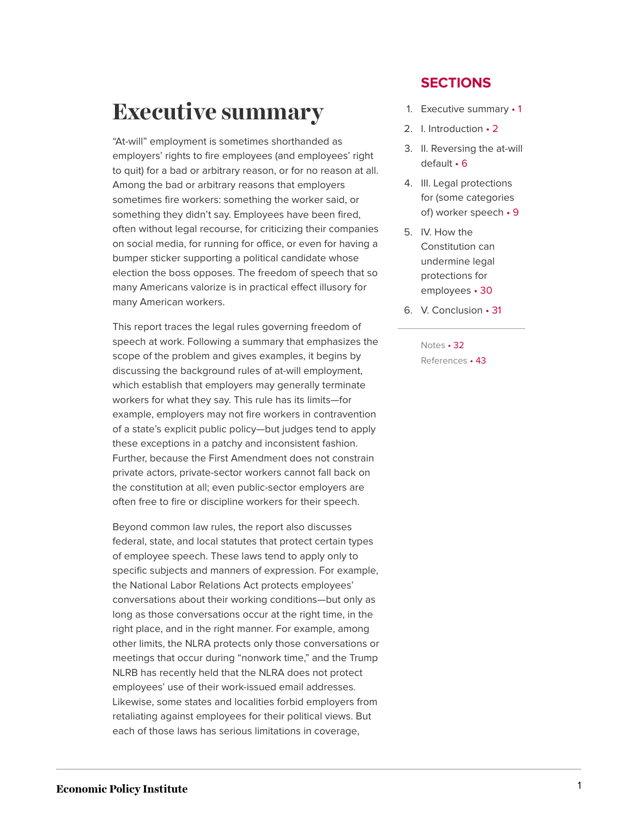# <span id="page-1-0"></span>**Executive summary**

"At-will" employment is sometimes shorthanded as employers' rights to fire employees (and employees' right to quit) for a bad or arbitrary reason, or for no reason at all. Among the bad or arbitrary reasons that employers sometimes fire workers: something the worker said, or something they didn't say. Employees have been fired, often without legal recourse, for criticizing their companies on social media, for running for office, or even for having a bumper sticker supporting a political candidate whose election the boss opposes. The freedom of speech that so many Americans valorize is in practical effect illusory for many American workers.

This report traces the legal rules governing freedom of speech at work. Following a summary that emphasizes the scope of the problem and gives examples, it begins by discussing the background rules of at-will employment, which establish that employers may generally terminate workers for what they say. This rule has its limits—for example, employers may not fire workers in contravention of a state's explicit public policy—but judges tend to apply these exceptions in a patchy and inconsistent fashion. Further, because the First Amendment does not constrain private actors, private-sector workers cannot fall back on the constitution at all; even public-sector employers are often free to fire or discipline workers for their speech.

Beyond common law rules, the report also discusses federal, state, and local statutes that protect certain types of employee speech. These laws tend to apply only to specific subjects and manners of expression. For example, the National Labor Relations Act protects employees' conversations about their working conditions—but only as long as those conversations occur at the right time, in the right place, and in the right manner. For example, among other limits, the NLRA protects only those conversations or meetings that occur during "nonwork time," and the Trump NLRB has recently held that the NLRA does not protect employees' use of their work-issued email addresses. Likewise, some states and localities forbid employers from retaliating against employees for their political views. But each of those laws has serious limitations in coverage,

#### **SECTIONS**

- 1. [Executive summary](#page-1-0) 1
- 2. [I. Introduction](#page-2-0) 2
- 3. [II. Reversing the at-will](#page-6-0) [default](#page-6-0) • 6
- 4. [III. Legal protections](#page-9-0) [for \(some categories](#page-9-0) [of\) worker speech](#page-9-0) • 9
- 5. [IV. How the](#page-30-0) [Constitution can](#page-30-0) [undermine legal](#page-30-0) [protections for](#page-30-0) [employees](#page-30-0) • 30
- 6. [V. Conclusion](#page-31-0) 31

[Notes](#page-32-0) • 32 [References](#page-43-0) • 43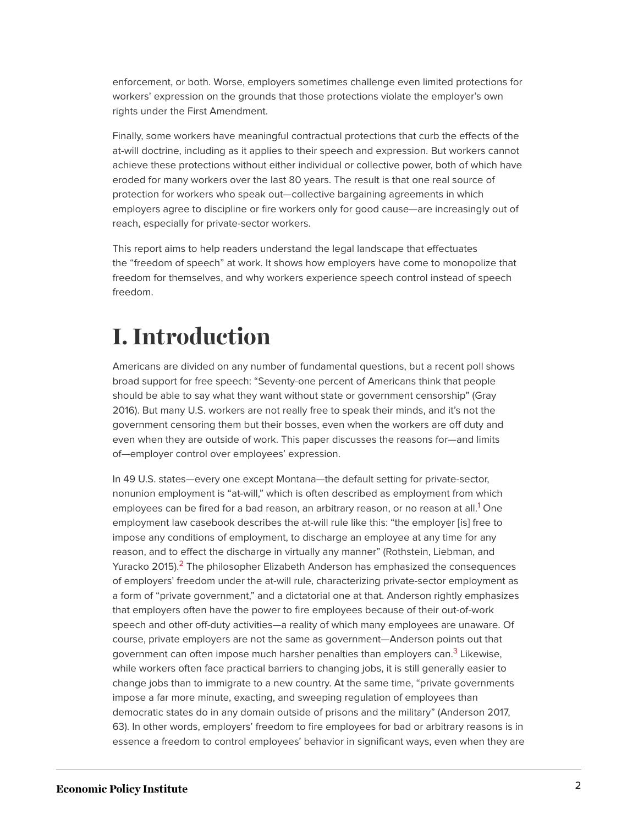enforcement, or both. Worse, employers sometimes challenge even limited protections for workers' expression on the grounds that those protections violate the employer's own rights under the First Amendment.

Finally, some workers have meaningful contractual protections that curb the effects of the at-will doctrine, including as it applies to their speech and expression. But workers cannot achieve these protections without either individual or collective power, both of which have eroded for many workers over the last 80 years. The result is that one real source of protection for workers who speak out—collective bargaining agreements in which employers agree to discipline or fire workers only for good cause—are increasingly out of reach, especially for private-sector workers.

This report aims to help readers understand the legal landscape that effectuates the "freedom of speech" at work. It shows how employers have come to monopolize that freedom for themselves, and why workers experience speech control instead of speech freedom.

# <span id="page-2-0"></span>**I. Introduction**

Americans are divided on any number of fundamental questions, but a recent poll shows broad support for free speech: "Seventy-one percent of Americans think that people should be able to say what they want without state or government censorship" (Gray 2016). But many U.S. workers are not really free to speak their minds, and it's not the government censoring them but their bosses, even when the workers are off duty and even when they are outside of work. This paper discusses the reasons for—and limits of—employer control over employees' expression.

<span id="page-2-3"></span><span id="page-2-2"></span><span id="page-2-1"></span>In 49 U.S. states—every one except Montana—the default setting for private-sector, nonunion employment is "at-will," which is often described as employment from which employees can be fired for a bad reason, an arbitrary reason, or no reason at all.<sup>[1](#page-32-1)</sup> One employment law casebook describes the at-will rule like this: "the employer [is] free to impose any conditions of employment, to discharge an employee at any time for any reason, and to effect the discharge in virtually any manner" (Rothstein, Liebman, and Yuracko [2](#page-32-2)015).<sup>2</sup> The philosopher Elizabeth Anderson has emphasized the consequences of employers' freedom under the at-will rule, characterizing private-sector employment as a form of "private government," and a dictatorial one at that. Anderson rightly emphasizes that employers often have the power to fire employees because of their out-of-work speech and other off-duty activities—a reality of which many employees are unaware. Of course, private employers are not the same as government—Anderson points out that government can often impose much harsher penalties than employers can.<sup>[3](#page-32-3)</sup> Likewise, while workers often face practical barriers to changing jobs, it is still generally easier to change jobs than to immigrate to a new country. At the same time, "private governments impose a far more minute, exacting, and sweeping regulation of employees than democratic states do in any domain outside of prisons and the military" (Anderson 2017, 63). In other words, employers' freedom to fire employees for bad or arbitrary reasons is in essence a freedom to control employees' behavior in significant ways, even when they are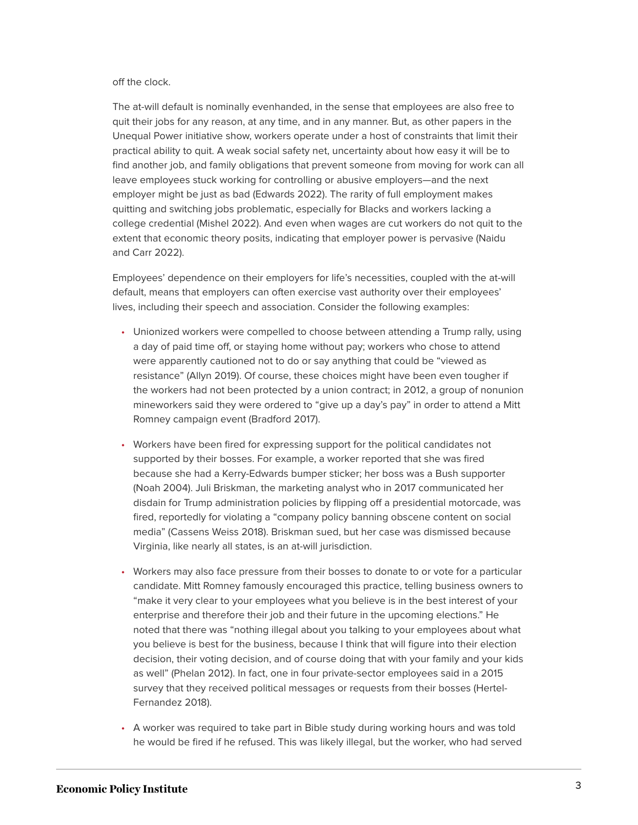#### off the clock.

The at-will default is nominally evenhanded, in the sense that employees are also free to quit their jobs for any reason, at any time, and in any manner. But, as other papers in the Unequal Power initiative show, workers operate under a host of constraints that limit their practical ability to quit. A weak social safety net, uncertainty about how easy it will be to find another job, and family obligations that prevent someone from moving for work can all leave employees stuck working for controlling or abusive employers—and the next employer might be just as bad (Edwards 2022). The rarity of full employment makes quitting and switching jobs problematic, especially for Blacks and workers lacking a college credential (Mishel 2022). And even when wages are cut workers do not quit to the extent that economic theory posits, indicating that employer power is pervasive (Naidu and Carr 2022).

Employees' dependence on their employers for life's necessities, coupled with the at-will default, means that employers can often exercise vast authority over their employees' lives, including their speech and association. Consider the following examples:

- Unionized workers were compelled to choose between attending a Trump rally, using a day of paid time off, or staying home without pay; workers who chose to attend were apparently cautioned not to do or say anything that could be "viewed as resistance" (Allyn 2019). Of course, these choices might have been even tougher if the workers had not been protected by a union contract; in 2012, a group of nonunion mineworkers said they were ordered to "give up a day's pay" in order to attend a Mitt Romney campaign event (Bradford 2017).
- Workers have been fired for expressing support for the political candidates not supported by their bosses. For example, a worker reported that she was fired because she had a Kerry-Edwards bumper sticker; her boss was a Bush supporter (Noah 2004). Juli Briskman, the marketing analyst who in 2017 communicated her disdain for Trump administration policies by flipping off a presidential motorcade, was fired, reportedly for violating a "company policy banning obscene content on social media" (Cassens Weiss 2018). Briskman sued, but her case was dismissed because Virginia, like nearly all states, is an at-will jurisdiction.
- Workers may also face pressure from their bosses to donate to or vote for a particular candidate. Mitt Romney famously encouraged this practice, telling business owners to "make it very clear to your employees what you believe is in the best interest of your enterprise and therefore their job and their future in the upcoming elections." He noted that there was "nothing illegal about you talking to your employees about what you believe is best for the business, because I think that will figure into their election decision, their voting decision, and of course doing that with your family and your kids as well" (Phelan 2012). In fact, one in four private-sector employees said in a 2015 survey that they received political messages or requests from their bosses (Hertel-Fernandez 2018).
- A worker was required to take part in Bible study during working hours and was told he would be fired if he refused. This was likely illegal, but the worker, who had served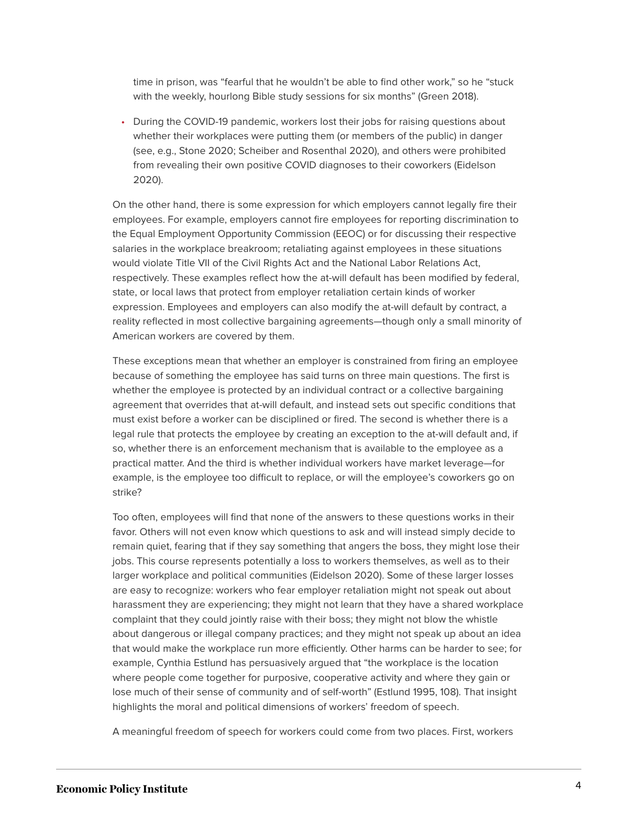time in prison, was "fearful that he wouldn't be able to find other work," so he "stuck with the weekly, hourlong Bible study sessions for six months" (Green 2018).

• During the COVID-19 pandemic, workers lost their jobs for raising questions about whether their workplaces were putting them (or members of the public) in danger (see, e.g., Stone 2020; Scheiber and Rosenthal 2020), and others were prohibited from revealing their own positive COVID diagnoses to their coworkers (Eidelson 2020).

On the other hand, there is some expression for which employers cannot legally fire their employees. For example, employers cannot fire employees for reporting discrimination to the Equal Employment Opportunity Commission (EEOC) or for discussing their respective salaries in the workplace breakroom; retaliating against employees in these situations would violate Title VII of the Civil Rights Act and the National Labor Relations Act, respectively. These examples reflect how the at-will default has been modified by federal, state, or local laws that protect from employer retaliation certain kinds of worker expression. Employees and employers can also modify the at-will default by contract, a reality reflected in most collective bargaining agreements—though only a small minority of American workers are covered by them.

These exceptions mean that whether an employer is constrained from firing an employee because of something the employee has said turns on three main questions. The first is whether the employee is protected by an individual contract or a collective bargaining agreement that overrides that at-will default, and instead sets out specific conditions that must exist before a worker can be disciplined or fired. The second is whether there is a legal rule that protects the employee by creating an exception to the at-will default and, if so, whether there is an enforcement mechanism that is available to the employee as a practical matter. And the third is whether individual workers have market leverage—for example, is the employee too difficult to replace, or will the employee's coworkers go on strike?

Too often, employees will find that none of the answers to these questions works in their favor. Others will not even know which questions to ask and will instead simply decide to remain quiet, fearing that if they say something that angers the boss, they might lose their jobs. This course represents potentially a loss to workers themselves, as well as to their larger workplace and political communities (Eidelson 2020). Some of these larger losses are easy to recognize: workers who fear employer retaliation might not speak out about harassment they are experiencing; they might not learn that they have a shared workplace complaint that they could jointly raise with their boss; they might not blow the whistle about dangerous or illegal company practices; and they might not speak up about an idea that would make the workplace run more efficiently. Other harms can be harder to see; for example, Cynthia Estlund has persuasively argued that "the workplace is the location where people come together for purposive, cooperative activity and where they gain or lose much of their sense of community and of self-worth" (Estlund 1995, 108). That insight highlights the moral and political dimensions of workers' freedom of speech.

A meaningful freedom of speech for workers could come from two places. First, workers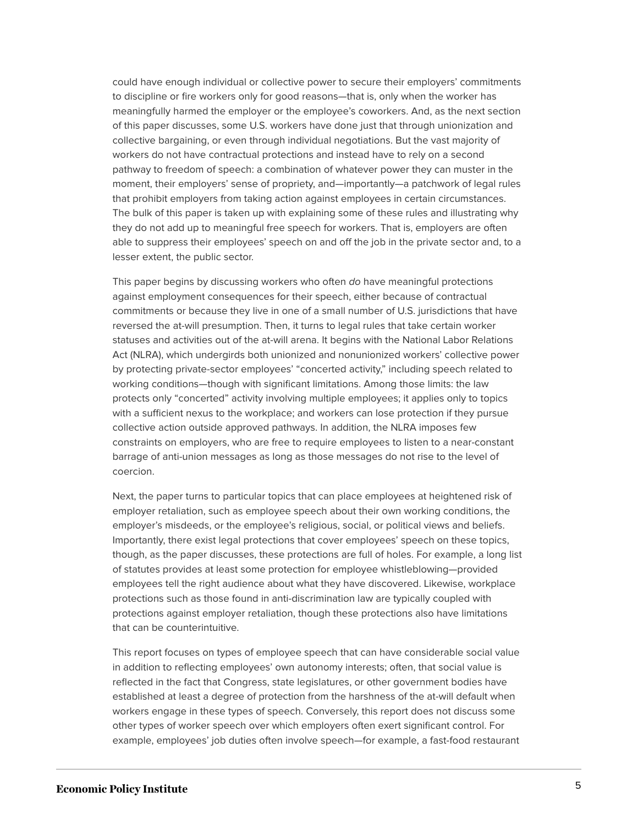could have enough individual or collective power to secure their employers' commitments to discipline or fire workers only for good reasons—that is, only when the worker has meaningfully harmed the employer or the employee's coworkers. And, as the next section of this paper discusses, some U.S. workers have done just that through unionization and collective bargaining, or even through individual negotiations. But the vast majority of workers do not have contractual protections and instead have to rely on a second pathway to freedom of speech: a combination of whatever power they can muster in the moment, their employers' sense of propriety, and—importantly—a patchwork of legal rules that prohibit employers from taking action against employees in certain circumstances. The bulk of this paper is taken up with explaining some of these rules and illustrating why they do not add up to meaningful free speech for workers. That is, employers are often able to suppress their employees' speech on and off the job in the private sector and, to a lesser extent, the public sector.

This paper begins by discussing workers who often do have meaningful protections against employment consequences for their speech, either because of contractual commitments or because they live in one of a small number of U.S. jurisdictions that have reversed the at-will presumption. Then, it turns to legal rules that take certain worker statuses and activities out of the at-will arena. It begins with the National Labor Relations Act (NLRA), which undergirds both unionized and nonunionized workers' collective power by protecting private-sector employees' "concerted activity," including speech related to working conditions—though with significant limitations. Among those limits: the law protects only "concerted" activity involving multiple employees; it applies only to topics with a sufficient nexus to the workplace; and workers can lose protection if they pursue collective action outside approved pathways. In addition, the NLRA imposes few constraints on employers, who are free to require employees to listen to a near-constant barrage of anti-union messages as long as those messages do not rise to the level of coercion.

Next, the paper turns to particular topics that can place employees at heightened risk of employer retaliation, such as employee speech about their own working conditions, the employer's misdeeds, or the employee's religious, social, or political views and beliefs. Importantly, there exist legal protections that cover employees' speech on these topics, though, as the paper discusses, these protections are full of holes. For example, a long list of statutes provides at least some protection for employee whistleblowing—provided employees tell the right audience about what they have discovered. Likewise, workplace protections such as those found in anti-discrimination law are typically coupled with protections against employer retaliation, though these protections also have limitations that can be counterintuitive.

This report focuses on types of employee speech that can have considerable social value in addition to reflecting employees' own autonomy interests; often, that social value is reflected in the fact that Congress, state legislatures, or other government bodies have established at least a degree of protection from the harshness of the at-will default when workers engage in these types of speech. Conversely, this report does not discuss some other types of worker speech over which employers often exert significant control. For example, employees' job duties often involve speech—for example, a fast-food restaurant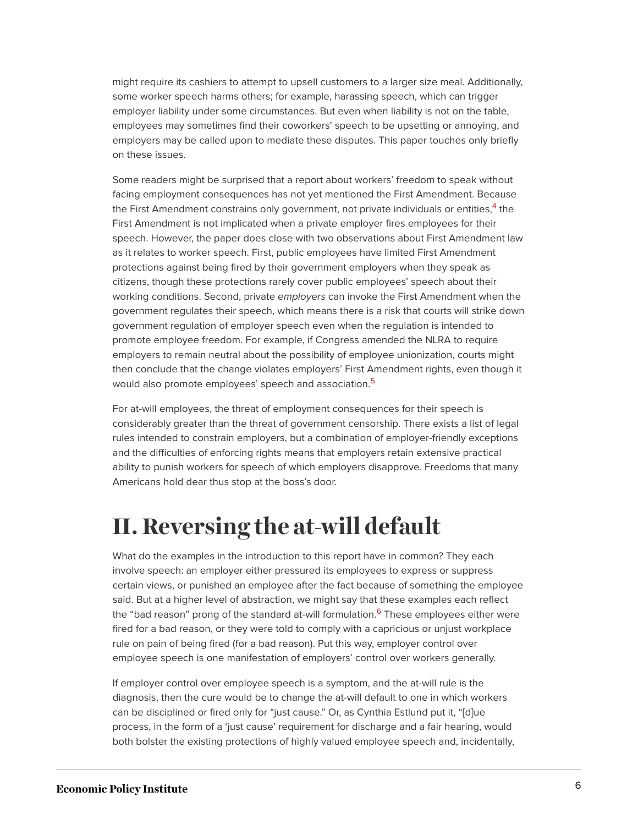might require its cashiers to attempt to upsell customers to a larger size meal. Additionally, some worker speech harms others; for example, harassing speech, which can trigger employer liability under some circumstances. But even when liability is not on the table, employees may sometimes find their coworkers' speech to be upsetting or annoying, and employers may be called upon to mediate these disputes. This paper touches only briefly on these issues.

<span id="page-6-1"></span>Some readers might be surprised that a report about workers' freedom to speak without facing employment consequences has not yet mentioned the First Amendment. Because the First Amendment constrains only government, not private individuals or entities,<sup>[4](#page-32-4)</sup> the First Amendment is not implicated when a private employer fires employees for their speech. However, the paper does close with two observations about First Amendment law as it relates to worker speech. First, public employees have limited First Amendment protections against being fired by their government employers when they speak as citizens, though these protections rarely cover public employees' speech about their working conditions. Second, private employers can invoke the First Amendment when the government regulates their speech, which means there is a risk that courts will strike down government regulation of employer speech even when the regulation is intended to promote employee freedom. For example, if Congress amended the NLRA to require employers to remain neutral about the possibility of employee unionization, courts might then conclude that the change violates employers' First Amendment rights, even though it would also promote employees' speech and association.<sup>[5](#page-32-5)</sup>

<span id="page-6-2"></span>For at-will employees, the threat of employment consequences for their speech is considerably greater than the threat of government censorship. There exists a list of legal rules intended to constrain employers, but a combination of employer-friendly exceptions and the difficulties of enforcing rights means that employers retain extensive practical ability to punish workers for speech of which employers disapprove. Freedoms that many Americans hold dear thus stop at the boss's door.

### <span id="page-6-0"></span>**II. Reversing the at-will default**

<span id="page-6-3"></span>What do the examples in the introduction to this report have in common? They each involve speech: an employer either pressured its employees to express or suppress certain views, or punished an employee after the fact because of something the employee said. But at a higher level of abstraction, we might say that these examples each reflect the "bad reason" prong of the standard at-will formulation.<sup>[6](#page-32-6)</sup> These employees either were fired for a bad reason, or they were told to comply with a capricious or unjust workplace rule on pain of being fired (for a bad reason). Put this way, employer control over employee speech is one manifestation of employers' control over workers generally.

If employer control over employee speech is a symptom, and the at-will rule is the diagnosis, then the cure would be to change the at-will default to one in which workers can be disciplined or fired only for "just cause." Or, as Cynthia Estlund put it, "[d]ue process, in the form of a 'just cause' requirement for discharge and a fair hearing, would both bolster the existing protections of highly valued employee speech and, incidentally,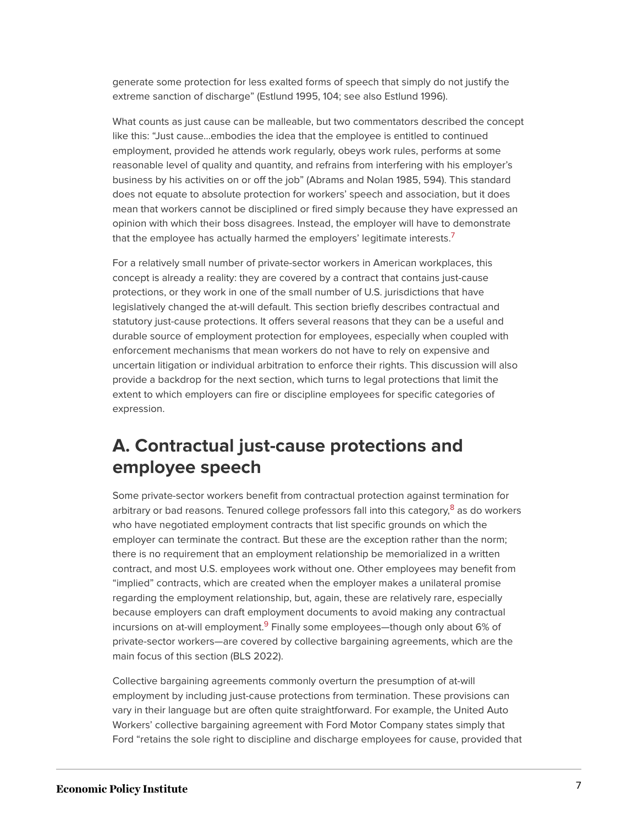generate some protection for less exalted forms of speech that simply do not justify the extreme sanction of discharge" (Estlund 1995, 104; see also Estlund 1996).

What counts as just cause can be malleable, but two commentators described the concept like this: "Just cause…embodies the idea that the employee is entitled to continued employment, provided he attends work regularly, obeys work rules, performs at some reasonable level of quality and quantity, and refrains from interfering with his employer's business by his activities on or off the job" (Abrams and Nolan 1985, 594). This standard does not equate to absolute protection for workers' speech and association, but it does mean that workers cannot be disciplined or fired simply because they have expressed an opinion with which their boss disagrees. Instead, the employer will have to demonstrate that the employee has actually harmed the employers' legitimate interests.<sup>[7](#page-32-7)</sup>

<span id="page-7-0"></span>For a relatively small number of private-sector workers in American workplaces, this concept is already a reality: they are covered by a contract that contains just-cause protections, or they work in one of the small number of U.S. jurisdictions that have legislatively changed the at-will default. This section briefly describes contractual and statutory just-cause protections. It offers several reasons that they can be a useful and durable source of employment protection for employees, especially when coupled with enforcement mechanisms that mean workers do not have to rely on expensive and uncertain litigation or individual arbitration to enforce their rights. This discussion will also provide a backdrop for the next section, which turns to legal protections that limit the extent to which employers can fire or discipline employees for specific categories of expression.

### **A. Contractual just-cause protections and employee speech**

<span id="page-7-1"></span>Some private-sector workers benefit from contractual protection against termination for arbitrary or bad reasons. Tenured college professors fall into this category,<sup>[8](#page-33-0)</sup> as do workers who have negotiated employment contracts that list specific grounds on which the employer can terminate the contract. But these are the exception rather than the norm; there is no requirement that an employment relationship be memorialized in a written contract, and most U.S. employees work without one. Other employees may benefit from "implied" contracts, which are created when the employer makes a unilateral promise regarding the employment relationship, but, again, these are relatively rare, especially because employers can draft employment documents to avoid making any contractual incursions on at-will employment.<sup>[9](#page-33-1)</sup> Finally some employees—though only about 6% of private-sector workers—are covered by collective bargaining agreements, which are the main focus of this section (BLS 2022).

<span id="page-7-2"></span>Collective bargaining agreements commonly overturn the presumption of at-will employment by including just-cause protections from termination. These provisions can vary in their language but are often quite straightforward. For example, the United Auto Workers' collective bargaining agreement with Ford Motor Company states simply that Ford "retains the sole right to discipline and discharge employees for cause, provided that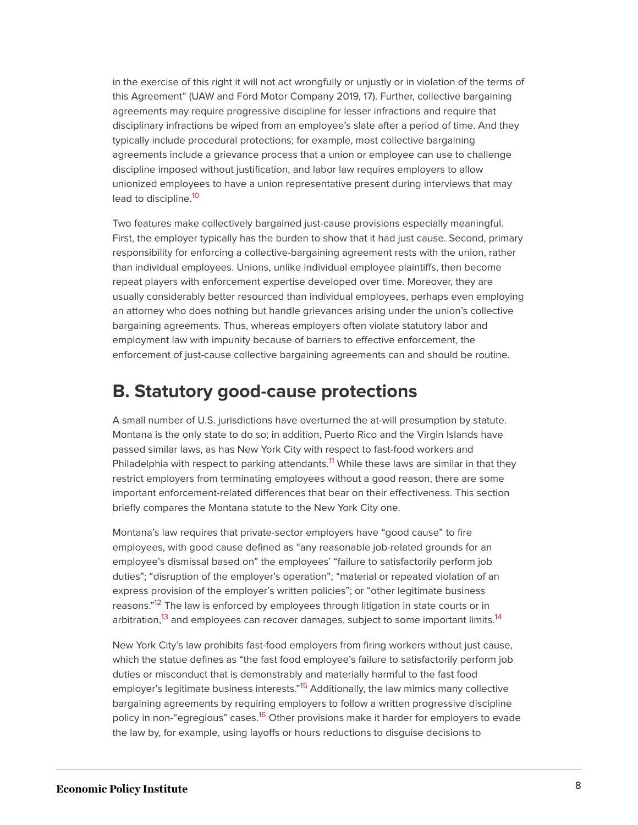in the exercise of this right it will not act wrongfully or unjustly or in violation of the terms of this Agreement" (UAW and Ford Motor Company 2019, 17). Further, collective bargaining agreements may require progressive discipline for lesser infractions and require that disciplinary infractions be wiped from an employee's slate after a period of time. And they typically include procedural protections; for example, most collective bargaining agreements include a grievance process that a union or employee can use to challenge discipline imposed without justification, and labor law requires employers to allow unionized employees to have a union representative present during interviews that may lead to discipline.<sup>[10](#page-33-2)</sup>

<span id="page-8-0"></span>Two features make collectively bargained just-cause provisions especially meaningful. First, the employer typically has the burden to show that it had just cause. Second, primary responsibility for enforcing a collective-bargaining agreement rests with the union, rather than individual employees. Unions, unlike individual employee plaintiffs, then become repeat players with enforcement expertise developed over time. Moreover, they are usually considerably better resourced than individual employees, perhaps even employing an attorney who does nothing but handle grievances arising under the union's collective bargaining agreements. Thus, whereas employers often violate statutory labor and employment law with impunity because of barriers to effective enforcement, the enforcement of just-cause collective bargaining agreements can and should be routine.

### **B. Statutory good-cause protections**

<span id="page-8-1"></span>A small number of U.S. jurisdictions have overturned the at-will presumption by statute. Montana is the only state to do so; in addition, Puerto Rico and the Virgin Islands have passed similar laws, as has New York City with respect to fast-food workers and Philadelphia with respect to parking attendants.<sup>[11](#page-33-3)</sup> While these laws are similar in that they restrict employers from terminating employees without a good reason, there are some important enforcement-related differences that bear on their effectiveness. This section briefly compares the Montana statute to the New York City one.

Montana's law requires that private-sector employers have "good cause" to fire employees, with good cause defined as "any reasonable job-related grounds for an employee's dismissal based on" the employees' "failure to satisfactorily perform job duties"; "disruption of the employer's operation"; "material or repeated violation of an express provision of the employer's written policies"; or "other legitimate business reasons."<sup>[12](#page-33-4)</sup> The law is enforced by employees through litigation in state courts or in arbitration,<sup>[13](#page-33-5)</sup> and employees can recover damages, subject to some important limits.<sup>[14](#page-33-6)</sup>

<span id="page-8-5"></span><span id="page-8-4"></span><span id="page-8-3"></span><span id="page-8-2"></span>New York City's law prohibits fast-food employers from firing workers without just cause, which the statue defines as "the fast food employee's failure to satisfactorily perform job duties or misconduct that is demonstrably and materially harmful to the fast food employer's legitimate business interests."<sup>[15](#page-33-7)</sup> Additionally, the law mimics many collective bargaining agreements by requiring employers to follow a written progressive discipline policy in non-"egregious" cases.<sup>[16](#page-33-8)</sup> Other provisions make it harder for employers to evade the law by, for example, using layoffs or hours reductions to disguise decisions to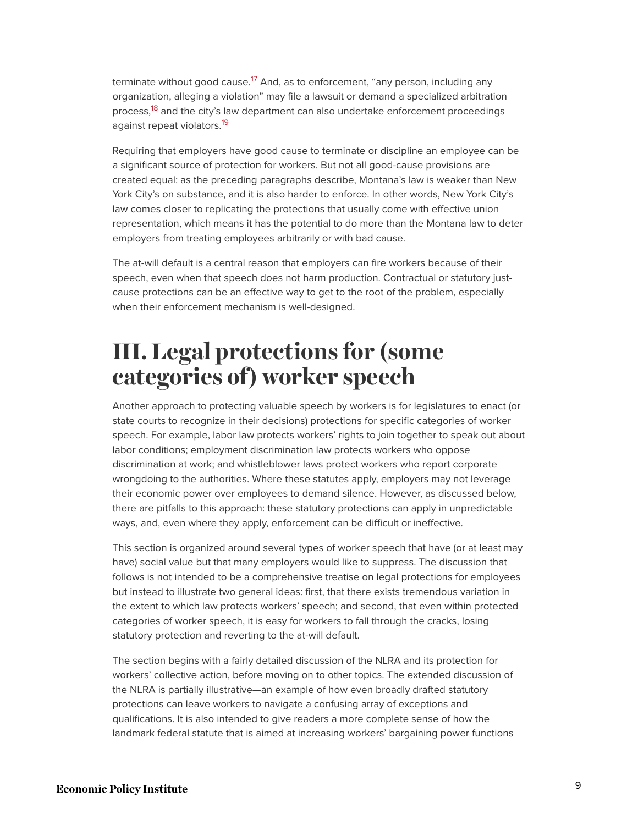<span id="page-9-2"></span><span id="page-9-1"></span>terminate without good cause.<sup>[17](#page-33-9)</sup> And, as to enforcement, "any person, including any organization, alleging a violation" may file a lawsuit or demand a specialized arbitration process,<sup>[18](#page-33-10)</sup> and the city's law department can also undertake enforcement proceedings against repeat violators.<sup>[19](#page-33-11)</sup>

<span id="page-9-3"></span>Requiring that employers have good cause to terminate or discipline an employee can be a significant source of protection for workers. But not all good-cause provisions are created equal: as the preceding paragraphs describe, Montana's law is weaker than New York City's on substance, and it is also harder to enforce. In other words, New York City's law comes closer to replicating the protections that usually come with effective union representation, which means it has the potential to do more than the Montana law to deter employers from treating employees arbitrarily or with bad cause.

The at-will default is a central reason that employers can fire workers because of their speech, even when that speech does not harm production. Contractual or statutory justcause protections can be an effective way to get to the root of the problem, especially when their enforcement mechanism is well-designed.

# <span id="page-9-0"></span>**III. Legal protections for (some categories of) worker speech**

Another approach to protecting valuable speech by workers is for legislatures to enact (or state courts to recognize in their decisions) protections for specific categories of worker speech. For example, labor law protects workers' rights to join together to speak out about labor conditions; employment discrimination law protects workers who oppose discrimination at work; and whistleblower laws protect workers who report corporate wrongdoing to the authorities. Where these statutes apply, employers may not leverage their economic power over employees to demand silence. However, as discussed below, there are pitfalls to this approach: these statutory protections can apply in unpredictable ways, and, even where they apply, enforcement can be difficult or ineffective.

This section is organized around several types of worker speech that have (or at least may have) social value but that many employers would like to suppress. The discussion that follows is not intended to be a comprehensive treatise on legal protections for employees but instead to illustrate two general ideas: first, that there exists tremendous variation in the extent to which law protects workers' speech; and second, that even within protected categories of worker speech, it is easy for workers to fall through the cracks, losing statutory protection and reverting to the at-will default.

The section begins with a fairly detailed discussion of the NLRA and its protection for workers' collective action, before moving on to other topics. The extended discussion of the NLRA is partially illustrative—an example of how even broadly drafted statutory protections can leave workers to navigate a confusing array of exceptions and qualifications. It is also intended to give readers a more complete sense of how the landmark federal statute that is aimed at increasing workers' bargaining power functions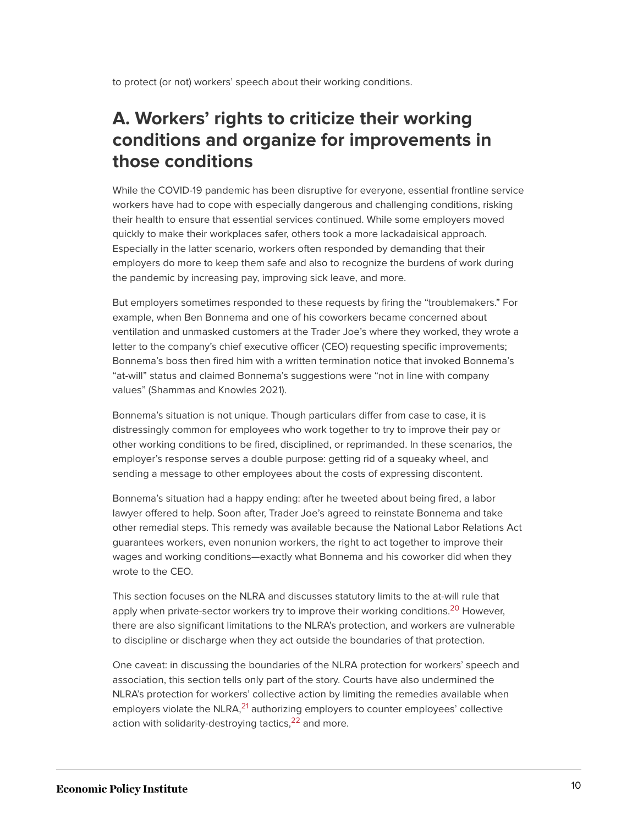to protect (or not) workers' speech about their working conditions.

### **A. Workers' rights to criticize their working conditions and organize for improvements in those conditions**

While the COVID-19 pandemic has been disruptive for everyone, essential frontline service workers have had to cope with especially dangerous and challenging conditions, risking their health to ensure that essential services continued. While some employers moved quickly to make their workplaces safer, others took a more lackadaisical approach. Especially in the latter scenario, workers often responded by demanding that their employers do more to keep them safe and also to recognize the burdens of work during the pandemic by increasing pay, improving sick leave, and more.

But employers sometimes responded to these requests by firing the "troublemakers." For example, when Ben Bonnema and one of his coworkers became concerned about ventilation and unmasked customers at the Trader Joe's where they worked, they wrote a letter to the company's chief executive officer (CEO) requesting specific improvements; Bonnema's boss then fired him with a written termination notice that invoked Bonnema's "at-will" status and claimed Bonnema's suggestions were "not in line with company values" (Shammas and Knowles 2021).

Bonnema's situation is not unique. Though particulars differ from case to case, it is distressingly common for employees who work together to try to improve their pay or other working conditions to be fired, disciplined, or reprimanded. In these scenarios, the employer's response serves a double purpose: getting rid of a squeaky wheel, and sending a message to other employees about the costs of expressing discontent.

Bonnema's situation had a happy ending: after he tweeted about being fired, a labor lawyer offered to help. Soon after, Trader Joe's agreed to reinstate Bonnema and take other remedial steps. This remedy was available because the National Labor Relations Act guarantees workers, even nonunion workers, the right to act together to improve their wages and working conditions—exactly what Bonnema and his coworker did when they wrote to the CEO.

<span id="page-10-0"></span>This section focuses on the NLRA and discusses statutory limits to the at-will rule that apply when private-sector workers try to improve their working conditions.<sup>[20](#page-33-12)</sup> However, there are also significant limitations to the NLRA's protection, and workers are vulnerable to discipline or discharge when they act outside the boundaries of that protection.

<span id="page-10-2"></span><span id="page-10-1"></span>One caveat: in discussing the boundaries of the NLRA protection for workers' speech and association, this section tells only part of the story. Courts have also undermined the NLRA's protection for workers' collective action by limiting the remedies available when employers violate the NLRA, $^{21}$  $^{21}$  $^{21}$  authorizing employers to counter employees' collective action with solidarity-destroying tactics, $22$  and more.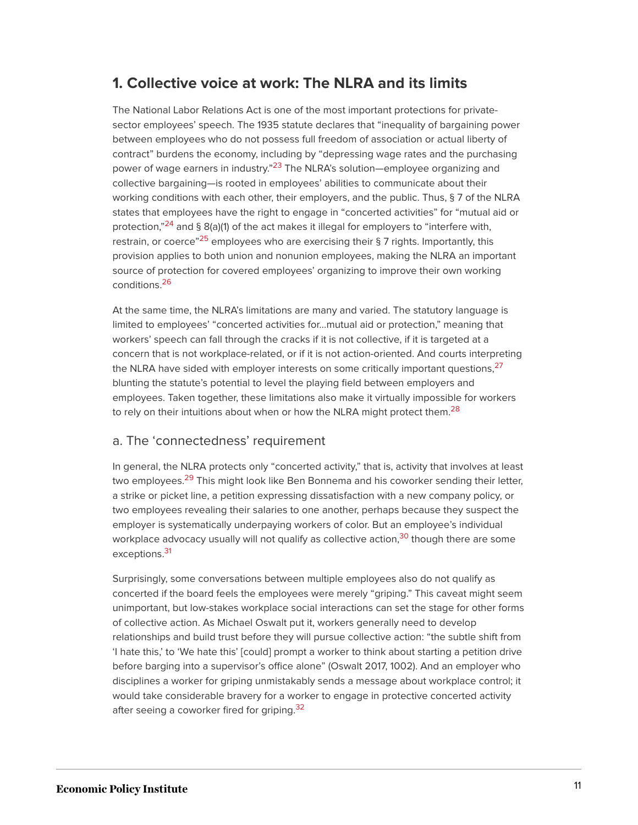#### **1. Collective voice at work: The NLRA and its limits**

<span id="page-11-0"></span>The National Labor Relations Act is one of the most important protections for privatesector employees' speech. The 1935 statute declares that "inequality of bargaining power between employees who do not possess full freedom of association or actual liberty of contract" burdens the economy, including by "depressing wage rates and the purchasing power of wage earners in industry."<sup>[23](#page-33-15)</sup> The NLRA's solution—employee organizing and collective bargaining—is rooted in employees' abilities to communicate about their working conditions with each other, their employers, and the public. Thus, § 7 of the NLRA states that employees have the right to engage in "concerted activities" for "mutual aid or protection,"<sup>[24](#page-34-0)</sup> and § 8(a)(1) of the act makes it illegal for employers to "interfere with, restrain, or coerce"<sup>[25](#page-34-1)</sup> employees who are exercising their § 7 rights. Importantly, this provision applies to both union and nonunion employees, making the NLRA an important source of protection for covered employees' organizing to improve their own working conditions.[26](#page-34-2)

<span id="page-11-4"></span><span id="page-11-3"></span><span id="page-11-2"></span><span id="page-11-1"></span>At the same time, the NLRA's limitations are many and varied. The statutory language is limited to employees' "concerted activities for…mutual aid or protection," meaning that workers' speech can fall through the cracks if it is not collective, if it is targeted at a concern that is not workplace-related, or if it is not action-oriented. And courts interpreting the NLRA have sided with employer interests on some critically important questions, $^{27}$  $^{27}$  $^{27}$ blunting the statute's potential to level the playing field between employers and employees. Taken together, these limitations also make it virtually impossible for workers to rely on their intuitions about when or how the NLRA might protect them.<sup>[28](#page-34-4)</sup>

#### <span id="page-11-5"></span>a. The 'connectedness' requirement

<span id="page-11-6"></span>In general, the NLRA protects only "concerted activity," that is, activity that involves at least two employees.<sup>[29](#page-34-5)</sup> This might look like Ben Bonnema and his coworker sending their letter, a strike or picket line, a petition expressing dissatisfaction with a new company policy, or two employees revealing their salaries to one another, perhaps because they suspect the employer is systematically underpaying workers of color. But an employee's individual workplace advocacy usually will not qualify as collective action,  $30$  though there are some exceptions.<sup>[31](#page-34-7)</sup>

<span id="page-11-9"></span><span id="page-11-8"></span><span id="page-11-7"></span>Surprisingly, some conversations between multiple employees also do not qualify as concerted if the board feels the employees were merely "griping." This caveat might seem unimportant, but low-stakes workplace social interactions can set the stage for other forms of collective action. As Michael Oswalt put it, workers generally need to develop relationships and build trust before they will pursue collective action: "the subtle shift from 'I hate this,' to 'We hate this' [could] prompt a worker to think about starting a petition drive before barging into a supervisor's office alone" (Oswalt 2017, 1002). And an employer who disciplines a worker for griping unmistakably sends a message about workplace control; it would take considerable bravery for a worker to engage in protective concerted activity after seeing a coworker fired for griping.<sup>[32](#page-34-8)</sup>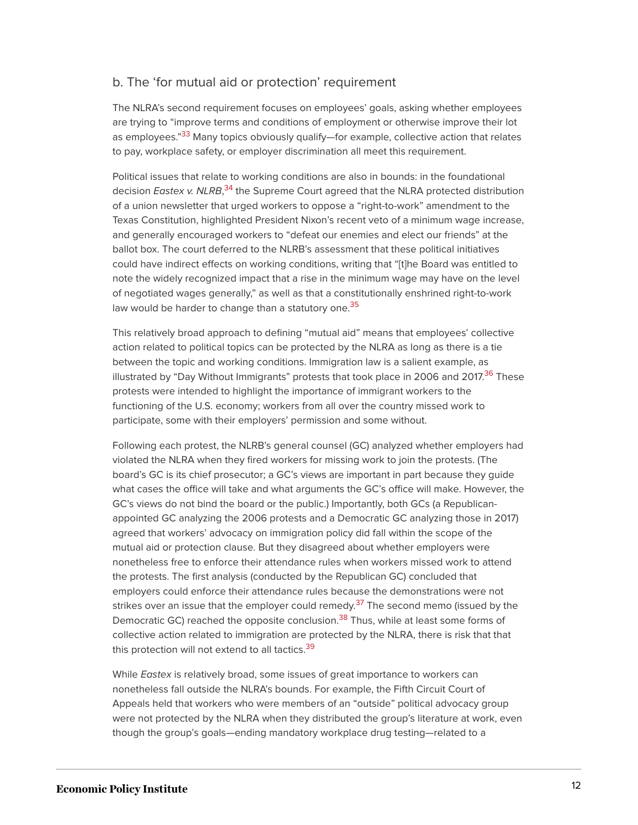#### b. The 'for mutual aid or protection' requirement

<span id="page-12-0"></span>The NLRA's second requirement focuses on employees' goals, asking whether employees are trying to "improve terms and conditions of employment or otherwise improve their lot as employees."<sup>[33](#page-34-9)</sup> Many topics obviously qualify—for example, collective action that relates to pay, workplace safety, or employer discrimination all meet this requirement.

<span id="page-12-1"></span>Political issues that relate to working conditions are also in bounds: in the foundational decision *Eastex v. NLRB*,<sup>[34](#page-34-10)</sup> the Supreme Court agreed that the NLRA protected distribution of a union newsletter that urged workers to oppose a "right-to-work" amendment to the Texas Constitution, highlighted President Nixon's recent veto of a minimum wage increase, and generally encouraged workers to "defeat our enemies and elect our friends" at the ballot box. The court deferred to the NLRB's assessment that these political initiatives could have indirect effects on working conditions, writing that "[t]he Board was entitled to note the widely recognized impact that a rise in the minimum wage may have on the level of negotiated wages generally," as well as that a constitutionally enshrined right-to-work law would be harder to change than a statutory one.<sup>[35](#page-35-0)</sup>

<span id="page-12-3"></span><span id="page-12-2"></span>This relatively broad approach to defining "mutual aid" means that employees' collective action related to political topics can be protected by the NLRA as long as there is a tie between the topic and working conditions. Immigration law is a salient example, as illustrated by "Day Without Immigrants" protests that took place in 2006 and 2017.<sup>[36](#page-35-1)</sup> These protests were intended to highlight the importance of immigrant workers to the functioning of the U.S. economy; workers from all over the country missed work to participate, some with their employers' permission and some without.

Following each protest, the NLRB's general counsel (GC) analyzed whether employers had violated the NLRA when they fired workers for missing work to join the protests. (The board's GC is its chief prosecutor; a GC's views are important in part because they guide what cases the office will take and what arguments the GC's office will make. However, the GC's views do not bind the board or the public.) Importantly, both GCs (a Republicanappointed GC analyzing the 2006 protests and a Democratic GC analyzing those in 2017) agreed that workers' advocacy on immigration policy did fall within the scope of the mutual aid or protection clause. But they disagreed about whether employers were nonetheless free to enforce their attendance rules when workers missed work to attend the protests. The first analysis (conducted by the Republican GC) concluded that employers could enforce their attendance rules because the demonstrations were not strikes over an issue that the employer could remedy.<sup>[37](#page-35-2)</sup> The second memo (issued by the Democratic GC) reached the opposite conclusion.<sup>[38](#page-35-3)</sup> Thus, while at least some forms of collective action related to immigration are protected by the NLRA, there is risk that that this protection will not extend to all tactics.<sup>[39](#page-35-4)</sup>

<span id="page-12-6"></span><span id="page-12-5"></span><span id="page-12-4"></span>While *Eastex* is relatively broad, some issues of great importance to workers can nonetheless fall outside the NLRA's bounds. For example, the Fifth Circuit Court of Appeals held that workers who were members of an "outside" political advocacy group were not protected by the NLRA when they distributed the group's literature at work, even though the group's goals—ending mandatory workplace drug testing—related to a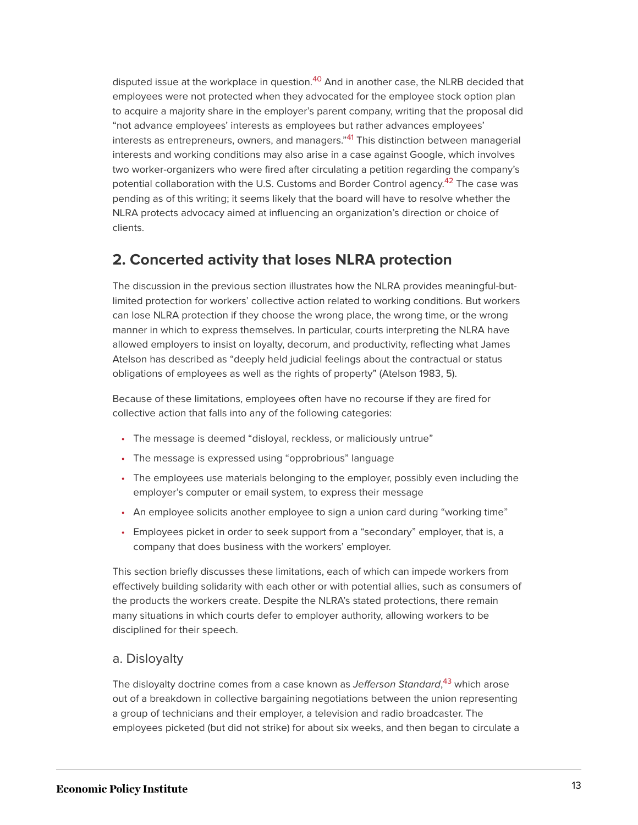<span id="page-13-1"></span><span id="page-13-0"></span>disputed issue at the workplace in question.<sup>[40](#page-35-5)</sup> And in another case, the NLRB decided that employees were not protected when they advocated for the employee stock option plan to acquire a majority share in the employer's parent company, writing that the proposal did "not advance employees' interests as employees but rather advances employees' interests as entrepreneurs, owners, and managers."<sup>[41](#page-35-6)</sup> This distinction between managerial interests and working conditions may also arise in a case against Google, which involves two worker-organizers who were fired after circulating a petition regarding the company's potential collaboration with the U.S. Customs and Border Control agency.<sup>[42](#page-35-7)</sup> The case was pending as of this writing; it seems likely that the board will have to resolve whether the NLRA protects advocacy aimed at influencing an organization's direction or choice of clients.

#### <span id="page-13-2"></span>**2. Concerted activity that loses NLRA protection**

The discussion in the previous section illustrates how the NLRA provides meaningful-butlimited protection for workers' collective action related to working conditions. But workers can lose NLRA protection if they choose the wrong place, the wrong time, or the wrong manner in which to express themselves. In particular, courts interpreting the NLRA have allowed employers to insist on loyalty, decorum, and productivity, reflecting what James Atelson has described as "deeply held judicial feelings about the contractual or status obligations of employees as well as the rights of property" (Atelson 1983, 5).

Because of these limitations, employees often have no recourse if they are fired for collective action that falls into any of the following categories:

- The message is deemed "disloyal, reckless, or maliciously untrue"
- The message is expressed using "opprobrious" language
- The employees use materials belonging to the employer, possibly even including the employer's computer or email system, to express their message
- An employee solicits another employee to sign a union card during "working time"
- Employees picket in order to seek support from a "secondary" employer, that is, a company that does business with the workers' employer.

This section briefly discusses these limitations, each of which can impede workers from effectively building solidarity with each other or with potential allies, such as consumers of the products the workers create. Despite the NLRA's stated protections, there remain many situations in which courts defer to employer authority, allowing workers to be disciplined for their speech.

#### a. Disloyalty

<span id="page-13-3"></span>The disloyalty doctrine comes from a case known as *Jefferson Standard*,<sup>[43](#page-35-8)</sup> which arose out of a breakdown in collective bargaining negotiations between the union representing a group of technicians and their employer, a television and radio broadcaster. The employees picketed (but did not strike) for about six weeks, and then began to circulate a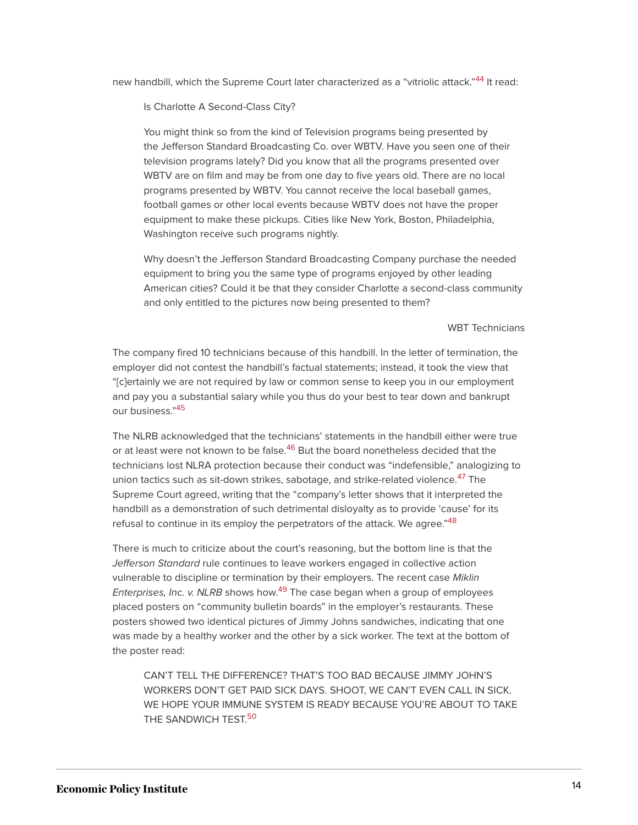<span id="page-14-0"></span>new handbill, which the Supreme Court later characterized as a "vitriolic attack."<sup>[44](#page-35-9)</sup> It read:

Is Charlotte A Second-Class City?

You might think so from the kind of Television programs being presented by the Jefferson Standard Broadcasting Co. over WBTV. Have you seen one of their television programs lately? Did you know that all the programs presented over WBTV are on film and may be from one day to five years old. There are no local programs presented by WBTV. You cannot receive the local baseball games, football games or other local events because WBTV does not have the proper equipment to make these pickups. Cities like New York, Boston, Philadelphia, Washington receive such programs nightly.

Why doesn't the Jefferson Standard Broadcasting Company purchase the needed equipment to bring you the same type of programs enjoyed by other leading American cities? Could it be that they consider Charlotte a second-class community and only entitled to the pictures now being presented to them?

#### WBT Technicians

The company fired 10 technicians because of this handbill. In the letter of termination, the employer did not contest the handbill's factual statements; instead, it took the view that "[c]ertainly we are not required by law or common sense to keep you in our employment and pay you a substantial salary while you thus do your best to tear down and bankrupt our business."<sup>[45](#page-35-10)</sup>

<span id="page-14-3"></span><span id="page-14-2"></span><span id="page-14-1"></span>The NLRB acknowledged that the technicians' statements in the handbill either were true or at least were not known to be false.<sup>[46](#page-35-11)</sup> But the board nonetheless decided that the technicians lost NLRA protection because their conduct was "indefensible," analogizing to union tactics such as sit-down strikes, sabotage, and strike-related violence.<sup>[47](#page-35-12)</sup> The Supreme Court agreed, writing that the "company's letter shows that it interpreted the handbill as a demonstration of such detrimental disloyalty as to provide 'cause' for its refusal to continue in its employ the perpetrators of the attack. We agree."<sup>[48](#page-35-13)</sup>

<span id="page-14-5"></span><span id="page-14-4"></span>There is much to criticize about the court's reasoning, but the bottom line is that the Jefferson Standard rule continues to leave workers engaged in collective action vulnerable to discipline or termination by their employers. The recent case Miklin Enterprises, Inc. v. NLRB shows how.<sup>[49](#page-35-14)</sup> The case began when a group of employees placed posters on "community bulletin boards" in the employer's restaurants. These posters showed two identical pictures of Jimmy Johns sandwiches, indicating that one was made by a healthy worker and the other by a sick worker. The text at the bottom of the poster read:

<span id="page-14-6"></span>CAN'T TELL THE DIFFERENCE? THAT'S TOO BAD BECAUSE JIMMY JOHN'S WORKERS DON'T GET PAID SICK DAYS. SHOOT, WE CAN'T EVEN CALL IN SICK. WE HOPE YOUR IMMUNE SYSTEM IS READY BECAUSE YOU'RE ABOUT TO TAKE THE SANDWICH TEST.<sup>[50](#page-35-15)</sup>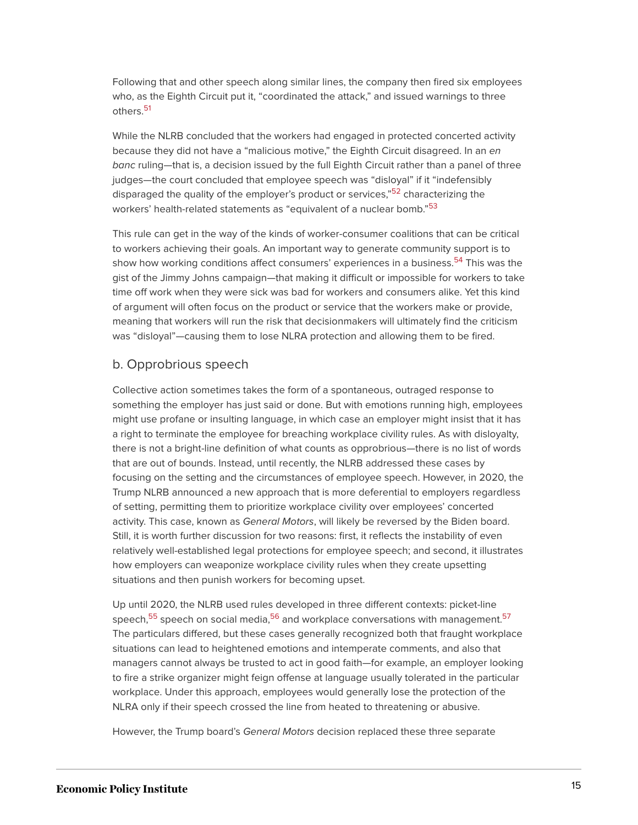Following that and other speech along similar lines, the company then fired six employees who, as the Eighth Circuit put it, "coordinated the attack," and issued warnings to three others.<sup>[51](#page-35-16)</sup>

<span id="page-15-0"></span>While the NLRB concluded that the workers had engaged in protected concerted activity because they did not have a "malicious motive," the Eighth Circuit disagreed. In an en banc ruling-that is, a decision issued by the full Eighth Circuit rather than a panel of three judges—the court concluded that employee speech was "disloyal" if it "indefensibly disparaged the quality of the employer's product or services,"<sup>[52](#page-35-17)</sup> characterizing the workers' health-related statements as "equivalent of a nuclear bomb."<sup>[53](#page-35-18)</sup>

<span id="page-15-3"></span><span id="page-15-2"></span><span id="page-15-1"></span>This rule can get in the way of the kinds of worker-consumer coalitions that can be critical to workers achieving their goals. An important way to generate community support is to show how working conditions affect consumers' experiences in a business.<sup>[54](#page-35-19)</sup> This was the gist of the Jimmy Johns campaign—that making it difficult or impossible for workers to take time off work when they were sick was bad for workers and consumers alike. Yet this kind of argument will often focus on the product or service that the workers make or provide, meaning that workers will run the risk that decisionmakers will ultimately find the criticism was "disloyal"—causing them to lose NLRA protection and allowing them to be fired.

#### b. Opprobrious speech

Collective action sometimes takes the form of a spontaneous, outraged response to something the employer has just said or done. But with emotions running high, employees might use profane or insulting language, in which case an employer might insist that it has a right to terminate the employee for breaching workplace civility rules. As with disloyalty, there is not a bright-line definition of what counts as opprobrious—there is no list of words that are out of bounds. Instead, until recently, the NLRB addressed these cases by focusing on the setting and the circumstances of employee speech. However, in 2020, the Trump NLRB announced a new approach that is more deferential to employers regardless of setting, permitting them to prioritize workplace civility over employees' concerted activity. This case, known as General Motors, will likely be reversed by the Biden board. Still, it is worth further discussion for two reasons: first, it reflects the instability of even relatively well-established legal protections for employee speech; and second, it illustrates how employers can weaponize workplace civility rules when they create upsetting situations and then punish workers for becoming upset.

<span id="page-15-4"></span>Up until 2020, the NLRB used rules developed in three different contexts: picket-line speech,<sup>[55](#page-35-20)</sup> speech on social media,<sup>[56](#page-36-0)</sup> and workplace conversations with management.<sup>[57](#page-36-1)</sup> The particulars differed, but these cases generally recognized both that fraught workplace situations can lead to heightened emotions and intemperate comments, and also that managers cannot always be trusted to act in good faith—for example, an employer looking to fire a strike organizer might feign offense at language usually tolerated in the particular workplace. Under this approach, employees would generally lose the protection of the NLRA only if their speech crossed the line from heated to threatening or abusive.

However, the Trump board's General Motors decision replaced these three separate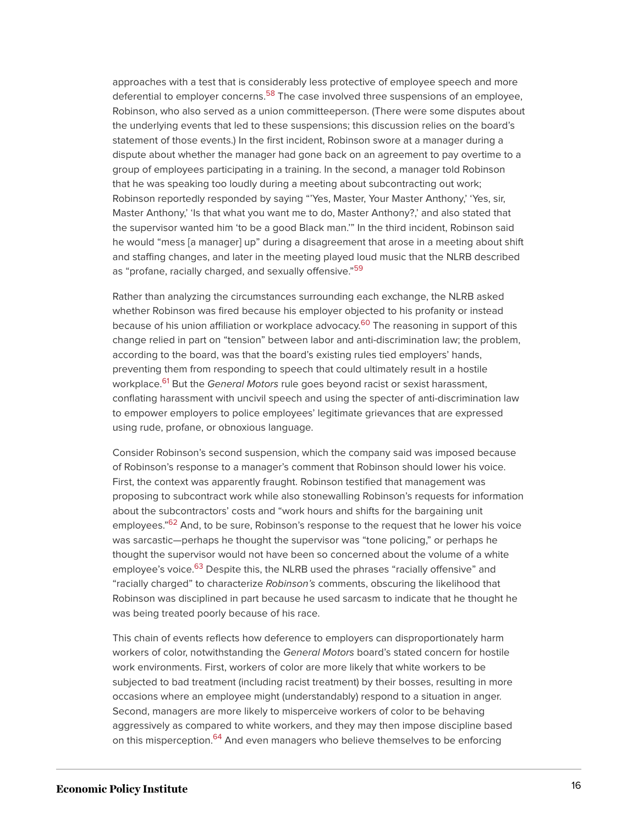<span id="page-16-0"></span>approaches with a test that is considerably less protective of employee speech and more deferential to employer concerns.<sup>[58](#page-36-2)</sup> The case involved three suspensions of an employee, Robinson, who also served as a union committeeperson. (There were some disputes about the underlying events that led to these suspensions; this discussion relies on the board's statement of those events.) In the first incident, Robinson swore at a manager during a dispute about whether the manager had gone back on an agreement to pay overtime to a group of employees participating in a training. In the second, a manager told Robinson that he was speaking too loudly during a meeting about subcontracting out work; Robinson reportedly responded by saying "'Yes, Master, Your Master Anthony,' 'Yes, sir, Master Anthony,' 'Is that what you want me to do, Master Anthony?,' and also stated that the supervisor wanted him 'to be a good Black man.'" In the third incident, Robinson said he would "mess [a manager] up" during a disagreement that arose in a meeting about shift and staffing changes, and later in the meeting played loud music that the NLRB described as "profane, racially charged, and sexually offensive."<sup>[59](#page-36-3)</sup>

<span id="page-16-2"></span><span id="page-16-1"></span>Rather than analyzing the circumstances surrounding each exchange, the NLRB asked whether Robinson was fired because his employer objected to his profanity or instead because of his union affiliation or workplace advocacy.<sup>[60](#page-36-4)</sup> The reasoning in support of this change relied in part on "tension" between labor and anti-discrimination law; the problem, according to the board, was that the board's existing rules tied employers' hands, preventing them from responding to speech that could ultimately result in a hostile workplace.<sup>[61](#page-36-5)</sup> But the *General Motors r*ule goes beyond racist or sexist harassment, conflating harassment with uncivil speech and using the specter of anti-discrimination law to empower employers to police employees' legitimate grievances that are expressed using rude, profane, or obnoxious language.

<span id="page-16-4"></span><span id="page-16-3"></span>Consider Robinson's second suspension, which the company said was imposed because of Robinson's response to a manager's comment that Robinson should lower his voice. First, the context was apparently fraught. Robinson testified that management was proposing to subcontract work while also stonewalling Robinson's requests for information about the subcontractors' costs and "work hours and shifts for the bargaining unit employees."<sup>[62](#page-36-6)</sup> And, to be sure, Robinson's response to the request that he lower his voice was sarcastic—perhaps he thought the supervisor was "tone policing," or perhaps he thought the supervisor would not have been so concerned about the volume of a white employee's voice.<sup>[63](#page-36-7)</sup> Despite this, the NLRB used the phrases "racially offensive" and "racially charged" to characterize Robinson's comments, obscuring the likelihood that Robinson was disciplined in part because he used sarcasm to indicate that he thought he was being treated poorly because of his race.

<span id="page-16-6"></span><span id="page-16-5"></span>This chain of events reflects how deference to employers can disproportionately harm workers of color, notwithstanding the General Motors board's stated concern for hostile work environments. First, workers of color are more likely that white workers to be subjected to bad treatment (including racist treatment) by their bosses, resulting in more occasions where an employee might (understandably) respond to a situation in anger. Second, managers are more likely to misperceive workers of color to be behaving aggressively as compared to white workers, and they may then impose discipline based on this misperception.<sup>[64](#page-36-8)</sup> And even managers who believe themselves to be enforcing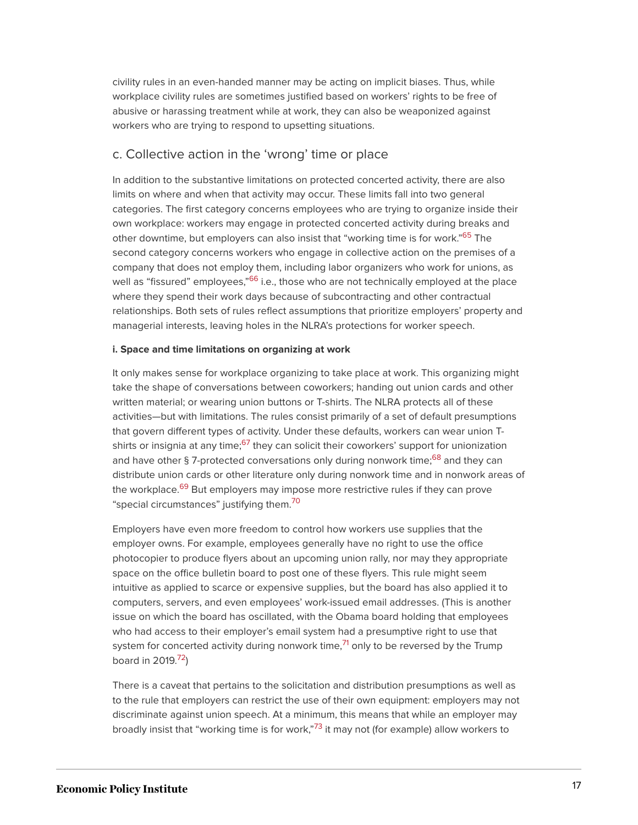civility rules in an even-handed manner may be acting on implicit biases. Thus, while workplace civility rules are sometimes justified based on workers' rights to be free of abusive or harassing treatment while at work, they can also be weaponized against workers who are trying to respond to upsetting situations.

#### c. Collective action in the 'wrong' time or place

<span id="page-17-0"></span>In addition to the substantive limitations on protected concerted activity, there are also limits on where and when that activity may occur. These limits fall into two general categories. The first category concerns employees who are trying to organize inside their own workplace: workers may engage in protected concerted activity during breaks and other downtime, but employers can also insist that "working time is for work."<sup>[65](#page-37-0)</sup> The second category concerns workers who engage in collective action on the premises of a company that does not employ them, including labor organizers who work for unions, as well as "fissured" employees,"<sup>[66](#page-37-1)</sup> i.e., those who are not technically employed at the place where they spend their work days because of subcontracting and other contractual relationships. Both sets of rules reflect assumptions that prioritize employers' property and managerial interests, leaving holes in the NLRA's protections for worker speech.

#### <span id="page-17-1"></span>**i. Space and time limitations on organizing at work**

<span id="page-17-2"></span>It only makes sense for workplace organizing to take place at work. This organizing might take the shape of conversations between coworkers; handing out union cards and other written material; or wearing union buttons or T-shirts. The NLRA protects all of these activities—but with limitations. The rules consist primarily of a set of default presumptions that govern different types of activity. Under these defaults, workers can wear union T-shirts or insignia at any time;<sup>[67](#page-37-2)</sup> they can solicit their coworkers' support for unionization and have other § 7-protected conversations only during nonwork time;<sup>[68](#page-37-3)</sup> and they can distribute union cards or other literature only during nonwork time and in nonwork areas of the workplace.<sup>[69](#page-37-4)</sup> But employers may impose more restrictive rules if they can prove "special circumstances" justifying them.[70](#page-37-5)

<span id="page-17-5"></span><span id="page-17-4"></span><span id="page-17-3"></span>Employers have even more freedom to control how workers use supplies that the employer owns. For example, employees generally have no right to use the office photocopier to produce flyers about an upcoming union rally, nor may they appropriate space on the office bulletin board to post one of these flyers. This rule might seem intuitive as applied to scarce or expensive supplies, but the board has also applied it to computers, servers, and even employees' work-issued email addresses. (This is another issue on which the board has oscillated, with the Obama board holding that employees who had access to their employer's email system had a presumptive right to use that system for concerted activity during nonwork time,<sup>[71](#page-37-6)</sup> only to be reversed by the Trump board in 2019.<sup>[72](#page-37-7)</sup>)

<span id="page-17-8"></span><span id="page-17-7"></span><span id="page-17-6"></span>There is a caveat that pertains to the solicitation and distribution presumptions as well as to the rule that employers can restrict the use of their own equipment: employers may not discriminate against union speech. At a minimum, this means that while an employer may broadly insist that "working time is for work,"<sup>[73](#page-37-8)</sup> it may not (for example) allow workers to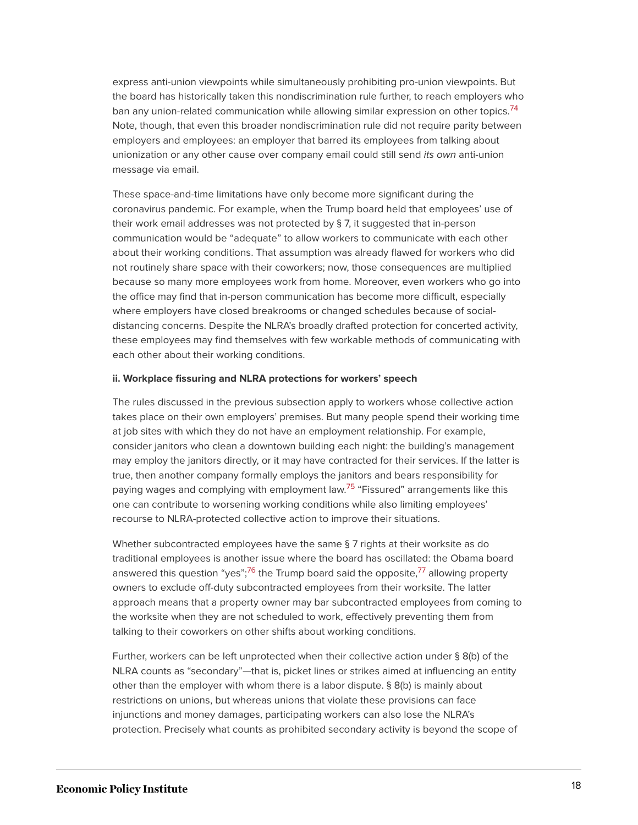<span id="page-18-0"></span>express anti-union viewpoints while simultaneously prohibiting pro-union viewpoints. But the board has historically taken this nondiscrimination rule further, to reach employers who ban any union-related communication while allowing similar expression on other topics.<sup>[74](#page-37-9)</sup> Note, though, that even this broader nondiscrimination rule did not require parity between employers and employees: an employer that barred its employees from talking about unionization or any other cause over company email could still send its own anti-union message via email.

These space-and-time limitations have only become more significant during the coronavirus pandemic. For example, when the Trump board held that employees' use of their work email addresses was not protected by § 7, it suggested that in-person communication would be "adequate" to allow workers to communicate with each other about their working conditions. That assumption was already flawed for workers who did not routinely share space with their coworkers; now, those consequences are multiplied because so many more employees work from home. Moreover, even workers who go into the office may find that in-person communication has become more difficult, especially where employers have closed breakrooms or changed schedules because of socialdistancing concerns. Despite the NLRA's broadly drafted protection for concerted activity, these employees may find themselves with few workable methods of communicating with each other about their working conditions.

#### **ii. Workplace fissuring and NLRA protections for workers' speech**

The rules discussed in the previous subsection apply to workers whose collective action takes place on their own employers' premises. But many people spend their working time at job sites with which they do not have an employment relationship. For example, consider janitors who clean a downtown building each night: the building's management may employ the janitors directly, or it may have contracted for their services. If the latter is true, then another company formally employs the janitors and bears responsibility for paying wages and complying with employment law.<sup>[75](#page-38-0)</sup> "Fissured" arrangements like this one can contribute to worsening working conditions while also limiting employees' recourse to NLRA-protected collective action to improve their situations.

<span id="page-18-2"></span><span id="page-18-1"></span>Whether subcontracted employees have the same § 7 rights at their worksite as do traditional employees is another issue where the board has oscillated: the Obama board answered this question "yes";<sup>[76](#page-38-1)</sup> the Trump board said the opposite,<sup>[77](#page-38-2)</sup> allowing property owners to exclude off-duty subcontracted employees from their worksite. The latter approach means that a property owner may bar subcontracted employees from coming to the worksite when they are not scheduled to work, effectively preventing them from talking to their coworkers on other shifts about working conditions.

Further, workers can be left unprotected when their collective action under § 8(b) of the NLRA counts as "secondary"—that is, picket lines or strikes aimed at influencing an entity other than the employer with whom there is a labor dispute. § 8(b) is mainly about restrictions on unions, but whereas unions that violate these provisions can face injunctions and money damages, participating workers can also lose the NLRA's protection. Precisely what counts as prohibited secondary activity is beyond the scope of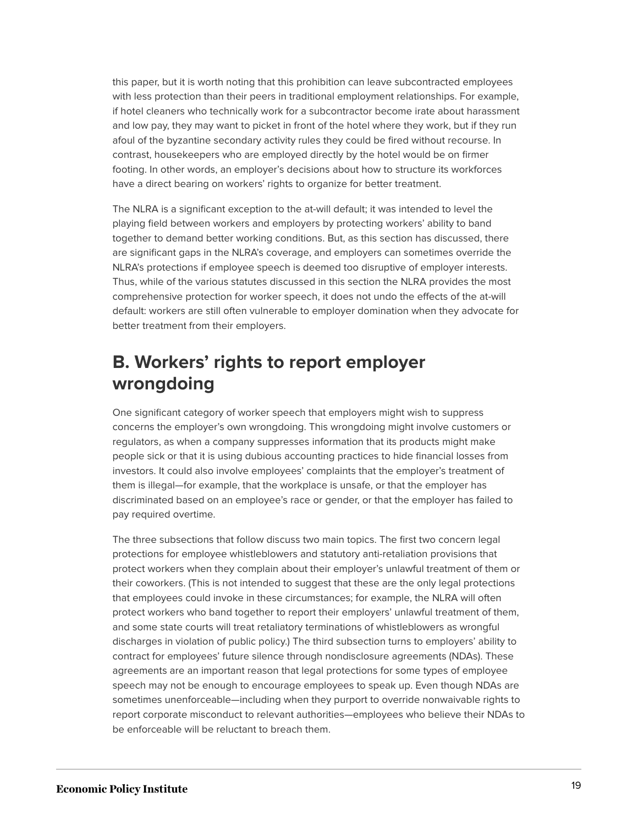this paper, but it is worth noting that this prohibition can leave subcontracted employees with less protection than their peers in traditional employment relationships. For example, if hotel cleaners who technically work for a subcontractor become irate about harassment and low pay, they may want to picket in front of the hotel where they work, but if they run afoul of the byzantine secondary activity rules they could be fired without recourse. In contrast, housekeepers who are employed directly by the hotel would be on firmer footing. In other words, an employer's decisions about how to structure its workforces have a direct bearing on workers' rights to organize for better treatment.

The NLRA is a significant exception to the at-will default; it was intended to level the playing field between workers and employers by protecting workers' ability to band together to demand better working conditions. But, as this section has discussed, there are significant gaps in the NLRA's coverage, and employers can sometimes override the NLRA's protections if employee speech is deemed too disruptive of employer interests. Thus, while of the various statutes discussed in this section the NLRA provides the most comprehensive protection for worker speech, it does not undo the effects of the at-will default: workers are still often vulnerable to employer domination when they advocate for better treatment from their employers.

### **B. Workers' rights to report employer wrongdoing**

One significant category of worker speech that employers might wish to suppress concerns the employer's own wrongdoing. This wrongdoing might involve customers or regulators, as when a company suppresses information that its products might make people sick or that it is using dubious accounting practices to hide financial losses from investors. It could also involve employees' complaints that the employer's treatment of them is illegal—for example, that the workplace is unsafe, or that the employer has discriminated based on an employee's race or gender, or that the employer has failed to pay required overtime.

The three subsections that follow discuss two main topics. The first two concern legal protections for employee whistleblowers and statutory anti-retaliation provisions that protect workers when they complain about their employer's unlawful treatment of them or their coworkers. (This is not intended to suggest that these are the only legal protections that employees could invoke in these circumstances; for example, the NLRA will often protect workers who band together to report their employers' unlawful treatment of them, and some state courts will treat retaliatory terminations of whistleblowers as wrongful discharges in violation of public policy.) The third subsection turns to employers' ability to contract for employees' future silence through nondisclosure agreements (NDAs). These agreements are an important reason that legal protections for some types of employee speech may not be enough to encourage employees to speak up. Even though NDAs are sometimes unenforceable—including when they purport to override nonwaivable rights to report corporate misconduct to relevant authorities—employees who believe their NDAs to be enforceable will be reluctant to breach them.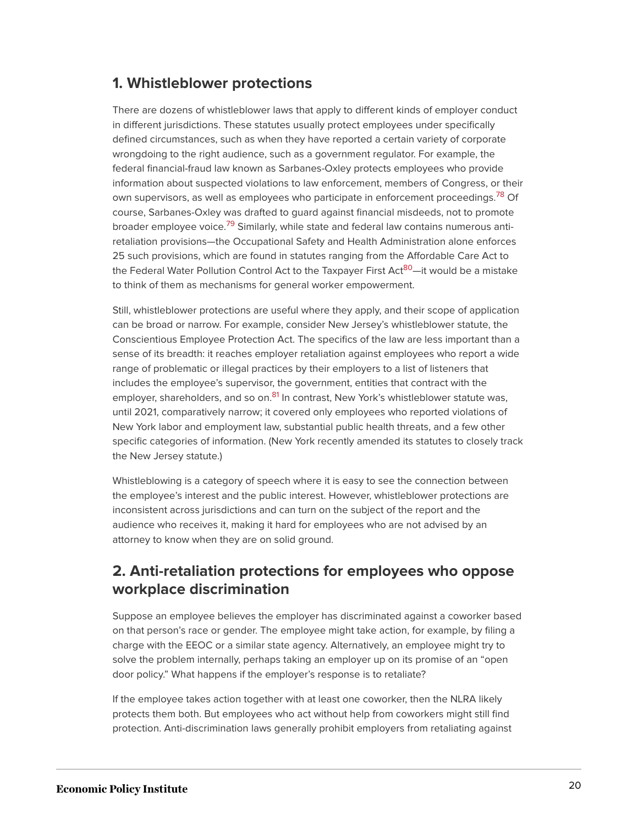#### **1. Whistleblower protections**

<span id="page-20-0"></span>There are dozens of whistleblower laws that apply to different kinds of employer conduct in different jurisdictions. These statutes usually protect employees under specifically defined circumstances, such as when they have reported a certain variety of corporate wrongdoing to the right audience, such as a government regulator. For example, the federal financial-fraud law known as Sarbanes-Oxley protects employees who provide information about suspected violations to law enforcement, members of Congress, or their own supervisors, as well as employees who participate in enforcement proceedings.<sup>[78](#page-38-3)</sup> Of course, Sarbanes-Oxley was drafted to guard against financial misdeeds, not to promote broader employee voice.<sup>[79](#page-38-4)</sup> Similarly, while state and federal law contains numerous antiretaliation provisions—the Occupational Safety and Health Administration alone enforces 25 such provisions, which are found in statutes ranging from the Affordable Care Act to the Federal Water Pollution Control Act to the Taxpayer First Act<sup>[80](#page-38-5)</sup>—it would be a mistake to think of them as mechanisms for general worker empowerment.

<span id="page-20-2"></span><span id="page-20-1"></span>Still, whistleblower protections are useful where they apply, and their scope of application can be broad or narrow. For example, consider New Jersey's whistleblower statute, the Conscientious Employee Protection Act. The specifics of the law are less important than a sense of its breadth: it reaches employer retaliation against employees who report a wide range of problematic or illegal practices by their employers to a list of listeners that includes the employee's supervisor, the government, entities that contract with the employer, shareholders, and so on. $81$  In contrast, New York's whistleblower statute was, until 2021, comparatively narrow; it covered only employees who reported violations of New York labor and employment law, substantial public health threats, and a few other specific categories of information. (New York recently amended its statutes to closely track the New Jersey statute.)

<span id="page-20-3"></span>Whistleblowing is a category of speech where it is easy to see the connection between the employee's interest and the public interest. However, whistleblower protections are inconsistent across jurisdictions and can turn on the subject of the report and the audience who receives it, making it hard for employees who are not advised by an attorney to know when they are on solid ground.

#### **2. Anti-retaliation protections for employees who oppose workplace discrimination**

Suppose an employee believes the employer has discriminated against a coworker based on that person's race or gender. The employee might take action, for example, by filing a charge with the EEOC or a similar state agency. Alternatively, an employee might try to solve the problem internally, perhaps taking an employer up on its promise of an "open door policy." What happens if the employer's response is to retaliate?

If the employee takes action together with at least one coworker, then the NLRA likely protects them both. But employees who act without help from coworkers might still find protection. Anti-discrimination laws generally prohibit employers from retaliating against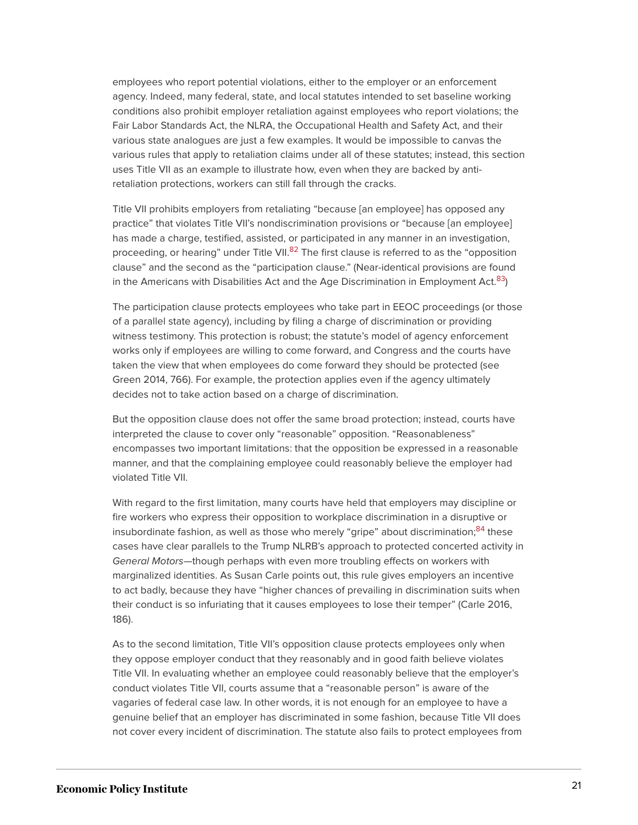employees who report potential violations, either to the employer or an enforcement agency. Indeed, many federal, state, and local statutes intended to set baseline working conditions also prohibit employer retaliation against employees who report violations; the Fair Labor Standards Act, the NLRA, the Occupational Health and Safety Act, and their various state analogues are just a few examples. It would be impossible to canvas the various rules that apply to retaliation claims under all of these statutes; instead, this section uses Title VII as an example to illustrate how, even when they are backed by antiretaliation protections, workers can still fall through the cracks.

<span id="page-21-0"></span>Title VII prohibits employers from retaliating "because [an employee] has opposed any practice" that violates Title VII's nondiscrimination provisions or "because [an employee] has made a charge, testified, assisted, or participated in any manner in an investigation, proceeding, or hearing" under Title VII.<sup>[82](#page-38-7)</sup> The first clause is referred to as the "opposition clause" and the second as the "participation clause." (Near-identical provisions are found in the Americans with Disabilities Act and the Age Discrimination in Employment Act. $83$ )

<span id="page-21-1"></span>The participation clause protects employees who take part in EEOC proceedings (or those of a parallel state agency), including by filing a charge of discrimination or providing witness testimony. This protection is robust; the statute's model of agency enforcement works only if employees are willing to come forward, and Congress and the courts have taken the view that when employees do come forward they should be protected (see Green 2014, 766). For example, the protection applies even if the agency ultimately decides not to take action based on a charge of discrimination.

But the opposition clause does not offer the same broad protection; instead, courts have interpreted the clause to cover only "reasonable" opposition. "Reasonableness" encompasses two important limitations: that the opposition be expressed in a reasonable manner, and that the complaining employee could reasonably believe the employer had violated Title VII.

<span id="page-21-2"></span>With regard to the first limitation, many courts have held that employers may discipline or fire workers who express their opposition to workplace discrimination in a disruptive or insubordinate fashion, as well as those who merely "gripe" about discrimination;<sup>[84](#page-38-9)</sup> these cases have clear parallels to the Trump NLRB's approach to protected concerted activity in General Motors—though perhaps with even more troubling effects on workers with marginalized identities. As Susan Carle points out, this rule gives employers an incentive to act badly, because they have "higher chances of prevailing in discrimination suits when their conduct is so infuriating that it causes employees to lose their temper" (Carle 2016, 186).

As to the second limitation, Title VII's opposition clause protects employees only when they oppose employer conduct that they reasonably and in good faith believe violates Title VII. In evaluating whether an employee could reasonably believe that the employer's conduct violates Title VII, courts assume that a "reasonable person" is aware of the vagaries of federal case law. In other words, it is not enough for an employee to have a genuine belief that an employer has discriminated in some fashion, because Title VII does not cover every incident of discrimination. The statute also fails to protect employees from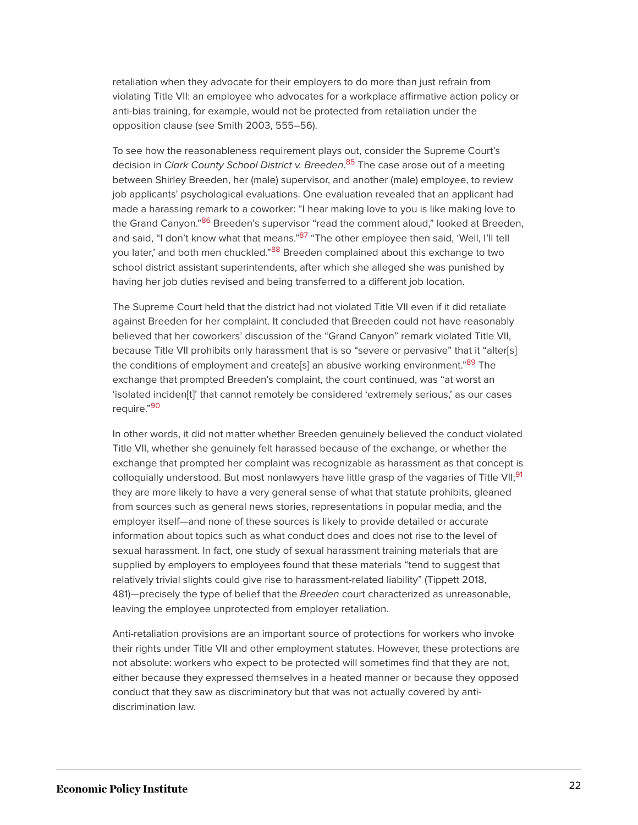retaliation when they advocate for their employers to do more than just refrain from violating Title VII: an employee who advocates for a workplace affirmative action policy or anti-bias training, for example, would not be protected from retaliation under the opposition clause (see Smith 2003, 555–56).

<span id="page-22-1"></span><span id="page-22-0"></span>To see how the reasonableness requirement plays out, consider the Supreme Court's decision in Clark County School District v. Breeden.<sup>[85](#page-38-10)</sup> The case arose out of a meeting between Shirley Breeden, her (male) supervisor, and another (male) employee, to review job applicants' psychological evaluations. One evaluation revealed that an applicant had made a harassing remark to a coworker: "I hear making love to you is like making love to the Grand Canyon."<sup>[86](#page-38-11)</sup> Breeden's supervisor "read the comment aloud," looked at Breeden, and said, "I don't know what that means."<sup>[87](#page-38-12)</sup> "The other employee then said, 'Well, I'll tell you later,' and both men chuckled."<sup>[88](#page-38-13)</sup> Breeden complained about this exchange to two school district assistant superintendents, after which she alleged she was punished by having her job duties revised and being transferred to a different job location.

<span id="page-22-4"></span><span id="page-22-3"></span><span id="page-22-2"></span>The Supreme Court held that the district had not violated Title VII even if it did retaliate against Breeden for her complaint. It concluded that Breeden could not have reasonably believed that her coworkers' discussion of the "Grand Canyon" remark violated Title VII, because Title VII prohibits only harassment that is so "severe or pervasive" that it "alter[s] the conditions of employment and create[s] an abusive working environment."<sup>[89](#page-38-14)</sup> The exchange that prompted Breeden's complaint, the court continued, was "at worst an 'isolated inciden[t]' that cannot remotely be considered 'extremely serious,' as our cases require."<sup>[90](#page-38-15)</sup>

<span id="page-22-6"></span><span id="page-22-5"></span>In other words, it did not matter whether Breeden genuinely believed the conduct violated Title VII, whether she genuinely felt harassed because of the exchange, or whether the exchange that prompted her complaint was recognizable as harassment as that concept is colloquially understood. But most nonlawyers have little grasp of the vagaries of Title VII;<sup>[91](#page-39-0)</sup> they are more likely to have a very general sense of what that statute prohibits, gleaned from sources such as general news stories, representations in popular media, and the employer itself—and none of these sources is likely to provide detailed or accurate information about topics such as what conduct does and does not rise to the level of sexual harassment. In fact, one study of sexual harassment training materials that are supplied by employers to employees found that these materials "tend to suggest that relatively trivial slights could give rise to harassment-related liability" (Tippett 2018, 481)—precisely the type of belief that the Breeden court characterized as unreasonable, leaving the employee unprotected from employer retaliation.

Anti-retaliation provisions are an important source of protections for workers who invoke their rights under Title VII and other employment statutes. However, these protections are not absolute: workers who expect to be protected will sometimes find that they are not, either because they expressed themselves in a heated manner or because they opposed conduct that they saw as discriminatory but that was not actually covered by antidiscrimination law.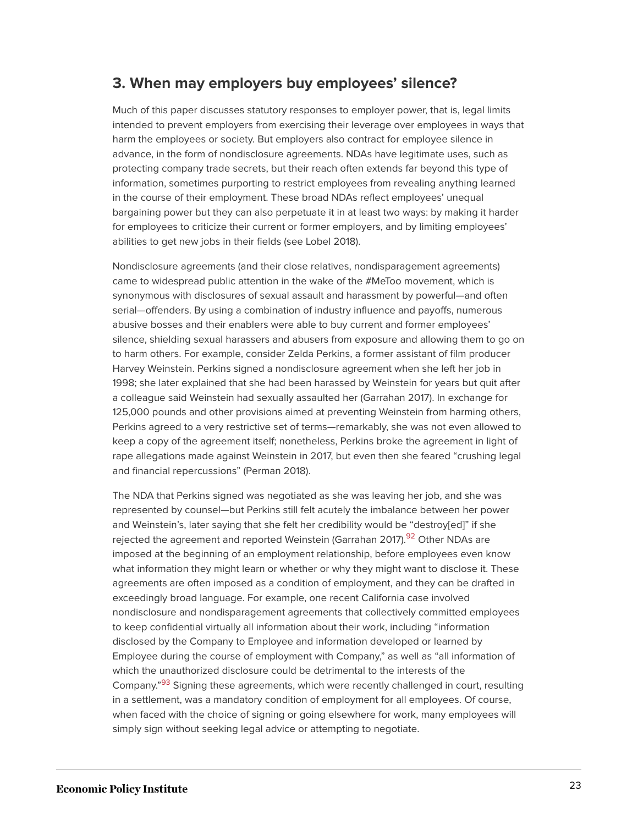#### **3. When may employers buy employees' silence?**

Much of this paper discusses statutory responses to employer power, that is, legal limits intended to prevent employers from exercising their leverage over employees in ways that harm the employees or society. But employers also contract for employee silence in advance, in the form of nondisclosure agreements. NDAs have legitimate uses, such as protecting company trade secrets, but their reach often extends far beyond this type of information, sometimes purporting to restrict employees from revealing anything learned in the course of their employment. These broad NDAs reflect employees' unequal bargaining power but they can also perpetuate it in at least two ways: by making it harder for employees to criticize their current or former employers, and by limiting employees' abilities to get new jobs in their fields (see Lobel 2018).

Nondisclosure agreements (and their close relatives, nondisparagement agreements) came to widespread public attention in the wake of the #MeToo movement, which is synonymous with disclosures of sexual assault and harassment by powerful—and often serial—offenders. By using a combination of industry influence and payoffs, numerous abusive bosses and their enablers were able to buy current and former employees' silence, shielding sexual harassers and abusers from exposure and allowing them to go on to harm others. For example, consider Zelda Perkins, a former assistant of film producer Harvey Weinstein. Perkins signed a nondisclosure agreement when she left her job in 1998; she later explained that she had been harassed by Weinstein for years but quit after a colleague said Weinstein had sexually assaulted her (Garrahan 2017). In exchange for 125,000 pounds and other provisions aimed at preventing Weinstein from harming others, Perkins agreed to a very restrictive set of terms—remarkably, she was not even allowed to keep a copy of the agreement itself; nonetheless, Perkins broke the agreement in light of rape allegations made against Weinstein in 2017, but even then she feared "crushing legal and financial repercussions" (Perman 2018).

<span id="page-23-1"></span><span id="page-23-0"></span>The NDA that Perkins signed was negotiated as she was leaving her job, and she was represented by counsel—but Perkins still felt acutely the imbalance between her power and Weinstein's, later saying that she felt her credibility would be "destroy[ed]" if she rejected the agreement and reported Weinstein (Garrahan 2017).<sup>[92](#page-39-1)</sup> Other NDAs are imposed at the beginning of an employment relationship, before employees even know what information they might learn or whether or why they might want to disclose it. These agreements are often imposed as a condition of employment, and they can be drafted in exceedingly broad language. For example, one recent California case involved nondisclosure and nondisparagement agreements that collectively committed employees to keep confidential virtually all information about their work, including "information disclosed by the Company to Employee and information developed or learned by Employee during the course of employment with Company," as well as "all information of which the unauthorized disclosure could be detrimental to the interests of the Company."<sup>[93](#page-39-2)</sup> Signing these agreements, which were recently challenged in court, resulting in a settlement, was a mandatory condition of employment for all employees. Of course, when faced with the choice of signing or going elsewhere for work, many employees will simply sign without seeking legal advice or attempting to negotiate.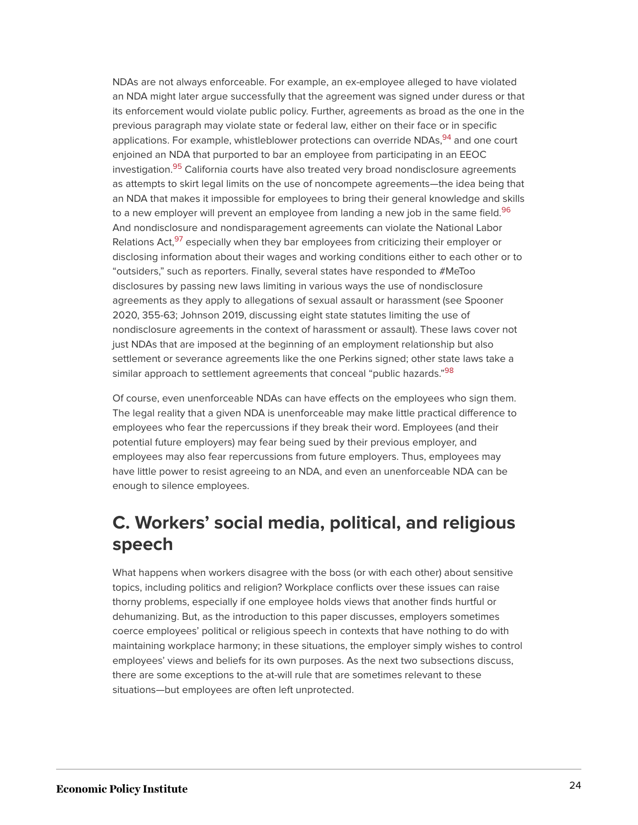<span id="page-24-3"></span><span id="page-24-2"></span><span id="page-24-1"></span><span id="page-24-0"></span>NDAs are not always enforceable. For example, an ex-employee alleged to have violated an NDA might later argue successfully that the agreement was signed under duress or that its enforcement would violate public policy. Further, agreements as broad as the one in the previous paragraph may violate state or federal law, either on their face or in specific applications. For example, whistleblower protections can override NDAs, <sup>[94](#page-39-3)</sup> and one court enjoined an NDA that purported to bar an employee from participating in an EEOC investigation.<sup>[95](#page-39-4)</sup> California courts have also treated very broad nondisclosure agreements as attempts to skirt legal limits on the use of noncompete agreements—the idea being that an NDA that makes it impossible for employees to bring their general knowledge and skills to a new employer will prevent an employee from landing a new job in the same field.<sup>[96](#page-39-5)</sup> And nondisclosure and nondisparagement agreements can violate the National Labor Relations Act,<sup>[97](#page-39-6)</sup> especially when they bar employees from criticizing their employer or disclosing information about their wages and working conditions either to each other or to "outsiders," such as reporters. Finally, several states have responded to #MeToo disclosures by passing new laws limiting in various ways the use of nondisclosure agreements as they apply to allegations of sexual assault or harassment (see Spooner 2020, 355-63; Johnson 2019, discussing eight state statutes limiting the use of nondisclosure agreements in the context of harassment or assault). These laws cover not just NDAs that are imposed at the beginning of an employment relationship but also settlement or severance agreements like the one Perkins signed; other state laws take a similar approach to settlement agreements that conceal "public hazards."<sup>[98](#page-39-7)</sup>

<span id="page-24-4"></span>Of course, even unenforceable NDAs can have effects on the employees who sign them. The legal reality that a given NDA is unenforceable may make little practical difference to employees who fear the repercussions if they break their word. Employees (and their potential future employers) may fear being sued by their previous employer, and employees may also fear repercussions from future employers. Thus, employees may have little power to resist agreeing to an NDA, and even an unenforceable NDA can be enough to silence employees.

### **C. Workers' social media, political, and religious speech**

What happens when workers disagree with the boss (or with each other) about sensitive topics, including politics and religion? Workplace conflicts over these issues can raise thorny problems, especially if one employee holds views that another finds hurtful or dehumanizing. But, as the introduction to this paper discusses, employers sometimes coerce employees' political or religious speech in contexts that have nothing to do with maintaining workplace harmony; in these situations, the employer simply wishes to control employees' views and beliefs for its own purposes. As the next two subsections discuss, there are some exceptions to the at-will rule that are sometimes relevant to these situations—but employees are often left unprotected.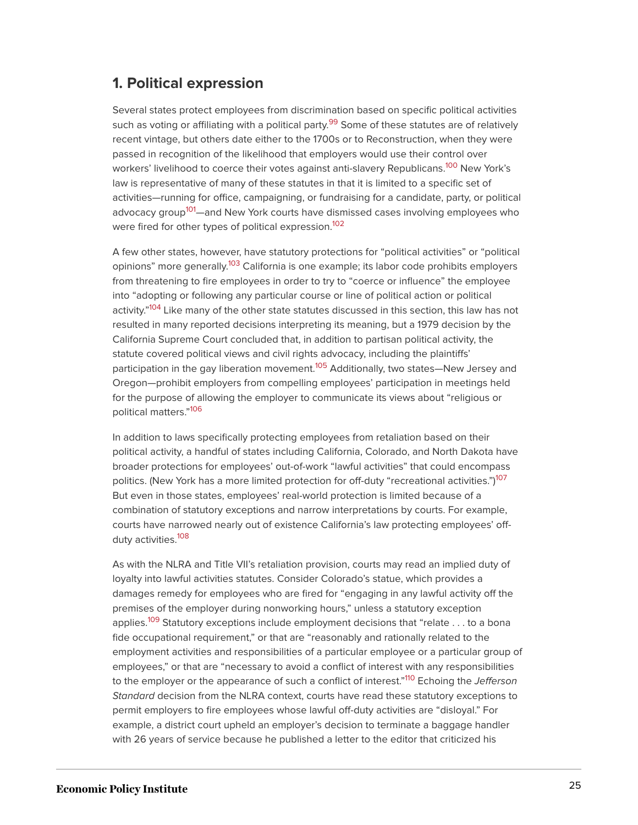#### **1. Political expression**

<span id="page-25-1"></span><span id="page-25-0"></span>Several states protect employees from discrimination based on specific political activities such as voting or affiliating with a political party.<sup>[99](#page-39-8)</sup> Some of these statutes are of relatively recent vintage, but others date either to the 1700s or to Reconstruction, when they were passed in recognition of the likelihood that employers would use their control over workers' livelihood to coerce their votes against anti-slavery Republicans.<sup>[100](#page-39-9)</sup> New York's law is representative of many of these statutes in that it is limited to a specific set of activities—running for office, campaigning, or fundraising for a candidate, party, or political advocacy group<sup>[101](#page-39-10)</sup>—and New York courts have dismissed cases involving employees who were fired for other types of political expression.<sup>[102](#page-39-11)</sup>

<span id="page-25-5"></span><span id="page-25-4"></span><span id="page-25-3"></span><span id="page-25-2"></span>A few other states, however, have statutory protections for "political activities" or "political opinions" more generally.<sup>[103](#page-39-12)</sup> California is one example; its labor code prohibits employers from threatening to fire employees in order to try to "coerce or influence" the employee into "adopting or following any particular course or line of political action or political activity."<sup>[104](#page-39-13)</sup> Like many of the other state statutes discussed in this section, this law has not resulted in many reported decisions interpreting its meaning, but a 1979 decision by the California Supreme Court concluded that, in addition to partisan political activity, the statute covered political views and civil rights advocacy, including the plaintiffs' participation in the gay liberation movement.<sup>[105](#page-39-14)</sup> Additionally, two states—New Jersey and Oregon—prohibit employers from compelling employees' participation in meetings held for the purpose of allowing the employer to communicate its views about "religious or political matters." [106](#page-39-15)

<span id="page-25-8"></span><span id="page-25-7"></span><span id="page-25-6"></span>In addition to laws specifically protecting employees from retaliation based on their political activity, a handful of states including California, Colorado, and North Dakota have broader protections for employees' out-of-work "lawful activities" that could encompass politics. (New York has a more limited protection for off-duty "recreational activities.")<sup>[107](#page-39-16)</sup> But even in those states, employees' real-world protection is limited because of a combination of statutory exceptions and narrow interpretations by courts. For example, courts have narrowed nearly out of existence California's law protecting employees' off-duty activities.<sup>[108](#page-40-0)</sup>

<span id="page-25-11"></span><span id="page-25-10"></span><span id="page-25-9"></span>As with the NLRA and Title VII's retaliation provision, courts may read an implied duty of loyalty into lawful activities statutes. Consider Colorado's statue, which provides a damages remedy for employees who are fired for "engaging in any lawful activity off the premises of the employer during nonworking hours," unless a statutory exception applies.<sup>[109](#page-40-1)</sup> Statutory exceptions include employment decisions that "relate . . . to a bona fide occupational requirement," or that are "reasonably and rationally related to the employment activities and responsibilities of a particular employee or a particular group of employees," or that are "necessary to avoid a conflict of interest with any responsibilities to the employer or the appearance of such a conflict of interest."<sup>[110](#page-40-2)</sup> Echoing the *Jefferson* Standard decision from the NLRA context, courts have read these statutory exceptions to permit employers to fire employees whose lawful off-duty activities are "disloyal." For example, a district court upheld an employer's decision to terminate a baggage handler with 26 years of service because he published a letter to the editor that criticized his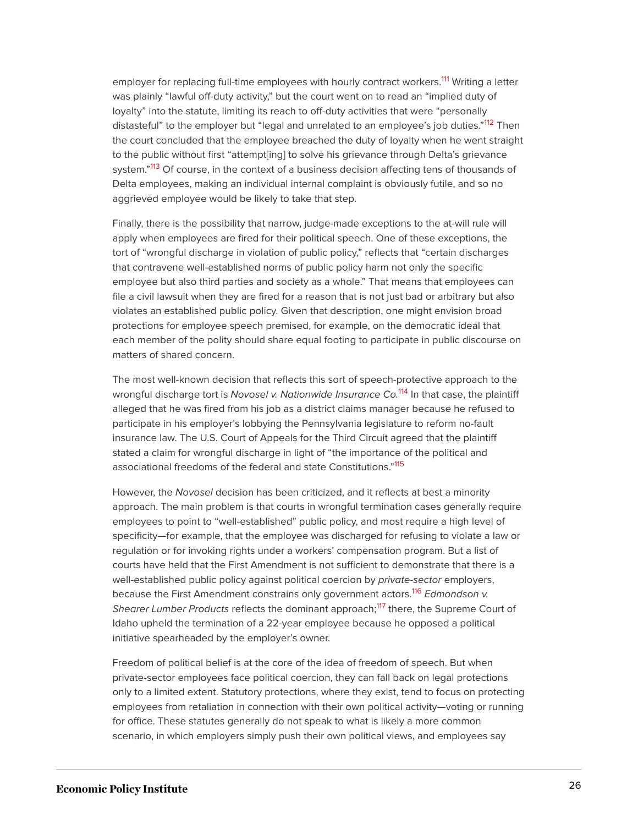<span id="page-26-1"></span><span id="page-26-0"></span>employer for replacing full-time employees with hourly contract workers.<sup>[111](#page-40-3)</sup> Writing a letter was plainly "lawful off-duty activity," but the court went on to read an "implied duty of loyalty" into the statute, limiting its reach to off-duty activities that were "personally distasteful" to the employer but "legal and unrelated to an employee's job duties."<sup>[112](#page-40-4)</sup> Then the court concluded that the employee breached the duty of loyalty when he went straight to the public without first "attempt[ing] to solve his grievance through Delta's grievance system."<sup>[113](#page-40-5)</sup> Of course, in the context of a business decision affecting tens of thousands of Delta employees, making an individual internal complaint is obviously futile, and so no aggrieved employee would be likely to take that step.

<span id="page-26-2"></span>Finally, there is the possibility that narrow, judge-made exceptions to the at-will rule will apply when employees are fired for their political speech. One of these exceptions, the tort of "wrongful discharge in violation of public policy," reflects that "certain discharges that contravene well-established norms of public policy harm not only the specific employee but also third parties and society as a whole." That means that employees can file a civil lawsuit when they are fired for a reason that is not just bad or arbitrary but also violates an established public policy. Given that description, one might envision broad protections for employee speech premised, for example, on the democratic ideal that each member of the polity should share equal footing to participate in public discourse on matters of shared concern.

<span id="page-26-3"></span>The most well-known decision that reflects this sort of speech-protective approach to the wrongful discharge tort is Novosel v. Nationwide Insurance Co.<sup>[114](#page-40-6)</sup> In that case, the plaintiff alleged that he was fired from his job as a district claims manager because he refused to participate in his employer's lobbying the Pennsylvania legislature to reform no-fault insurance law. The U.S. Court of Appeals for the Third Circuit agreed that the plaintiff stated a claim for wrongful discharge in light of "the importance of the political and associational freedoms of the federal and state Constitutions."<sup>[115](#page-40-7)</sup>

<span id="page-26-4"></span>However, the Novosel decision has been criticized, and it reflects at best a minority approach. The main problem is that courts in wrongful termination cases generally require employees to point to "well-established" public policy, and most require a high level of specificity—for example, that the employee was discharged for refusing to violate a law or regulation or for invoking rights under a workers' compensation program. But a list of courts have held that the First Amendment is not sufficient to demonstrate that there is a well-established public policy against political coercion by *private-sector* employers, because the First Amendment constrains only government actors.<sup>[116](#page-40-8)</sup> Edmondson v. Shearer Lumber Products reflects the dominant approach:<sup>[117](#page-40-9)</sup> there, the Supreme Court of Idaho upheld the termination of a 22-year employee because he opposed a political initiative spearheaded by the employer's owner.

<span id="page-26-6"></span><span id="page-26-5"></span>Freedom of political belief is at the core of the idea of freedom of speech. But when private-sector employees face political coercion, they can fall back on legal protections only to a limited extent. Statutory protections, where they exist, tend to focus on protecting employees from retaliation in connection with their own political activity—voting or running for office. These statutes generally do not speak to what is likely a more common scenario, in which employers simply push their own political views, and employees say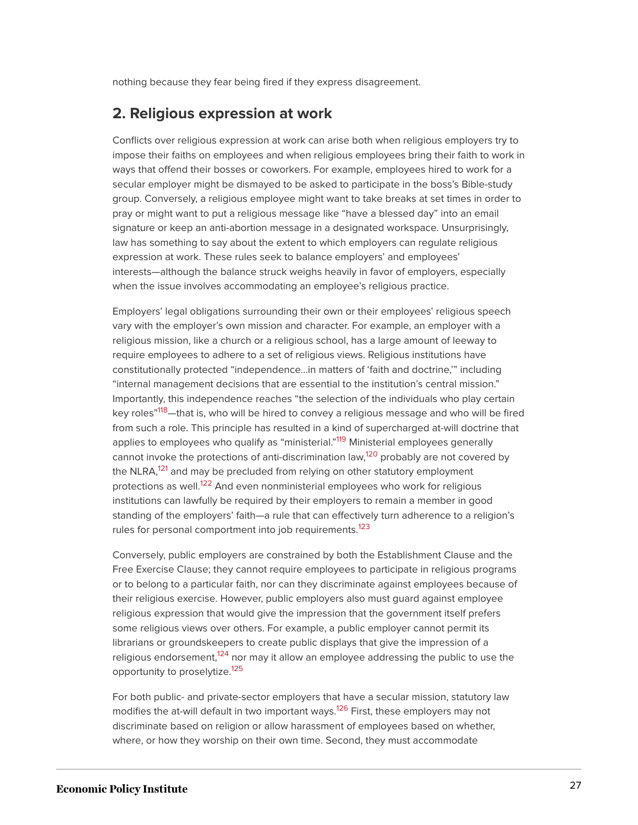nothing because they fear being fired if they express disagreement.

#### **2. Religious expression at work**

Conflicts over religious expression at work can arise both when religious employers try to impose their faiths on employees and when religious employees bring their faith to work in ways that offend their bosses or coworkers. For example, employees hired to work for a secular employer might be dismayed to be asked to participate in the boss's Bible-study group. Conversely, a religious employee might want to take breaks at set times in order to pray or might want to put a religious message like "have a blessed day" into an email signature or keep an anti-abortion message in a designated workspace. Unsurprisingly, law has something to say about the extent to which employers can regulate religious expression at work. These rules seek to balance employers' and employees' interests—although the balance struck weighs heavily in favor of employers, especially when the issue involves accommodating an employee's religious practice.

<span id="page-27-0"></span>Employers' legal obligations surrounding their own or their employees' religious speech vary with the employer's own mission and character. For example, an employer with a religious mission, like a church or a religious school, has a large amount of leeway to require employees to adhere to a set of religious views. Religious institutions have constitutionally protected "independence…in matters of 'faith and doctrine,'" including "internal management decisions that are essential to the institution's central mission." Importantly, this independence reaches "the selection of the individuals who play certain key roles"<sup>[118](#page-40-10)</sup>—that is, who will be hired to convey a religious message and who will be fired from such a role. This principle has resulted in a kind of supercharged at-will doctrine that applies to employees who qualify as "ministerial."<sup>[119](#page-40-11)</sup> Ministerial employees generally cannot invoke the protections of anti-discrimination law,<sup>[120](#page-40-12)</sup> probably are not covered by the NLRA,<sup>[121](#page-40-13)</sup> and may be precluded from relying on other statutory employment protections as well.<sup>[122](#page-40-14)</sup> And even nonministerial employees who work for religious institutions can lawfully be required by their employers to remain a member in good standing of the employers' faith—a rule that can effectively turn adherence to a religion's rules for personal comportment into job requirements.<sup>[123](#page-41-0)</sup>

<span id="page-27-5"></span><span id="page-27-4"></span><span id="page-27-3"></span><span id="page-27-2"></span><span id="page-27-1"></span>Conversely, public employers are constrained by both the Establishment Clause and the Free Exercise Clause; they cannot require employees to participate in religious programs or to belong to a particular faith, nor can they discriminate against employees because of their religious exercise. However, public employers also must guard against employee religious expression that would give the impression that the government itself prefers some religious views over others. For example, a public employer cannot permit its librarians or groundskeepers to create public displays that give the impression of a religious endorsement,<sup>[124](#page-41-1)</sup> nor may it allow an employee addressing the public to use the opportunity to proselytize.<sup>[125](#page-41-2)</sup>

<span id="page-27-8"></span><span id="page-27-7"></span><span id="page-27-6"></span>For both public- and private-sector employers that have a secular mission, statutory law modifies the at-will default in two important ways.<sup>[126](#page-41-3)</sup> First, these employers may not discriminate based on religion or allow harassment of employees based on whether, where, or how they worship on their own time. Second, they must accommodate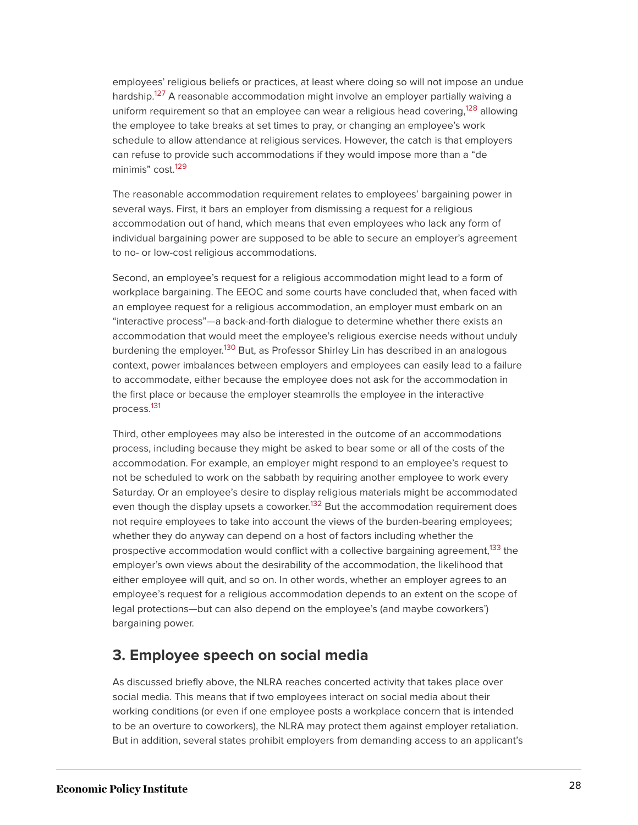<span id="page-28-1"></span><span id="page-28-0"></span>employees' religious beliefs or practices, at least where doing so will not impose an undue hardship. [127](#page-41-4) A reasonable accommodation might involve an employer partially waiving a uniform requirement so that an employee can wear a religious head covering,<sup>[128](#page-41-5)</sup> allowing the employee to take breaks at set times to pray, or changing an employee's work schedule to allow attendance at religious services. However, the catch is that employers can refuse to provide such accommodations if they would impose more than a "de minimis" cost.<sup>[129](#page-41-6)</sup>

<span id="page-28-2"></span>The reasonable accommodation requirement relates to employees' bargaining power in several ways. First, it bars an employer from dismissing a request for a religious accommodation out of hand, which means that even employees who lack any form of individual bargaining power are supposed to be able to secure an employer's agreement to no- or low-cost religious accommodations.

<span id="page-28-3"></span>Second, an employee's request for a religious accommodation might lead to a form of workplace bargaining. The EEOC and some courts have concluded that, when faced with an employee request for a religious accommodation, an employer must embark on an "interactive process"—a back-and-forth dialogue to determine whether there exists an accommodation that would meet the employee's religious exercise needs without unduly burdening the employer.<sup>[130](#page-41-7)</sup> But, as Professor Shirley Lin has described in an analogous context, power imbalances between employers and employees can easily lead to a failure to accommodate, either because the employee does not ask for the accommodation in the first place or because the employer steamrolls the employee in the interactive process.[131](#page-41-8)

<span id="page-28-5"></span><span id="page-28-4"></span>Third, other employees may also be interested in the outcome of an accommodations process, including because they might be asked to bear some or all of the costs of the accommodation. For example, an employer might respond to an employee's request to not be scheduled to work on the sabbath by requiring another employee to work every Saturday. Or an employee's desire to display religious materials might be accommodated even though the display upsets a coworker.<sup>[132](#page-41-9)</sup> But the accommodation requirement does not require employees to take into account the views of the burden-bearing employees; whether they do anyway can depend on a host of factors including whether the prospective accommodation would conflict with a collective bargaining agreement,<sup>[133](#page-41-10)</sup> the employer's own views about the desirability of the accommodation, the likelihood that either employee will quit, and so on. In other words, whether an employer agrees to an employee's request for a religious accommodation depends to an extent on the scope of legal protections—but can also depend on the employee's (and maybe coworkers') bargaining power.

#### <span id="page-28-6"></span>**3. Employee speech on social media**

As discussed briefly above, the NLRA reaches concerted activity that takes place over social media. This means that if two employees interact on social media about their working conditions (or even if one employee posts a workplace concern that is intended to be an overture to coworkers), the NLRA may protect them against employer retaliation. But in addition, several states prohibit employers from demanding access to an applicant's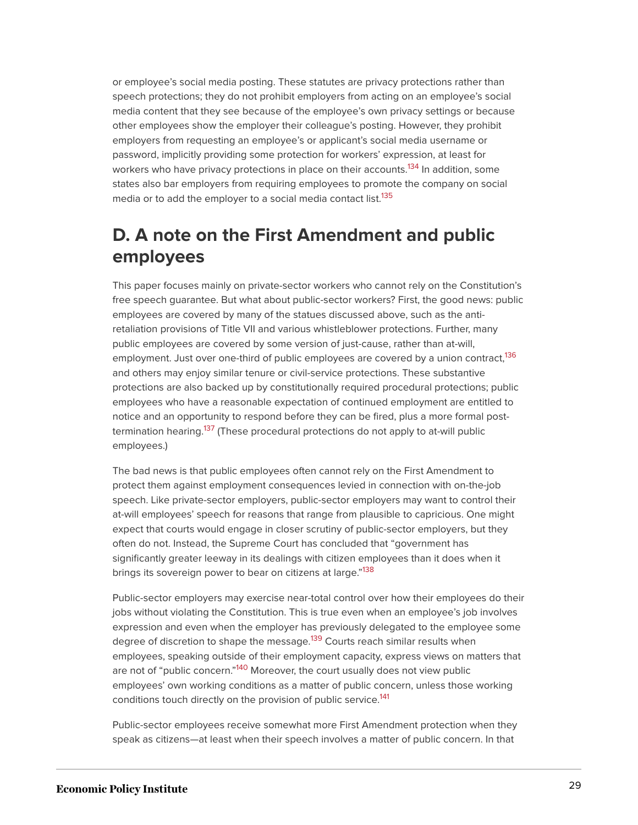or employee's social media posting. These statutes are privacy protections rather than speech protections; they do not prohibit employers from acting on an employee's social media content that they see because of the employee's own privacy settings or because other employees show the employer their colleague's posting. However, they prohibit employers from requesting an employee's or applicant's social media username or password, implicitly providing some protection for workers' expression, at least for workers who have privacy protections in place on their accounts.<sup>[134](#page-41-11)</sup> In addition, some states also bar employers from requiring employees to promote the company on social media or to add the employer to a social media contact list.<sup>[135](#page-41-12)</sup>

### <span id="page-29-1"></span><span id="page-29-0"></span>**D. A note on the First Amendment and public employees**

<span id="page-29-2"></span>This paper focuses mainly on private-sector workers who cannot rely on the Constitution's free speech guarantee. But what about public-sector workers? First, the good news: public employees are covered by many of the statues discussed above, such as the antiretaliation provisions of Title VII and various whistleblower protections. Further, many public employees are covered by some version of just-cause, rather than at-will, employment. Just over one-third of public employees are covered by a union contract,<sup>[136](#page-41-13)</sup> and others may enjoy similar tenure or civil-service protections. These substantive protections are also backed up by constitutionally required procedural protections; public employees who have a reasonable expectation of continued employment are entitled to notice and an opportunity to respond before they can be fired, plus a more formal post-termination hearing.<sup>[137](#page-42-0)</sup> (These procedural protections do not apply to at-will public employees.)

<span id="page-29-3"></span>The bad news is that public employees often cannot rely on the First Amendment to protect them against employment consequences levied in connection with on-the-job speech. Like private-sector employers, public-sector employers may want to control their at-will employees' speech for reasons that range from plausible to capricious. One might expect that courts would engage in closer scrutiny of public-sector employers, but they often do not. Instead, the Supreme Court has concluded that "government has significantly greater leeway in its dealings with citizen employees than it does when it brings its sovereign power to bear on citizens at large."<sup>[138](#page-42-1)</sup>

<span id="page-29-5"></span><span id="page-29-4"></span>Public-sector employers may exercise near-total control over how their employees do their jobs without violating the Constitution. This is true even when an employee's job involves expression and even when the employer has previously delegated to the employee some degree of discretion to shape the message.<sup>[139](#page-42-2)</sup> Courts reach similar results when employees, speaking outside of their employment capacity, express views on matters that are not of "public concern."<sup>[140](#page-42-3)</sup> Moreover, the court usually does not view public employees' own working conditions as a matter of public concern, unless those working conditions touch directly on the provision of public service.<sup>[141](#page-42-4)</sup>

<span id="page-29-7"></span><span id="page-29-6"></span>Public-sector employees receive somewhat more First Amendment protection when they speak as citizens—at least when their speech involves a matter of public concern. In that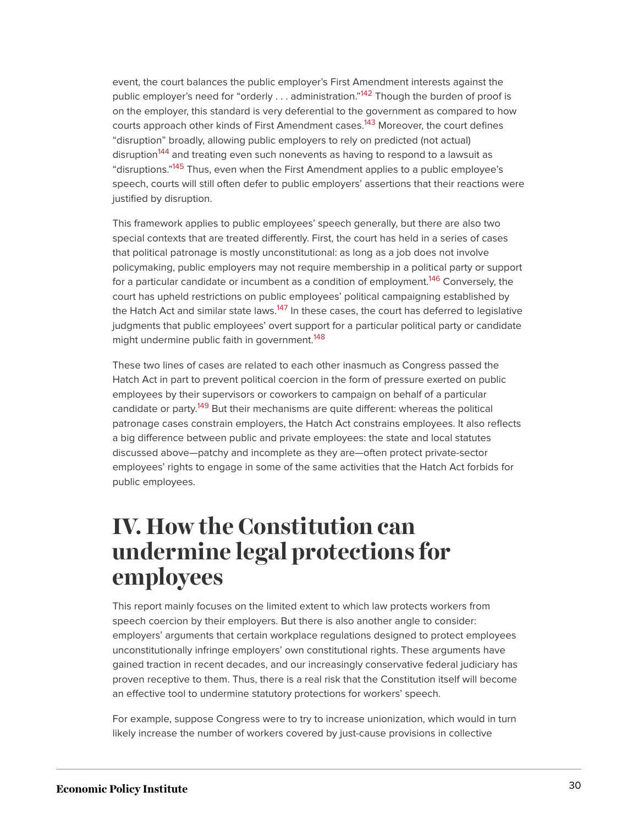<span id="page-30-3"></span><span id="page-30-2"></span><span id="page-30-1"></span>event, the court balances the public employer's First Amendment interests against the public employer's need for "orderly . . . administration."<sup>[142](#page-42-5)</sup> Though the burden of proof is on the employer, this standard is very deferential to the government as compared to how courts approach other kinds of First Amendment cases.<sup>[143](#page-42-6)</sup> Moreover, the court defines "disruption" broadly, allowing public employers to rely on predicted (not actual) disruption<sup>[144](#page-42-7)</sup> and treating even such nonevents as having to respond to a lawsuit as "disruptions."<sup>[145](#page-42-8)</sup> Thus, even when the First Amendment applies to a public employee's speech, courts will still often defer to public employers' assertions that their reactions were justified by disruption.

<span id="page-30-5"></span><span id="page-30-4"></span>This framework applies to public employees' speech generally, but there are also two special contexts that are treated differently. First, the court has held in a series of cases that political patronage is mostly unconstitutional: as long as a job does not involve policymaking, public employers may not require membership in a political party or support for a particular candidate or incumbent as a condition of employment.<sup>[146](#page-42-9)</sup> Conversely, the court has upheld restrictions on public employees' political campaigning established by the Hatch Act and similar state laws.<sup>[147](#page-42-10)</sup> In these cases, the court has deferred to legislative judgments that public employees' overt support for a particular political party or candidate might undermine public faith in government.<sup>[148](#page-43-1)</sup>

<span id="page-30-8"></span><span id="page-30-7"></span><span id="page-30-6"></span>These two lines of cases are related to each other inasmuch as Congress passed the Hatch Act in part to prevent political coercion in the form of pressure exerted on public employees by their supervisors or coworkers to campaign on behalf of a particular candidate or party.<sup>[149](#page-43-2)</sup> But their mechanisms are quite different: whereas the political patronage cases constrain employers, the Hatch Act constrains employees. It also reflects a big difference between public and private employees: the state and local statutes discussed above—patchy and incomplete as they are—often protect private-sector employees' rights to engage in some of the same activities that the Hatch Act forbids for public employees.

## <span id="page-30-0"></span>**IV. How the Constitution can undermine legal protections for employees**

This report mainly focuses on the limited extent to which law protects workers from speech coercion by their employers. But there is also another angle to consider: employers' arguments that certain workplace regulations designed to protect employees unconstitutionally infringe employers' own constitutional rights. These arguments have gained traction in recent decades, and our increasingly conservative federal judiciary has proven receptive to them. Thus, there is a real risk that the Constitution itself will become an effective tool to undermine statutory protections for workers' speech.

For example, suppose Congress were to try to increase unionization, which would in turn likely increase the number of workers covered by just-cause provisions in collective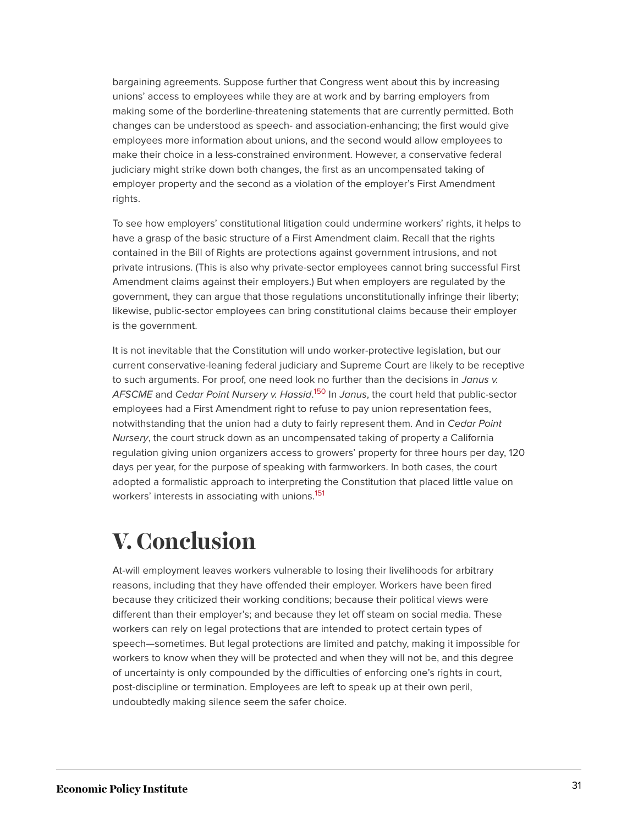bargaining agreements. Suppose further that Congress went about this by increasing unions' access to employees while they are at work and by barring employers from making some of the borderline-threatening statements that are currently permitted. Both changes can be understood as speech- and association-enhancing; the first would give employees more information about unions, and the second would allow employees to make their choice in a less-constrained environment. However, a conservative federal judiciary might strike down both changes, the first as an uncompensated taking of employer property and the second as a violation of the employer's First Amendment rights.

To see how employers' constitutional litigation could undermine workers' rights, it helps to have a grasp of the basic structure of a First Amendment claim. Recall that the rights contained in the Bill of Rights are protections against government intrusions, and not private intrusions. (This is also why private-sector employees cannot bring successful First Amendment claims against their employers.) But when employers are regulated by the government, they can argue that those regulations unconstitutionally infringe their liberty; likewise, public-sector employees can bring constitutional claims because their employer is the government.

<span id="page-31-1"></span>It is not inevitable that the Constitution will undo worker-protective legislation, but our current conservative-leaning federal judiciary and Supreme Court are likely to be receptive to such arguments. For proof, one need look no further than the decisions in Janus v. AFSCME and Ce*dar Point Nursery v. Hassid*.<sup>[150](#page-43-3)</sup> In Janus, the court held that public-sector employees had a First Amendment right to refuse to pay union representation fees, notwithstanding that the union had a duty to fairly represent them. And in Cedar Point Nursery, the court struck down as an uncompensated taking of property a California regulation giving union organizers access to growers' property for three hours per day, 120 days per year, for the purpose of speaking with farmworkers. In both cases, the court adopted a formalistic approach to interpreting the Constitution that placed little value on workers' interests in associating with unions.<sup>[151](#page-43-4)</sup>

# <span id="page-31-2"></span><span id="page-31-0"></span>**V. Conclusion**

At-will employment leaves workers vulnerable to losing their livelihoods for arbitrary reasons, including that they have offended their employer. Workers have been fired because they criticized their working conditions; because their political views were different than their employer's; and because they let off steam on social media. These workers can rely on legal protections that are intended to protect certain types of speech—sometimes. But legal protections are limited and patchy, making it impossible for workers to know when they will be protected and when they will not be, and this degree of uncertainty is only compounded by the difficulties of enforcing one's rights in court, post-discipline or termination. Employees are left to speak up at their own peril, undoubtedly making silence seem the safer choice.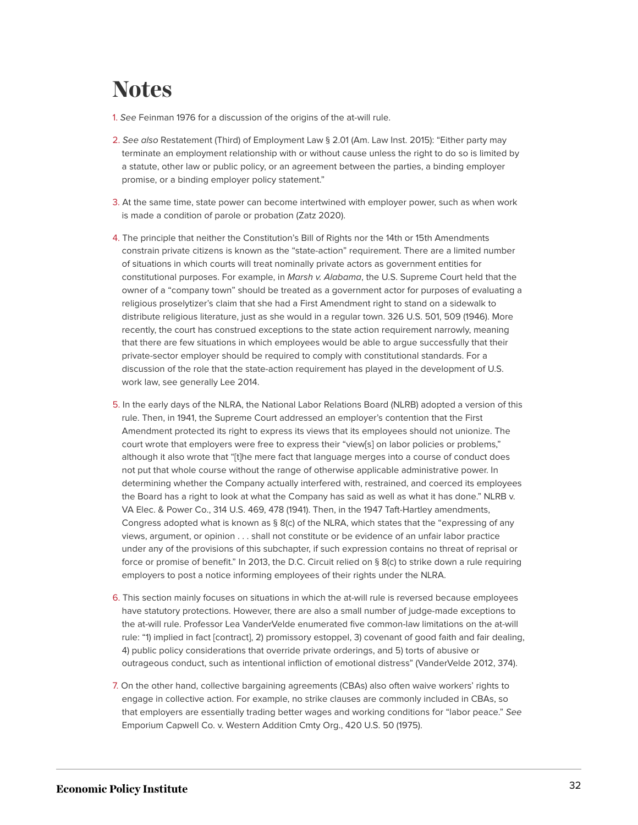# <span id="page-32-0"></span>**Notes**

- <span id="page-32-1"></span>[1.](#page-2-1) See Feinman 1976 for a discussion of the origins of the at-will rule.
- <span id="page-32-2"></span>[2.](#page-2-2) See also Restatement (Third) of Employment Law § 2.01 (Am. Law Inst. 2015): "Either party may terminate an employment relationship with or without cause unless the right to do so is limited by a statute, other law or public policy, or an agreement between the parties, a binding employer promise, or a binding employer policy statement."
- <span id="page-32-3"></span>[3.](#page-2-3) At the same time, state power can become intertwined with employer power, such as when work is made a condition of parole or probation (Zatz 2020).
- <span id="page-32-4"></span>[4.](#page-6-1) The principle that neither the Constitution's Bill of Rights nor the 14th or 15th Amendments constrain private citizens is known as the "state-action" requirement. There are a limited number of situations in which courts will treat nominally private actors as government entities for constitutional purposes. For example, in Marsh v. Alabama, the U.S. Supreme Court held that the owner of a "company town" should be treated as a government actor for purposes of evaluating a religious proselytizer's claim that she had a First Amendment right to stand on a sidewalk to distribute religious literature, just as she would in a regular town. 326 U.S. 501, 509 (1946). More recently, the court has construed exceptions to the state action requirement narrowly, meaning that there are few situations in which employees would be able to argue successfully that their private-sector employer should be required to comply with constitutional standards. For a discussion of the role that the state-action requirement has played in the development of U.S. work law, see generally Lee 2014.
- <span id="page-32-5"></span>[5.](#page-6-2) In the early days of the NLRA, the National Labor Relations Board (NLRB) adopted a version of this rule. Then, in 1941, the Supreme Court addressed an employer's contention that the First Amendment protected its right to express its views that its employees should not unionize. The court wrote that employers were free to express their "view[s] on labor policies or problems," although it also wrote that "[t]he mere fact that language merges into a course of conduct does not put that whole course without the range of otherwise applicable administrative power. In determining whether the Company actually interfered with, restrained, and coerced its employees the Board has a right to look at what the Company has said as well as what it has done." NLRB v. VA Elec. & Power Co., 314 U.S. 469, 478 (1941). Then, in the 1947 Taft-Hartley amendments, Congress adopted what is known as  $\S 8(c)$  of the NLRA, which states that the "expressing of any views, argument, or opinion . . . shall not constitute or be evidence of an unfair labor practice under any of the provisions of this subchapter, if such expression contains no threat of reprisal or force or promise of benefit." In 2013, the D.C. Circuit relied on § 8(c) to strike down a rule requiring employers to post a notice informing employees of their rights under the NLRA.
- <span id="page-32-6"></span>[6.](#page-6-3) This section mainly focuses on situations in which the at-will rule is reversed because employees have statutory protections. However, there are also a small number of judge-made exceptions to the at-will rule. Professor Lea VanderVelde enumerated five common-law limitations on the at-will rule: "1) implied in fact [contract], 2) promissory estoppel, 3) covenant of good faith and fair dealing, 4) public policy considerations that override private orderings, and 5) torts of abusive or outrageous conduct, such as intentional infliction of emotional distress" (VanderVelde 2012, 374).
- <span id="page-32-7"></span>[7.](#page-7-0) On the other hand, collective bargaining agreements (CBAs) also often waive workers' rights to engage in collective action. For example, no strike clauses are commonly included in CBAs, so that employers are essentially trading better wages and working conditions for "labor peace." See Emporium Capwell Co. v. Western Addition Cmty Org., 420 U.S. 50 (1975).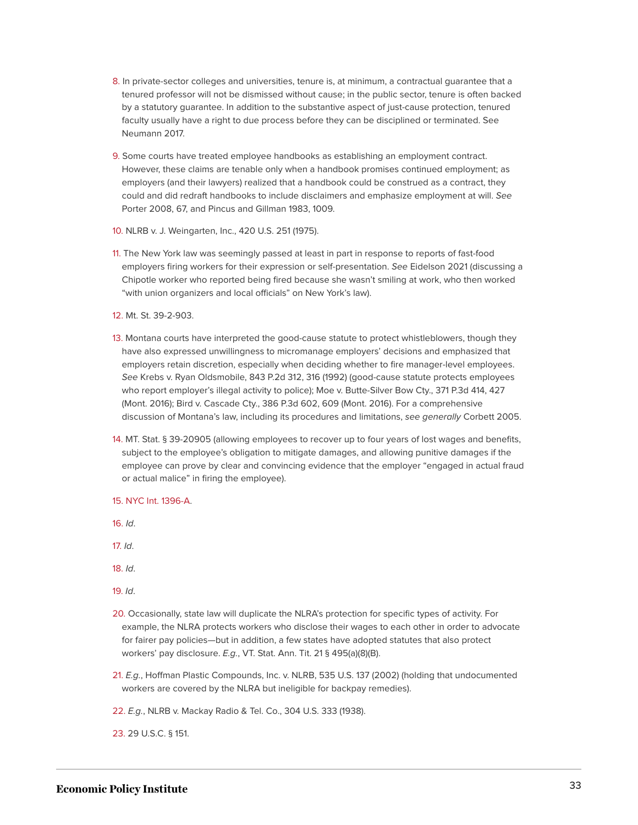- <span id="page-33-0"></span>[8.](#page-7-1) In private-sector colleges and universities, tenure is, at minimum, a contractual guarantee that a tenured professor will not be dismissed without cause; in the public sector, tenure is often backed by a statutory guarantee. In addition to the substantive aspect of just-cause protection, tenured faculty usually have a right to due process before they can be disciplined or terminated. See Neumann 2017.
- <span id="page-33-1"></span>[9.](#page-7-2) Some courts have treated employee handbooks as establishing an employment contract. However, these claims are tenable only when a handbook promises continued employment; as employers (and their lawyers) realized that a handbook could be construed as a contract, they could and did redraft handbooks to include disclaimers and emphasize employment at will. See Porter 2008, 67, and Pincus and Gillman 1983, 1009.
- <span id="page-33-2"></span>[10.](#page-8-0) NLRB v. J. Weingarten, Inc., 420 U.S. 251 (1975).
- <span id="page-33-3"></span>[11.](#page-8-1) The New York law was seemingly passed at least in part in response to reports of fast-food employers firing workers for their expression or self-presentation. See Eidelson 2021 (discussing a Chipotle worker who reported being fired because she wasn't smiling at work, who then worked "with union organizers and local officials" on New York's law).
- <span id="page-33-4"></span>[12.](#page-8-2) Mt. St. 39-2-903.
- <span id="page-33-5"></span>[13.](#page-8-3) Montana courts have interpreted the good-cause statute to protect whistleblowers, though they have also expressed unwillingness to micromanage employers' decisions and emphasized that employers retain discretion, especially when deciding whether to fire manager-level employees. See Krebs v. Ryan Oldsmobile, 843 P.2d 312, 316 (1992) (good-cause statute protects employees who report employer's illegal activity to police); Moe v. Butte-Silver Bow Cty., 371 P.3d 414, 427 (Mont. 2016); Bird v. Cascade Cty., 386 P.3d 602, 609 (Mont. 2016). For a comprehensive discussion of Montana's law, including its procedures and limitations, see generally Corbett 2005.
- <span id="page-33-6"></span>[14.](#page-8-3) MT. Stat. § 39-20905 (allowing employees to recover up to four years of lost wages and benefits, subject to the employee's obligation to mitigate damages, and allowing punitive damages if the employee can prove by clear and convincing evidence that the employer "engaged in actual fraud or actual malice" in firing the employee).
- <span id="page-33-7"></span>[15.](#page-8-4) [NYC Int. 1396-A](https://legistar.council.nyc.gov/LegislationDetail.aspx?ID=3860321&GUID=76C5427B-7B33-4E55-AA73-37345B8ABEEF&Options=ID|Text|&Search=1396;%20NYC%20Int.%201415-A,%20available%20at%20https://legistar.council.nyc.gov/LegislationDetail.aspx?ID=3860317&GUID=F97F44AA-CCC8-470B-998E-C3C35A5C0717&Options=ID%7cText%7c&Search=1415).
- <span id="page-33-8"></span>[16.](#page-8-5) Id.
- <span id="page-33-9"></span>[17.](#page-9-1) Id.
- <span id="page-33-10"></span>[18.](#page-9-2) Id.
- <span id="page-33-11"></span>[19.](#page-9-3) Id.
- <span id="page-33-12"></span>[20.](#page-10-0) Occasionally, state law will duplicate the NLRA's protection for specific types of activity. For example, the NLRA protects workers who disclose their wages to each other in order to advocate for fairer pay policies—but in addition, a few states have adopted statutes that also protect workers' pay disclosure. E.g., VT. Stat. Ann. Tit. 21 § 495(a)(8)(B).
- <span id="page-33-13"></span>[21.](#page-10-1) E.g., Hoffman Plastic Compounds, Inc. v. NLRB, 535 U.S. 137 (2002) (holding that undocumented workers are covered by the NLRA but ineligible for backpay remedies).

<span id="page-33-14"></span>[22.](#page-10-2) E.g., NLRB v. Mackay Radio & Tel. Co., 304 U.S. 333 (1938).

<span id="page-33-15"></span>[23.](#page-11-0) 29 U.S.C. § 151.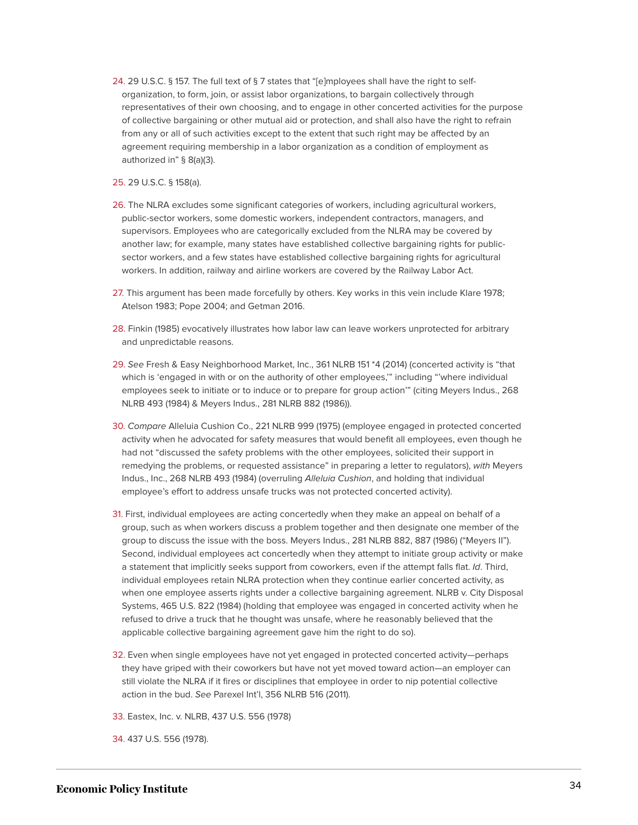<span id="page-34-0"></span>[24.](#page-11-1) 29 U.S.C. § 157. The full text of § 7 states that "[e]mployees shall have the right to selforganization, to form, join, or assist labor organizations, to bargain collectively through representatives of their own choosing, and to engage in other concerted activities for the purpose of collective bargaining or other mutual aid or protection, and shall also have the right to refrain from any or all of such activities except to the extent that such right may be affected by an agreement requiring membership in a labor organization as a condition of employment as authorized in" § 8(a)(3).

<span id="page-34-1"></span>[25.](#page-11-2) 29 U.S.C. § 158(a).

- <span id="page-34-2"></span>[26.](#page-11-3) The NLRA excludes some significant categories of workers, including agricultural workers, public-sector workers, some domestic workers, independent contractors, managers, and supervisors. Employees who are categorically excluded from the NLRA may be covered by another law; for example, many states have established collective bargaining rights for publicsector workers, and a few states have established collective bargaining rights for agricultural workers. In addition, railway and airline workers are covered by the Railway Labor Act.
- <span id="page-34-3"></span>[27.](#page-11-4) This argument has been made forcefully by others. Key works in this vein include Klare 1978; Atelson 1983; Pope 2004; and Getman 2016.
- <span id="page-34-4"></span>[28.](#page-11-5) Finkin (1985) evocatively illustrates how labor law can leave workers unprotected for arbitrary and unpredictable reasons.
- <span id="page-34-5"></span>[29.](#page-11-6) See Fresh & Easy Neighborhood Market, Inc., 361 NLRB 151 \*4 (2014) (concerted activity is "that which is 'engaged in with or on the authority of other employees,'" including "'where individual employees seek to initiate or to induce or to prepare for group action'" (citing Meyers Indus., 268 NLRB 493 (1984) & Meyers Indus., 281 NLRB 882 (1986)).
- <span id="page-34-6"></span>[30.](#page-11-7) Compare Alleluia Cushion Co., 221 NLRB 999 (1975) (employee engaged in protected concerted activity when he advocated for safety measures that would benefit all employees, even though he had not "discussed the safety problems with the other employees, solicited their support in remedying the problems, or requested assistance" in preparing a letter to regulators), with Meyers Indus., Inc., 268 NLRB 493 (1984) (overruling Alleluia Cushion, and holding that individual employee's effort to address unsafe trucks was not protected concerted activity).
- <span id="page-34-7"></span>[31.](#page-11-8) First, individual employees are acting concertedly when they make an appeal on behalf of a group, such as when workers discuss a problem together and then designate one member of the group to discuss the issue with the boss. Meyers Indus., 281 NLRB 882, 887 (1986) ("Meyers II"). Second, individual employees act concertedly when they attempt to initiate group activity or make a statement that implicitly seeks support from coworkers, even if the attempt falls flat. Id. Third, individual employees retain NLRA protection when they continue earlier concerted activity, as when one employee asserts rights under a collective bargaining agreement. NLRB v. City Disposal Systems, 465 U.S. 822 (1984) (holding that employee was engaged in concerted activity when he refused to drive a truck that he thought was unsafe, where he reasonably believed that the applicable collective bargaining agreement gave him the right to do so).
- <span id="page-34-8"></span>[32.](#page-11-9) Even when single employees have not yet engaged in protected concerted activity—perhaps they have griped with their coworkers but have not yet moved toward action—an employer can still violate the NLRA if it fires or disciplines that employee in order to nip potential collective action in the bud. See Parexel Int'l, 356 NLRB 516 (2011).

<span id="page-34-9"></span>[33.](#page-12-0) Eastex, Inc. v. NLRB, 437 U.S. 556 (1978)

<span id="page-34-10"></span>[34.](#page-12-1) 437 U.S. 556 (1978).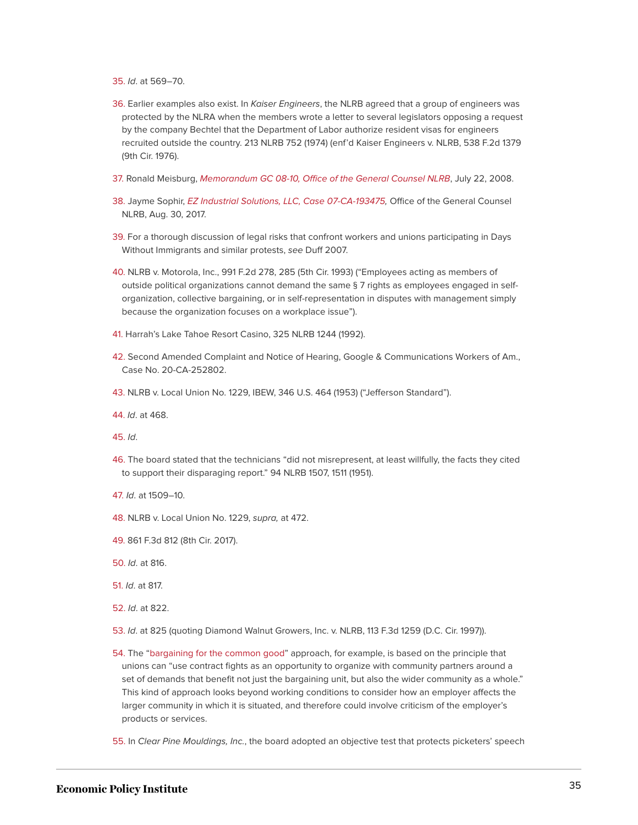<span id="page-35-0"></span>[35.](#page-12-2) Id. at 569–70.

- <span id="page-35-1"></span>[36.](#page-12-3) Earlier examples also exist. In Kaiser Engineers, the NLRB agreed that a group of engineers was protected by the NLRA when the members wrote a letter to several legislators opposing a request by the company Bechtel that the Department of Labor authorize resident visas for engineers recruited outside the country. 213 NLRB 752 (1974) (enf'd Kaiser Engineers v. NLRB, 538 F.2d 1379 (9th Cir. 1976).
- <span id="page-35-2"></span>[37.](#page-12-4) Ronald Meisburg, [Memorandum GC 08-10, Office of the General Counsel NLRB](http://hr.cch.com/ELD/NLRBGC08-10.pdf), July 22, 2008.
- <span id="page-35-3"></span>[38.](#page-12-5) Jayme Sophir, [EZ Industrial Solutions, LLC, Case 07-CA-193475,](https://www.nlrb.gov/case/07-CA-193475) Office of the General Counsel NLRB, Aug. 30, 2017.
- <span id="page-35-4"></span>[39.](#page-12-6) For a thorough discussion of legal risks that confront workers and unions participating in Days Without Immigrants and similar protests, see Duff 2007.
- <span id="page-35-5"></span>[40.](#page-13-0) NLRB v. Motorola, Inc., 991 F.2d 278, 285 (5th Cir. 1993) ("Employees acting as members of outside political organizations cannot demand the same § 7 rights as employees engaged in selforganization, collective bargaining, or in self-representation in disputes with management simply because the organization focuses on a workplace issue").
- <span id="page-35-6"></span>[41.](#page-13-1) Harrah's Lake Tahoe Resort Casino, 325 NLRB 1244 (1992).
- <span id="page-35-7"></span>[42.](#page-13-2) Second Amended Complaint and Notice of Hearing, Google & Communications Workers of Am., Case No. 20-CA-252802.
- <span id="page-35-8"></span>[43.](#page-13-3) NLRB v. Local Union No. 1229, IBEW, 346 U.S. 464 (1953) ("Jefferson Standard").
- <span id="page-35-9"></span>[44.](#page-14-0) Id. at 468.

<span id="page-35-10"></span>[45.](#page-14-1) Id.

- <span id="page-35-11"></span>[46.](#page-14-2) The board stated that the technicians "did not misrepresent, at least willfully, the facts they cited to support their disparaging report." 94 NLRB 1507, 1511 (1951).
- <span id="page-35-12"></span>[47.](#page-14-3) Id. at 1509–10.
- <span id="page-35-13"></span>[48.](#page-14-4) NLRB v. Local Union No. 1229, supra, at 472.
- <span id="page-35-14"></span>[49.](#page-14-5) 861 F.3d 812 (8th Cir. 2017).
- <span id="page-35-15"></span>[50.](#page-14-6) Id. at 816.
- <span id="page-35-16"></span>[51.](#page-15-0) Id. at 817.
- <span id="page-35-17"></span>[52.](#page-15-1) Id. at 822.
- <span id="page-35-18"></span>[53.](#page-15-2) Id. at 825 (quoting Diamond Walnut Growers, Inc. v. NLRB, 113 F.3d 1259 (D.C. Cir. 1997)).
- <span id="page-35-19"></span>[54.](#page-15-3) The "[bargaining for the common good](https://www.bargainingforthecommongood.org/about/)" approach, for example, is based on the principle that unions can "use contract fights as an opportunity to organize with community partners around a set of demands that benefit not just the bargaining unit, but also the wider community as a whole." This kind of approach looks beyond working conditions to consider how an employer affects the larger community in which it is situated, and therefore could involve criticism of the employer's products or services.
- <span id="page-35-20"></span>[55.](#page-15-4) In Clear Pine Mouldings, Inc., the board adopted an objective test that protects picketers' speech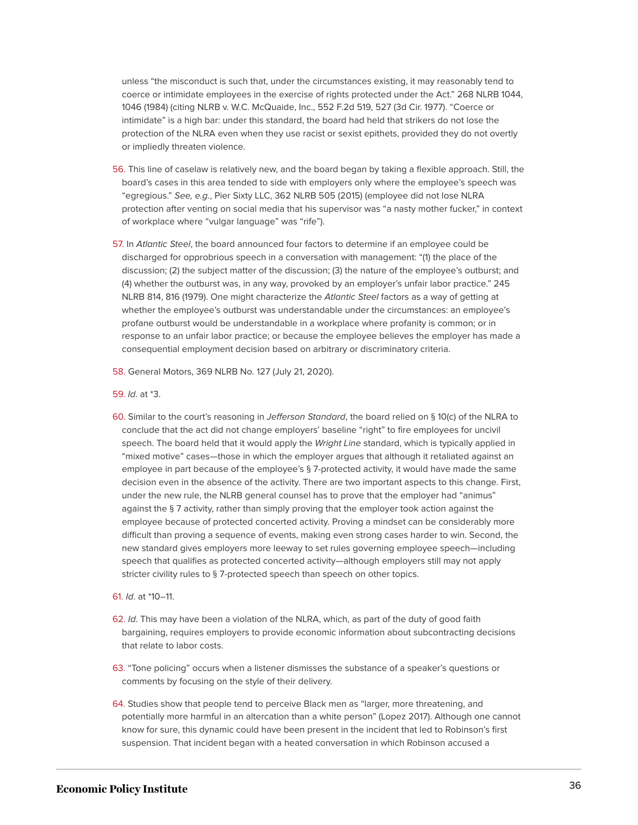unless "the misconduct is such that, under the circumstances existing, it may reasonably tend to coerce or intimidate employees in the exercise of rights protected under the Act." 268 NLRB 1044, 1046 (1984) (citing NLRB v. W.C. McQuaide, Inc., 552 F.2d 519, 527 (3d Cir. 1977). "Coerce or intimidate" is a high bar: under this standard, the board had held that strikers do not lose the protection of the NLRA even when they use racist or sexist epithets, provided they do not overtly or impliedly threaten violence.

- <span id="page-36-0"></span>[56.](#page-15-4) This line of caselaw is relatively new, and the board began by taking a flexible approach. Still, the board's cases in this area tended to side with employers only where the employee's speech was "egregious." See, e.g., Pier Sixty LLC, 362 NLRB 505 (2015) (employee did not lose NLRA protection after venting on social media that his supervisor was "a nasty mother fucker," in context of workplace where "vulgar language" was "rife").
- <span id="page-36-1"></span>[57.](#page-15-4) In Atlantic Steel, the board announced four factors to determine if an employee could be discharged for opprobrious speech in a conversation with management: "(1) the place of the discussion; (2) the subject matter of the discussion; (3) the nature of the employee's outburst; and (4) whether the outburst was, in any way, provoked by an employer's unfair labor practice." 245 NLRB 814, 816 (1979). One might characterize the Atlantic Steel factors as a way of getting at whether the employee's outburst was understandable under the circumstances: an employee's profane outburst would be understandable in a workplace where profanity is common; or in response to an unfair labor practice; or because the employee believes the employer has made a consequential employment decision based on arbitrary or discriminatory criteria.
- <span id="page-36-2"></span>[58.](#page-16-0) General Motors, 369 NLRB No. 127 (July 21, 2020).
- <span id="page-36-3"></span>[59.](#page-16-1) Id. at \*3.
- <span id="page-36-4"></span>[60.](#page-16-2) Similar to the court's reasoning in Jefferson Standard, the board relied on § 10(c) of the NLRA to conclude that the act did not change employers' baseline "right" to fire employees for uncivil speech. The board held that it would apply the Wright Line standard, which is typically applied in "mixed motive" cases—those in which the employer argues that although it retaliated against an employee in part because of the employee's § 7-protected activity, it would have made the same decision even in the absence of the activity. There are two important aspects to this change. First, under the new rule, the NLRB general counsel has to prove that the employer had "animus" against the § 7 activity, rather than simply proving that the employer took action against the employee because of protected concerted activity. Proving a mindset can be considerably more difficult than proving a sequence of events, making even strong cases harder to win. Second, the new standard gives employers more leeway to set rules governing employee speech—including speech that qualifies as protected concerted activity—although employers still may not apply stricter civility rules to § 7-protected speech than speech on other topics.
- <span id="page-36-5"></span>[61.](#page-16-3) Id. at \*10–11.
- <span id="page-36-6"></span>[62.](#page-16-4) Id. This may have been a violation of the NLRA, which, as part of the duty of good faith bargaining, requires employers to provide economic information about subcontracting decisions that relate to labor costs.
- <span id="page-36-7"></span>[63.](#page-16-5) "Tone policing" occurs when a listener dismisses the substance of a speaker's questions or comments by focusing on the style of their delivery.
- <span id="page-36-8"></span>[64.](#page-16-6) Studies show that people tend to perceive Black men as "larger, more threatening, and potentially more harmful in an altercation than a white person" (Lopez 2017). Although one cannot know for sure, this dynamic could have been present in the incident that led to Robinson's first suspension. That incident began with a heated conversation in which Robinson accused a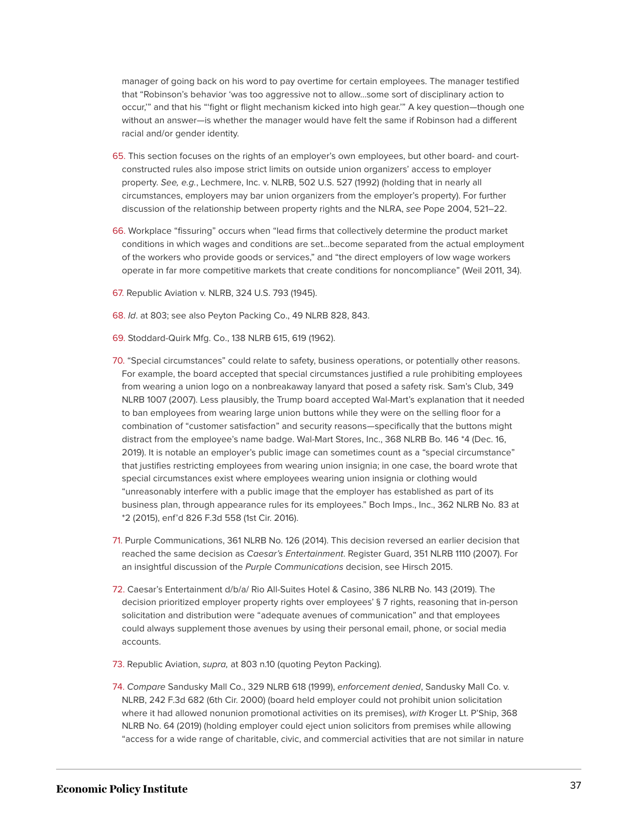manager of going back on his word to pay overtime for certain employees. The manager testified that "Robinson's behavior 'was too aggressive not to allow…some sort of disciplinary action to occur,'" and that his "'fight or flight mechanism kicked into high gear.'" A key question—though one without an answer—is whether the manager would have felt the same if Robinson had a different racial and/or gender identity.

- <span id="page-37-0"></span>[65.](#page-17-0) This section focuses on the rights of an employer's own employees, but other board- and courtconstructed rules also impose strict limits on outside union organizers' access to employer property. See, e.g., Lechmere, Inc. v. NLRB, 502 U.S. 527 (1992) (holding that in nearly all circumstances, employers may bar union organizers from the employer's property). For further discussion of the relationship between property rights and the NLRA, see Pope 2004, 521–22.
- <span id="page-37-1"></span>[66.](#page-17-1) Workplace "fissuring" occurs when "lead firms that collectively determine the product market conditions in which wages and conditions are set…become separated from the actual employment of the workers who provide goods or services," and "the direct employers of low wage workers operate in far more competitive markets that create conditions for noncompliance" (Weil 2011, 34).
- <span id="page-37-2"></span>[67.](#page-17-2) Republic Aviation v. NLRB, 324 U.S. 793 (1945).
- <span id="page-37-3"></span>[68.](#page-17-3) Id. at 803; see also Peyton Packing Co., 49 NLRB 828, 843.
- <span id="page-37-4"></span>[69.](#page-17-4) Stoddard-Quirk Mfg. Co., 138 NLRB 615, 619 (1962).
- <span id="page-37-5"></span>[70.](#page-17-5) "Special circumstances" could relate to safety, business operations, or potentially other reasons. For example, the board accepted that special circumstances justified a rule prohibiting employees from wearing a union logo on a nonbreakaway lanyard that posed a safety risk. Sam's Club, 349 NLRB 1007 (2007). Less plausibly, the Trump board accepted Wal-Mart's explanation that it needed to ban employees from wearing large union buttons while they were on the selling floor for a combination of "customer satisfaction" and security reasons—specifically that the buttons might distract from the employee's name badge. Wal-Mart Stores, Inc., 368 NLRB Bo. 146 \*4 (Dec. 16, 2019). It is notable an employer's public image can sometimes count as a "special circumstance" that justifies restricting employees from wearing union insignia; in one case, the board wrote that special circumstances exist where employees wearing union insignia or clothing would "unreasonably interfere with a public image that the employer has established as part of its business plan, through appearance rules for its employees." Boch Imps., Inc., 362 NLRB No. 83 at \*2 (2015), enf'd 826 F.3d 558 (1st Cir. 2016).
- <span id="page-37-6"></span>[71.](#page-17-6) Purple Communications, 361 NLRB No. 126 (2014). This decision reversed an earlier decision that reached the same decision as Caesar's Entertainment. Register Guard, 351 NLRB 1110 (2007). For an insightful discussion of the Purple Communications decision, see Hirsch 2015.
- <span id="page-37-7"></span>[72.](#page-17-7) Caesar's Entertainment d/b/a/ Rio All-Suites Hotel & Casino, 386 NLRB No. 143 (2019). The decision prioritized employer property rights over employees' § 7 rights, reasoning that in-person solicitation and distribution were "adequate avenues of communication" and that employees could always supplement those avenues by using their personal email, phone, or social media accounts.
- <span id="page-37-8"></span>[73.](#page-17-8) Republic Aviation, supra, at 803 n.10 (quoting Peyton Packing).
- <span id="page-37-9"></span>[74.](#page-18-0) Compare Sandusky Mall Co., 329 NLRB 618 (1999), enforcement denied, Sandusky Mall Co. v. NLRB, 242 F.3d 682 (6th Cir. 2000) (board held employer could not prohibit union solicitation where it had allowed nonunion promotional activities on its premises), with Kroger Lt. P'Ship, 368 NLRB No. 64 (2019) (holding employer could eject union solicitors from premises while allowing "access for a wide range of charitable, civic, and commercial activities that are not similar in nature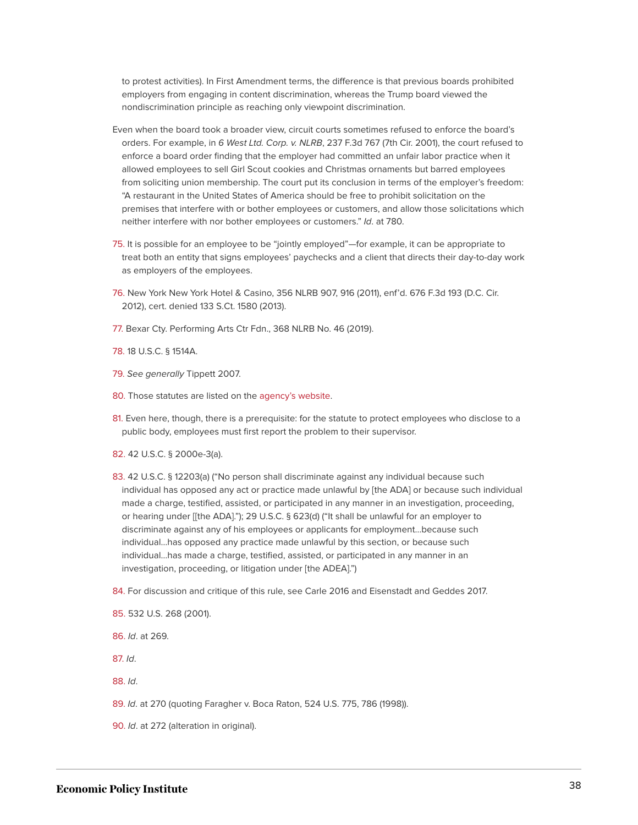to protest activities). In First Amendment terms, the difference is that previous boards prohibited employers from engaging in content discrimination, whereas the Trump board viewed the nondiscrimination principle as reaching only viewpoint discrimination.

- Even when the board took a broader view, circuit courts sometimes refused to enforce the board's orders. For example, in 6 West Ltd. Corp. v. NLRB, 237 F.3d 767 (7th Cir. 2001), the court refused to enforce a board order finding that the employer had committed an unfair labor practice when it allowed employees to sell Girl Scout cookies and Christmas ornaments but barred employees from soliciting union membership. The court put its conclusion in terms of the employer's freedom: "A restaurant in the United States of America should be free to prohibit solicitation on the premises that interfere with or bother employees or customers, and allow those solicitations which neither interfere with nor bother employees or customers." Id. at 780.
- <span id="page-38-0"></span>[75.](#page-18-1) It is possible for an employee to be "jointly employed"—for example, it can be appropriate to treat both an entity that signs employees' paychecks and a client that directs their day-to-day work as employers of the employees.
- <span id="page-38-1"></span>[76.](#page-18-2) New York New York Hotel & Casino, 356 NLRB 907, 916 (2011), enf'd. 676 F.3d 193 (D.C. Cir. 2012), cert. denied 133 S.Ct. 1580 (2013).
- <span id="page-38-2"></span>[77.](#page-18-2) Bexar Cty. Performing Arts Ctr Fdn., 368 NLRB No. 46 (2019).
- <span id="page-38-3"></span>[78.](#page-20-0) 18 U.S.C. § 1514A.
- <span id="page-38-4"></span>[79.](#page-20-1) See generally Tippett 2007.
- <span id="page-38-5"></span>[80.](#page-20-2) Those statutes are listed on the [agency's website](https://www.whistleblowers.gov/statutes).
- <span id="page-38-6"></span>[81.](#page-20-3) Even here, though, there is a prerequisite: for the statute to protect employees who disclose to a public body, employees must first report the problem to their supervisor.
- <span id="page-38-7"></span>[82.](#page-21-0) 42 U.S.C. § 2000e-3(a).
- <span id="page-38-8"></span>[83.](#page-21-1) 42 U.S.C. § 12203(a) ("No person shall discriminate against any individual because such individual has opposed any act or practice made unlawful by [the ADA] or because such individual made a charge, testified, assisted, or participated in any manner in an investigation, proceeding, or hearing under [[the ADA]."); 29 U.S.C. § 623(d) ("It shall be unlawful for an employer to discriminate against any of his employees or applicants for employment…because such individual…has opposed any practice made unlawful by this section, or because such individual…has made a charge, testified, assisted, or participated in any manner in an investigation, proceeding, or litigation under [the ADEA].")
- <span id="page-38-9"></span>[84.](#page-21-2) For discussion and critique of this rule, see Carle 2016 and Eisenstadt and Geddes 2017.
- <span id="page-38-10"></span>[85.](#page-22-0) 532 U.S. 268 (2001).
- <span id="page-38-11"></span>[86.](#page-22-1) Id. at 269.
- <span id="page-38-12"></span>[87.](#page-22-2) Id.
- <span id="page-38-13"></span>[88.](#page-22-3) Id.

<span id="page-38-14"></span>[89.](#page-22-4) Id. at 270 (quoting Faragher v. Boca Raton, 524 U.S. 775, 786 (1998)).

<span id="page-38-15"></span>[90.](#page-22-5) Id. at 272 (alteration in original).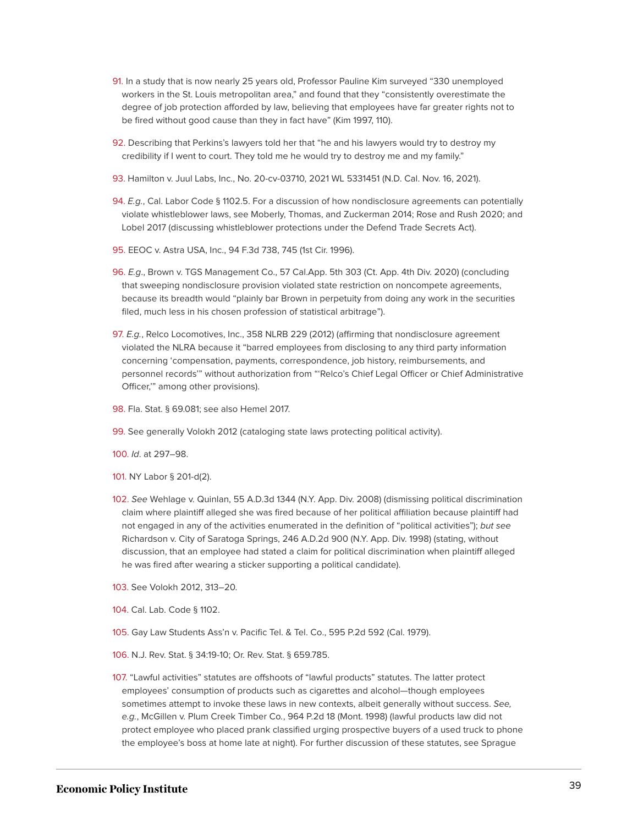- <span id="page-39-0"></span>[91.](#page-22-6) In a study that is now nearly 25 years old, Professor Pauline Kim surveyed "330 unemployed workers in the St. Louis metropolitan area," and found that they "consistently overestimate the degree of job protection afforded by law, believing that employees have far greater rights not to be fired without good cause than they in fact have" (Kim 1997, 110).
- <span id="page-39-1"></span>[92.](#page-23-0) Describing that Perkins's lawyers told her that "he and his lawyers would try to destroy my credibility if I went to court. They told me he would try to destroy me and my family."
- <span id="page-39-2"></span>[93.](#page-23-1) Hamilton v. Juul Labs, Inc., No. 20-cv-03710, 2021 WL 5331451 (N.D. Cal. Nov. 16, 2021).
- <span id="page-39-3"></span>[94.](#page-24-0) E.g., Cal. Labor Code § 1102.5. For a discussion of how nondisclosure agreements can potentially violate whistleblower laws, see Moberly, Thomas, and Zuckerman 2014; Rose and Rush 2020; and Lobel 2017 (discussing whistleblower protections under the Defend Trade Secrets Act).
- <span id="page-39-4"></span>[95.](#page-24-1) EEOC v. Astra USA, Inc., 94 F.3d 738, 745 (1st Cir. 1996).
- <span id="page-39-5"></span>[96.](#page-24-2) E.g., Brown v. TGS Management Co., 57 Cal.App. 5th 303 (Ct. App. 4th Div. 2020) (concluding that sweeping nondisclosure provision violated state restriction on noncompete agreements, because its breadth would "plainly bar Brown in perpetuity from doing any work in the securities filed, much less in his chosen profession of statistical arbitrage").
- <span id="page-39-6"></span>[97.](#page-24-3) E.g., Relco Locomotives, Inc., 358 NLRB 229 (2012) (affirming that nondisclosure agreement violated the NLRA because it "barred employees from disclosing to any third party information concerning 'compensation, payments, correspondence, job history, reimbursements, and personnel records'" without authorization from "'Relco's Chief Legal Officer or Chief Administrative Officer,'" among other provisions).
- <span id="page-39-7"></span>[98.](#page-24-4) Fla. Stat. § 69.081; see also Hemel 2017.
- <span id="page-39-8"></span>[99.](#page-25-0) See generally Volokh 2012 (cataloging state laws protecting political activity).
- <span id="page-39-9"></span>[100.](#page-25-1) Id. at 297–98.
- <span id="page-39-10"></span>[101.](#page-25-2) NY Labor § 201-d(2).
- <span id="page-39-11"></span>[102.](#page-25-3) See Wehlage v. Quinlan, 55 A.D.3d 1344 (N.Y. App. Div. 2008) (dismissing political discrimination claim where plaintiff alleged she was fired because of her political affiliation because plaintiff had not engaged in any of the activities enumerated in the definition of "political activities"); but see Richardson v. City of Saratoga Springs, 246 A.D.2d 900 (N.Y. App. Div. 1998) (stating, without discussion, that an employee had stated a claim for political discrimination when plaintiff alleged he was fired after wearing a sticker supporting a political candidate).
- <span id="page-39-12"></span>[103.](#page-25-4) See Volokh 2012, 313–20.
- <span id="page-39-13"></span>[104.](#page-25-5) Cal. Lab. Code § 1102.
- <span id="page-39-14"></span>[105.](#page-25-6) Gay Law Students Ass'n v. Pacific Tel. & Tel. Co., 595 P.2d 592 (Cal. 1979).
- <span id="page-39-15"></span>[106.](#page-25-7) N.J. Rev. Stat. § 34:19-10; Or. Rev. Stat. § 659.785.
- <span id="page-39-16"></span>[107.](#page-25-8) "Lawful activities" statutes are offshoots of "lawful products" statutes. The latter protect employees' consumption of products such as cigarettes and alcohol—though employees sometimes attempt to invoke these laws in new contexts, albeit generally without success. See, e.g., McGillen v. Plum Creek Timber Co., 964 P.2d 18 (Mont. 1998) (lawful products law did not protect employee who placed prank classified urging prospective buyers of a used truck to phone the employee's boss at home late at night). For further discussion of these statutes, see Sprague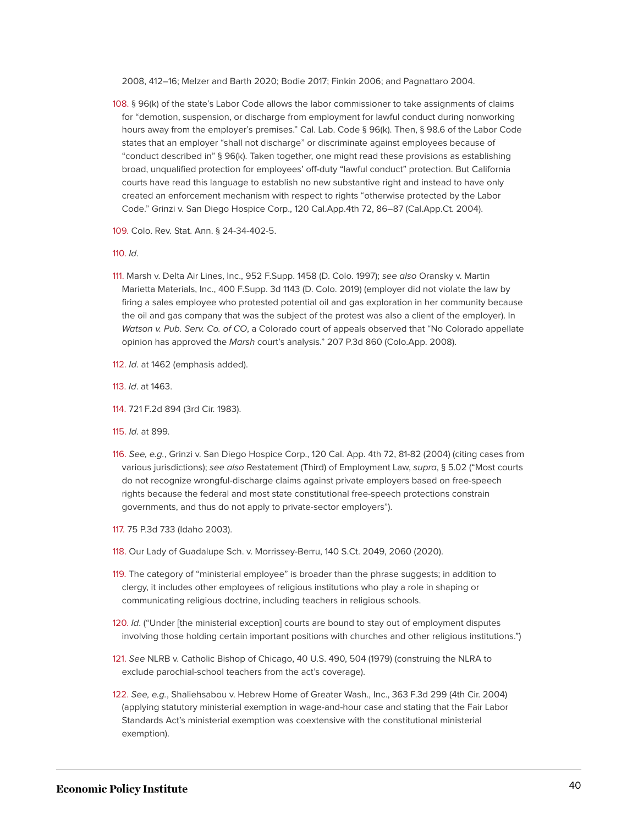2008, 412–16; Melzer and Barth 2020; Bodie 2017; Finkin 2006; and Pagnattaro 2004.

<span id="page-40-0"></span>[108.](#page-25-9) § 96(k) of the state's Labor Code allows the labor commissioner to take assignments of claims for "demotion, suspension, or discharge from employment for lawful conduct during nonworking hours away from the employer's premises." Cal. Lab. Code § 96(k). Then, § 98.6 of the Labor Code states that an employer "shall not discharge" or discriminate against employees because of "conduct described in" § 96(k). Taken together, one might read these provisions as establishing broad, unqualified protection for employees' off-duty "lawful conduct" protection. But California courts have read this language to establish no new substantive right and instead to have only created an enforcement mechanism with respect to rights "otherwise protected by the Labor Code." Grinzi v. San Diego Hospice Corp., 120 Cal.App.4th 72, 86–87 (Cal.App.Ct. 2004).

<span id="page-40-1"></span>[109.](#page-25-10) Colo. Rev. Stat. Ann. § 24-34-402-5.

#### <span id="page-40-2"></span>[110.](#page-25-11) Id.

- <span id="page-40-3"></span>[111.](#page-26-0) Marsh v. Delta Air Lines, Inc., 952 F.Supp. 1458 (D. Colo. 1997); see also Oransky v. Martin Marietta Materials, Inc., 400 F.Supp. 3d 1143 (D. Colo. 2019) (employer did not violate the law by firing a sales employee who protested potential oil and gas exploration in her community because the oil and gas company that was the subject of the protest was also a client of the employer). In Watson v. Pub. Serv. Co. of CO, a Colorado court of appeals observed that "No Colorado appellate opinion has approved the Marsh court's analysis." 207 P.3d 860 (Colo.App. 2008).
- <span id="page-40-4"></span>[112.](#page-26-1) Id. at 1462 (emphasis added).
- <span id="page-40-5"></span>[113.](#page-26-2) Id. at 1463.
- <span id="page-40-6"></span>[114.](#page-26-3) 721 F.2d 894 (3rd Cir. 1983).
- <span id="page-40-7"></span>[115.](#page-26-4) Id. at 899.
- <span id="page-40-8"></span>[116.](#page-26-5) See, e.g., Grinzi v. San Diego Hospice Corp., 120 Cal. App. 4th 72, 81-82 (2004) (citing cases from various jurisdictions); see also Restatement (Third) of Employment Law, supra, § 5.02 ("Most courts do not recognize wrongful-discharge claims against private employers based on free-speech rights because the federal and most state constitutional free-speech protections constrain governments, and thus do not apply to private-sector employers").
- <span id="page-40-9"></span>[117.](#page-26-6) 75 P.3d 733 (Idaho 2003).
- <span id="page-40-10"></span>[118.](#page-27-0) Our Lady of Guadalupe Sch. v. Morrissey-Berru, 140 S.Ct. 2049, 2060 (2020).
- <span id="page-40-11"></span>[119.](#page-27-1) The category of "ministerial employee" is broader than the phrase suggests; in addition to clergy, it includes other employees of religious institutions who play a role in shaping or communicating religious doctrine, including teachers in religious schools.
- <span id="page-40-12"></span>[120.](#page-27-2) Id. ("Under [the ministerial exception] courts are bound to stay out of employment disputes involving those holding certain important positions with churches and other religious institutions.")
- <span id="page-40-13"></span>[121.](#page-27-3) See NLRB v. Catholic Bishop of Chicago, 40 U.S. 490, 504 (1979) (construing the NLRA to exclude parochial-school teachers from the act's coverage).
- <span id="page-40-14"></span>[122.](#page-27-4) See, e.g., Shaliehsabou v. Hebrew Home of Greater Wash., Inc., 363 F.3d 299 (4th Cir. 2004) (applying statutory ministerial exemption in wage-and-hour case and stating that the Fair Labor Standards Act's ministerial exemption was coextensive with the constitutional ministerial exemption).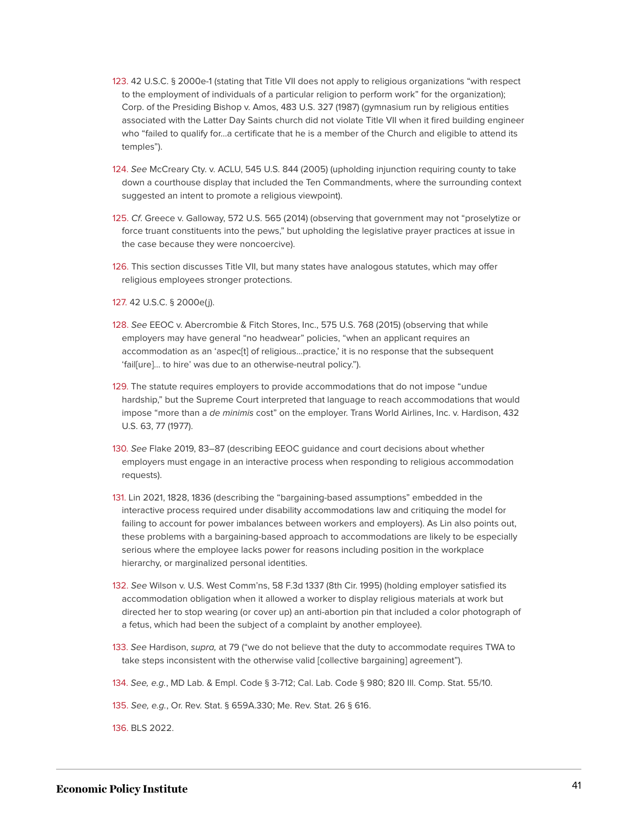- <span id="page-41-0"></span>[123.](#page-27-5) 42 U.S.C. § 2000e-1 (stating that Title VII does not apply to religious organizations "with respect to the employment of individuals of a particular religion to perform work" for the organization); Corp. of the Presiding Bishop v. Amos, 483 U.S. 327 (1987) (gymnasium run by religious entities associated with the Latter Day Saints church did not violate Title VII when it fired building engineer who "failed to qualify for…a certificate that he is a member of the Church and eligible to attend its temples").
- <span id="page-41-1"></span>[124.](#page-27-6) See McCreary Cty. v. ACLU, 545 U.S. 844 (2005) (upholding injunction requiring county to take down a courthouse display that included the Ten Commandments, where the surrounding context suggested an intent to promote a religious viewpoint).
- <span id="page-41-2"></span>[125.](#page-27-7) Cf. Greece v. Galloway, 572 U.S. 565 (2014) (observing that government may not "proselytize or force truant constituents into the pews," but upholding the legislative prayer practices at issue in the case because they were noncoercive).
- <span id="page-41-3"></span>[126.](#page-27-8) This section discusses Title VII, but many states have analogous statutes, which may offer religious employees stronger protections.
- <span id="page-41-4"></span>[127.](#page-28-0) 42 U.S.C. § 2000e(j).
- <span id="page-41-5"></span>[128.](#page-28-1) See EEOC v. Abercrombie & Fitch Stores, Inc., 575 U.S. 768 (2015) (observing that while employers may have general "no headwear" policies, "when an applicant requires an accommodation as an 'aspec[t] of religious…practice,' it is no response that the subsequent 'fail[ure]… to hire' was due to an otherwise-neutral policy.").
- <span id="page-41-6"></span>[129.](#page-28-2) The statute requires employers to provide accommodations that do not impose "undue hardship," but the Supreme Court interpreted that language to reach accommodations that would impose "more than a de minimis cost" on the employer. Trans World Airlines, Inc. v. Hardison, 432 U.S. 63, 77 (1977).
- <span id="page-41-7"></span>[130.](#page-28-3) See Flake 2019, 83–87 (describing EEOC guidance and court decisions about whether employers must engage in an interactive process when responding to religious accommodation requests).
- <span id="page-41-8"></span>[131.](#page-28-4) Lin 2021, 1828, 1836 (describing the "bargaining-based assumptions" embedded in the interactive process required under disability accommodations law and critiquing the model for failing to account for power imbalances between workers and employers). As Lin also points out, these problems with a bargaining-based approach to accommodations are likely to be especially serious where the employee lacks power for reasons including position in the workplace hierarchy, or marginalized personal identities.
- <span id="page-41-9"></span>[132.](#page-28-5) See Wilson v. U.S. West Comm'ns, 58 F.3d 1337 (8th Cir. 1995) (holding employer satisfied its accommodation obligation when it allowed a worker to display religious materials at work but directed her to stop wearing (or cover up) an anti-abortion pin that included a color photograph of a fetus, which had been the subject of a complaint by another employee).
- <span id="page-41-10"></span>[133.](#page-28-6) See Hardison, supra, at 79 ("we do not believe that the duty to accommodate requires TWA to take steps inconsistent with the otherwise valid [collective bargaining] agreement").
- <span id="page-41-11"></span>[134.](#page-29-0) See, e.g., MD Lab. & Empl. Code § 3-712; Cal. Lab. Code § 980; 820 Ill. Comp. Stat. 55/10.

<span id="page-41-12"></span>[135.](#page-29-1) See, e.g., Or. Rev. Stat. § 659A.330; Me. Rev. Stat. 26 § 616.

<span id="page-41-13"></span>[136.](#page-29-2) BLS 2022.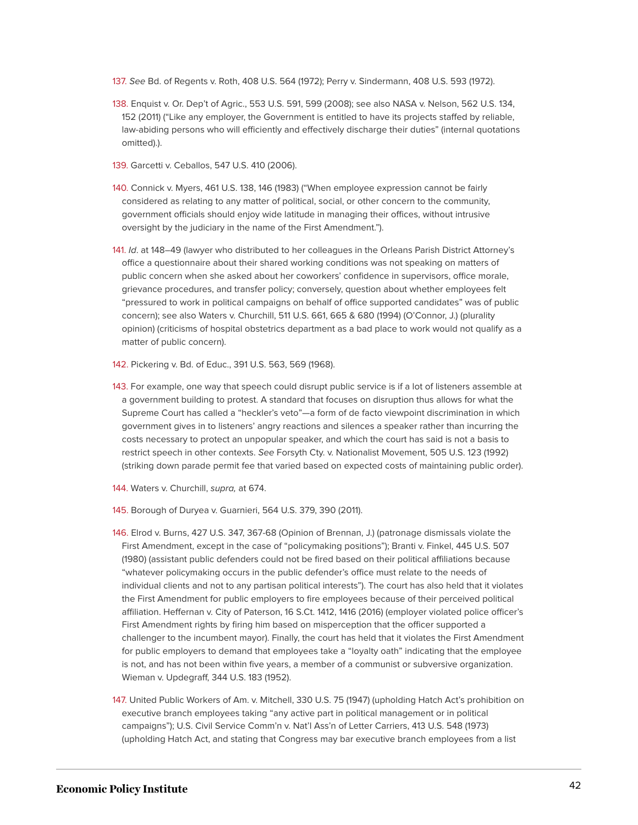- <span id="page-42-0"></span>[137.](#page-29-3) See Bd. of Regents v. Roth, 408 U.S. 564 (1972); Perry v. Sindermann, 408 U.S. 593 (1972).
- <span id="page-42-1"></span>[138.](#page-29-4) Enquist v. Or. Dep't of Agric., 553 U.S. 591, 599 (2008); see also NASA v. Nelson, 562 U.S. 134, 152 (2011) ("Like any employer, the Government is entitled to have its projects staffed by reliable, law-abiding persons who will efficiently and effectively discharge their duties" (internal quotations omitted).).
- <span id="page-42-2"></span>[139.](#page-29-5) Garcetti v. Ceballos, 547 U.S. 410 (2006).
- <span id="page-42-3"></span>[140.](#page-29-6) Connick v. Myers, 461 U.S. 138, 146 (1983) ("When employee expression cannot be fairly considered as relating to any matter of political, social, or other concern to the community, government officials should enjoy wide latitude in managing their offices, without intrusive oversight by the judiciary in the name of the First Amendment.").
- <span id="page-42-4"></span>[141.](#page-29-7) Id. at 148–49 (lawyer who distributed to her colleagues in the Orleans Parish District Attorney's office a questionnaire about their shared working conditions was not speaking on matters of public concern when she asked about her coworkers' confidence in supervisors, office morale, grievance procedures, and transfer policy; conversely, question about whether employees felt "pressured to work in political campaigns on behalf of office supported candidates" was of public concern); see also Waters v. Churchill, 511 U.S. 661, 665 & 680 (1994) (O'Connor, J.) (plurality opinion) (criticisms of hospital obstetrics department as a bad place to work would not qualify as a matter of public concern).
- <span id="page-42-5"></span>[142.](#page-30-1) Pickering v. Bd. of Educ., 391 U.S. 563, 569 (1968).
- <span id="page-42-6"></span>[143.](#page-30-2) For example, one way that speech could disrupt public service is if a lot of listeners assemble at a government building to protest. A standard that focuses on disruption thus allows for what the Supreme Court has called a "heckler's veto"—a form of de facto viewpoint discrimination in which government gives in to listeners' angry reactions and silences a speaker rather than incurring the costs necessary to protect an unpopular speaker, and which the court has said is not a basis to restrict speech in other contexts. See Forsyth Cty. v. Nationalist Movement, 505 U.S. 123 (1992) (striking down parade permit fee that varied based on expected costs of maintaining public order).
- <span id="page-42-7"></span>[144.](#page-30-3) Waters v. Churchill, supra, at 674.
- <span id="page-42-8"></span>[145.](#page-30-4) Borough of Duryea v. Guarnieri, 564 U.S. 379, 390 (2011).
- <span id="page-42-9"></span>[146.](#page-30-5) Elrod v. Burns, 427 U.S. 347, 367-68 (Opinion of Brennan, J.) (patronage dismissals violate the First Amendment, except in the case of "policymaking positions"); Branti v. Finkel, 445 U.S. 507 (1980) (assistant public defenders could not be fired based on their political affiliations because "whatever policymaking occurs in the public defender's office must relate to the needs of individual clients and not to any partisan political interests"). The court has also held that it violates the First Amendment for public employers to fire employees because of their perceived political affiliation. Heffernan v. City of Paterson, 16 S.Ct. 1412, 1416 (2016) (employer violated police officer's First Amendment rights by firing him based on misperception that the officer supported a challenger to the incumbent mayor). Finally, the court has held that it violates the First Amendment for public employers to demand that employees take a "loyalty oath" indicating that the employee is not, and has not been within five years, a member of a communist or subversive organization. Wieman v. Updegraff, 344 U.S. 183 (1952).
- <span id="page-42-10"></span>[147.](#page-30-6) United Public Workers of Am. v. Mitchell, 330 U.S. 75 (1947) (upholding Hatch Act's prohibition on executive branch employees taking "any active part in political management or in political campaigns"); U.S. Civil Service Comm'n v. Nat'l Ass'n of Letter Carriers, 413 U.S. 548 (1973) (upholding Hatch Act, and stating that Congress may bar executive branch employees from a list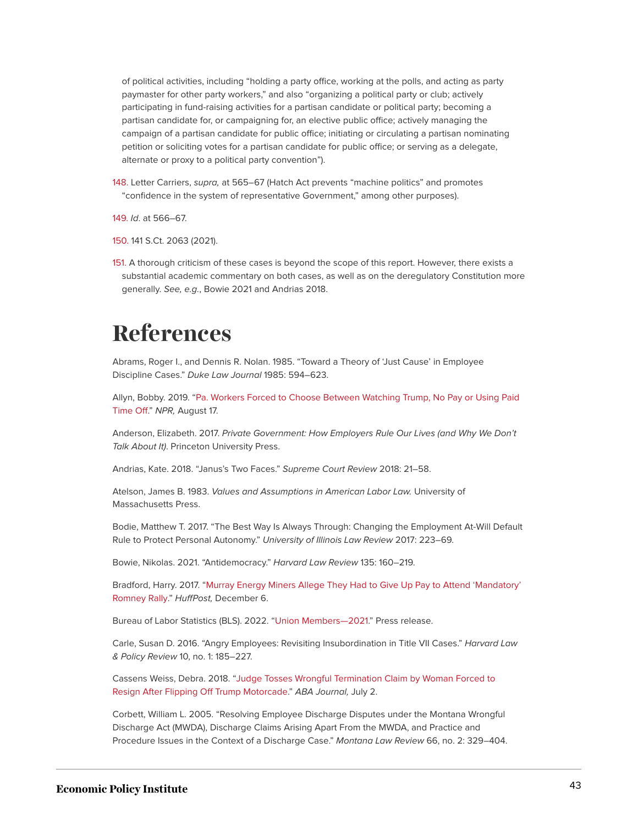of political activities, including "holding a party office, working at the polls, and acting as party paymaster for other party workers," and also "organizing a political party or club; actively participating in fund-raising activities for a partisan candidate or political party; becoming a partisan candidate for, or campaigning for, an elective public office; actively managing the campaign of a partisan candidate for public office; initiating or circulating a partisan nominating petition or soliciting votes for a partisan candidate for public office; or serving as a delegate, alternate or proxy to a political party convention").

<span id="page-43-1"></span>[148.](#page-30-7) Letter Carriers, supra, at 565–67 (Hatch Act prevents "machine politics" and promotes "confidence in the system of representative Government," among other purposes).

<span id="page-43-2"></span>[149.](#page-30-8) Id. at 566–67.

<span id="page-43-3"></span>[150.](#page-31-1) 141 S.Ct. 2063 (2021).

<span id="page-43-4"></span>[151.](#page-31-2) A thorough criticism of these cases is beyond the scope of this report. However, there exists a substantial academic commentary on both cases, as well as on the deregulatory Constitution more generally. See, e.g., Bowie 2021 and Andrias 2018.

# <span id="page-43-0"></span>**References**

Abrams, Roger I., and Dennis R. Nolan. 1985. "Toward a Theory of 'Just Cause' in Employee Discipline Cases." Duke Law Journal 1985: 594–623.

Allyn, Bobby. 2019. ["Pa. Workers Forced to Choose Between Watching Trump, No Pay or Using Paid](https://www.npr.org/2019/08/17/752078503/pa-workers-forced-to-choose-between-watching-trump-no-pay-or-using-paid-time-off) [Time Off.](https://www.npr.org/2019/08/17/752078503/pa-workers-forced-to-choose-between-watching-trump-no-pay-or-using-paid-time-off)" NPR, August 17.

Anderson, Elizabeth. 2017. Private Government: How Employers Rule Our Lives (and Why We Don't Talk About It). Princeton University Press.

Andrias, Kate. 2018. "Janus's Two Faces." Supreme Court Review 2018: 21–58.

Atelson, James B. 1983. Values and Assumptions in American Labor Law. University of Massachusetts Press.

Bodie, Matthew T. 2017. "The Best Way Is Always Through: Changing the Employment At-Will Default Rule to Protect Personal Autonomy." University of Illinois Law Review 2017: 223–69.

Bowie, Nikolas. 2021. "Antidemocracy." Harvard Law Review 135: 160–219.

Bradford, Harry. 2017. "[Murray Energy Miners Allege They Had to Give Up Pay to Attend 'Mandatory'](/C:/Users/charlottegarden/Library/Containers/com.apple.mail/Data/Library/Mail%20Downloads/4DB5BF9B-7400-4CCA-83B1-151AD23D45AE/huffpost.com/entry/century-mine-romney-ohio-mandatory_n_1836674) [Romney Rally.](/C:/Users/charlottegarden/Library/Containers/com.apple.mail/Data/Library/Mail%20Downloads/4DB5BF9B-7400-4CCA-83B1-151AD23D45AE/huffpost.com/entry/century-mine-romney-ohio-mandatory_n_1836674)" HuffPost, December 6.

Bureau of Labor Statistics (BLS). 2022. "[Union Members—2021](https://www.bls.gov/news.release/pdf/union2.pdf)." Press release.

Carle, Susan D. 2016. "Angry Employees: Revisiting Insubordination in Title VII Cases." Harvard Law & Policy Review 10, no. 1: 185–227.

Cassens Weiss, Debra. 2018. "[Judge Tosses Wrongful Termination Claim by Woman Forced to](https://www.abajournal.com/news/article/wrongful_termination_claim_trump_motorcade) [Resign After Flipping Off Trump Motorcade](https://www.abajournal.com/news/article/wrongful_termination_claim_trump_motorcade)." ABA Journal, July 2.

Corbett, William L. 2005. "Resolving Employee Discharge Disputes under the Montana Wrongful Discharge Act (MWDA), Discharge Claims Arising Apart From the MWDA, and Practice and Procedure Issues in the Context of a Discharge Case." Montana Law Review 66, no. 2: 329–404.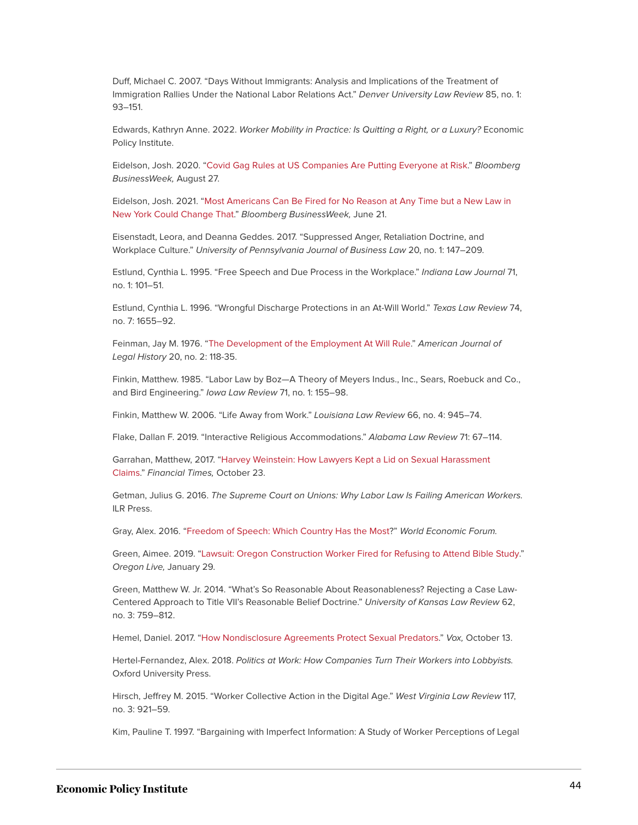Duff, Michael C. 2007. "Days Without Immigrants: Analysis and Implications of the Treatment of Immigration Rallies Under the National Labor Relations Act." Denver University Law Review 85, no. 1: 93–151.

Edwards, Kathryn Anne. 2022. Worker Mobility in Practice: Is Quitting a Right, or a Luxury? Economic Policy Institute.

Eidelson, Josh. 2020. ["Covid Gag Rules at US Companies Are Putting Everyone at Risk.](https://www.bloomberg.com/news/features/2020-08-27/covid-pandemic-u-s-businesses-issue-gag-rules-to-stop-workers-from-talking)" Bloomberg BusinessWeek, August 27.

Eidelson, Josh. 2021. ["Most Americans Can Be Fired for No Reason at Any Time but a New Law in](https://www.bloomberg.com/news/features/2021-06-21/new-york-just-cause-law-is-about-to-make-workers-much-tougher-to-fire) [New York Could Change That.](https://www.bloomberg.com/news/features/2021-06-21/new-york-just-cause-law-is-about-to-make-workers-much-tougher-to-fire)" Bloomberg BusinessWeek, June 21.

Eisenstadt, Leora, and Deanna Geddes. 2017. "Suppressed Anger, Retaliation Doctrine, and Workplace Culture." University of Pennsylvania Journal of Business Law 20, no. 1: 147–209.

Estlund, Cynthia L. 1995. "Free Speech and Due Process in the Workplace." Indiana Law Journal 71, no. 1: 101–51.

Estlund, Cynthia L. 1996. "Wrongful Discharge Protections in an At-Will World." Texas Law Review 74, no. 7: 1655–92.

Feinman, Jay M. 1976. ["The Development of the Employment At Will Rule](https://www.jstor.org/stable/844727)." American Journal of Legal History 20, no. 2: 118-35.

Finkin, Matthew. 1985. "Labor Law by Boz—A Theory of Meyers Indus., Inc., Sears, Roebuck and Co., and Bird Engineering." Iowa Law Review 71, no. 1: 155–98.

Finkin, Matthew W. 2006. "Life Away from Work." Louisiana Law Review 66, no. 4: 945–74.

Flake, Dallan F. 2019. "Interactive Religious Accommodations." Alabama Law Review 71: 67–114.

Garrahan, Matthew, 2017. ["Harvey Weinstein: How Lawyers Kept a Lid on Sexual Harassment](https://www.ft.com/content/1dc8a8ae-b7e0-11e7-8c12-5661783e5589) [Claims](https://www.ft.com/content/1dc8a8ae-b7e0-11e7-8c12-5661783e5589)." Financial Times, October 23.

Getman, Julius G. 2016. The Supreme Court on Unions: Why Labor Law Is Failing American Workers. ILR Press.

Gray, Alex. 2016. ["Freedom of Speech: Which Country Has the Most?](https://www.weforum.org/agenda/2016/11/freedom-of-speech-country-comparison/)" World Economic Forum.

Green, Aimee. 2019. ["Lawsuit: Oregon Construction Worker Fired for Refusing to Attend Bible Study](https://www.oregonlive.com/pacific-northwest-news/2018/08/lawsuit_oregon_construction_wo.html)." Oregon Live, January 29.

Green, Matthew W. Jr. 2014. "What's So Reasonable About Reasonableness? Rejecting a Case Law-Centered Approach to Title VII's Reasonable Belief Doctrine." University of Kansas Law Review 62, no. 3: 759–812.

Hemel, Daniel. 2017. ["How Nondisclosure Agreements Protect Sexual Predators](https://www.vox.com/the-big-idea/2017/10/9/16447118/confidentiality-agreement-weinstein-sexual-harassment-nda)." Vox, October 13.

Hertel-Fernandez, Alex. 2018. Politics at Work: How Companies Turn Their Workers into Lobbyists. Oxford University Press.

Hirsch, Jeffrey M. 2015. "Worker Collective Action in the Digital Age." West Virginia Law Review 117, no. 3: 921–59.

Kim, Pauline T. 1997. "Bargaining with Imperfect Information: A Study of Worker Perceptions of Legal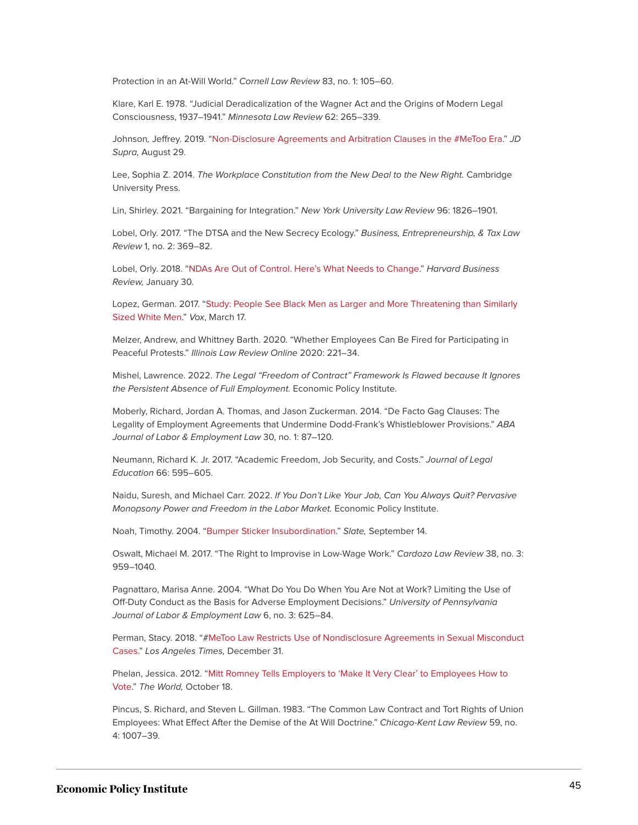Protection in an At-Will World." Cornell Law Review 83, no. 1: 105–60.

Klare, Karl E. 1978. "Judicial Deradicalization of the Wagner Act and the Origins of Modern Legal Consciousness, 1937–1941." Minnesota Law Review 62: 265–339.

Johnson, Jeffrey. 2019. "[Non-Disclosure Agreements and Arbitration Clauses in the #MeToo Era](https://www.jdsupra.com/legalnews/non-disclosure-agreements-and-30226/)." JD Supra, August 29.

Lee, Sophia Z. 2014. The Workplace Constitution from the New Deal to the New Right. Cambridge University Press.

Lin, Shirley. 2021. "Bargaining for Integration." New York University Law Review 96: 1826–1901.

Lobel, Orly. 2017. "The DTSA and the New Secrecy Ecology." Business, Entrepreneurship, & Tax Law Review 1, no. 2: 369–82.

Lobel, Orly. 2018. ["NDAs Are Out of Control. Here's What Needs to Change](https://hbr.org/2018/01/ndas-are-out-of-control-heres-what-needs-to-change)." Harvard Business Review, January 30.

Lopez, German. 2017. "[Study: People See Black Men as Larger and More Threatening than Similarly](https://www.vox.com/identities/2017/3/17/14945576/black-white-bodies-size-threat-study) [Sized White Men](https://www.vox.com/identities/2017/3/17/14945576/black-white-bodies-size-threat-study)." Vox, March 17.

Melzer, Andrew, and Whittney Barth. 2020. "Whether Employees Can Be Fired for Participating in Peaceful Protests." Illinois Law Review Online 2020: 221–34.

Mishel, Lawrence. 2022. The Legal "Freedom of Contract" Framework Is Flawed because It Ignores the Persistent Absence of Full Employment. Economic Policy Institute.

Moberly, Richard, Jordan A. Thomas, and Jason Zuckerman. 2014. "De Facto Gag Clauses: The Legality of Employment Agreements that Undermine Dodd-Frank's Whistleblower Provisions." ABA Journal of Labor & Employment Law 30, no. 1: 87–120.

Neumann, Richard K. Jr. 2017. "Academic Freedom, Job Security, and Costs." Journal of Legal Education 66: 595–605.

Naidu, Suresh, and Michael Carr. 2022. If You Don't Like Your Job, Can You Always Quit? Pervasive Monopsony Power and Freedom in the Labor Market. Economic Policy Institute.

Noah, Timothy. 2004. ["Bumper Sticker Insubordination](https://slate.com/news-and-politics/2004/09/the-insubordinate-bumper-sticker.html)." Slate, September 14.

Oswalt, Michael M. 2017. "The Right to Improvise in Low-Wage Work." Cardozo Law Review 38, no. 3: 959–1040.

Pagnattaro, Marisa Anne. 2004. "What Do You Do When You Are Not at Work? Limiting the Use of Off-Duty Conduct as the Basis for Adverse Employment Decisions." University of Pennsylvania Journal of Labor & Employment Law 6, no. 3: 625–84.

Perman, Stacy. 2018. "#MeToo Law Restricts Use of Nondisclosure Agreements in Sexual Misconduct Cases." Los Angeles Times, December 31.

Phelan, Jessica. 2012. "[Mitt Romney Tells Employers to 'Make It Very Clear' to Employees How to](https://theworld.org/stories/2012-10-18/mitt-romney-tells-employers-make-it-very-clear-employees-how-vote-video) [Vote](https://theworld.org/stories/2012-10-18/mitt-romney-tells-employers-make-it-very-clear-employees-how-vote-video)." The World, October 18.

Pincus, S. Richard, and Steven L. Gillman. 1983. "The Common Law Contract and Tort Rights of Union Employees: What Effect After the Demise of the At Will Doctrine." Chicago-Kent Law Review 59, no. 4: 1007–39.